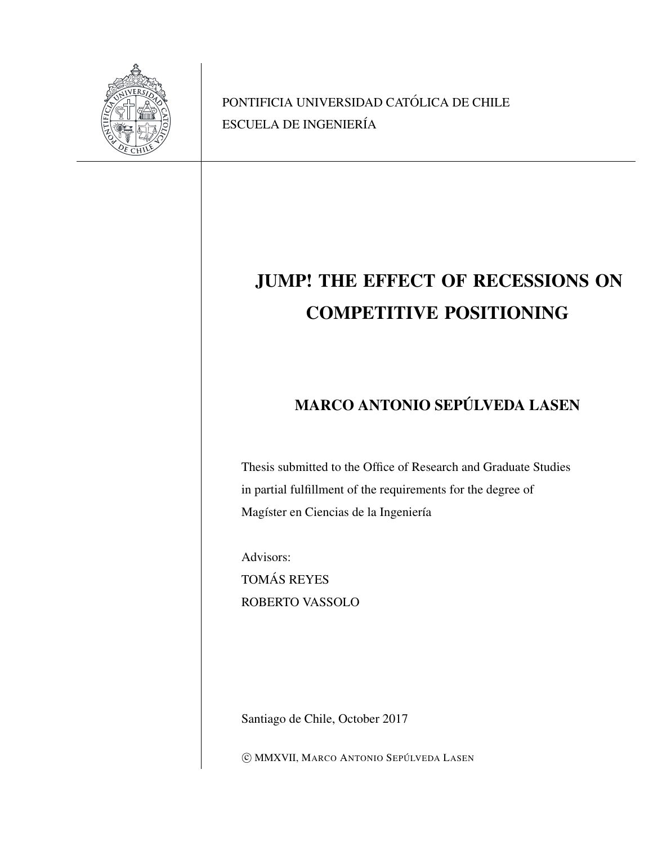

PONTIFICIA UNIVERSIDAD CATÓLICA DE CHILE ESCUELA DE INGENIERÍA

# JUMP! THE EFFECT OF RECESSIONS ON COMPETITIVE POSITIONING

# MARCO ANTONIO SEPÚLVEDA LASEN

Thesis submitted to the Office of Research and Graduate Studies in partial fulfillment of the requirements for the degree of Magíster en Ciencias de la Ingeniería

Advisors: TOMÁS REYES ROBERTO VASSOLO

Santiago de Chile, October 2017

 $\copyright$  MMXVII, MARCO ANTONIO SEPÚLVEDA LASEN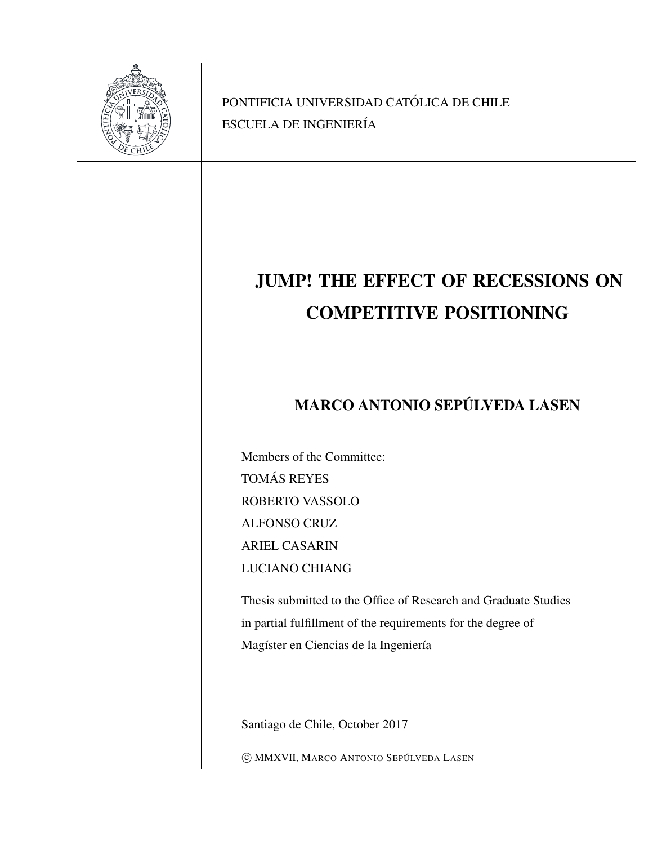

PONTIFICIA UNIVERSIDAD CATÓLICA DE CHILE ESCUELA DE INGENIERÍA

# JUMP! THE EFFECT OF RECESSIONS ON COMPETITIVE POSITIONING

# MARCO ANTONIO SEPÚLVEDA LASEN

Members of the Committee: TOMÁS REYES ROBERTO VASSOLO ALFONSO CRUZ ARIEL CASARIN LUCIANO CHIANG

Thesis submitted to the Office of Research and Graduate Studies in partial fulfillment of the requirements for the degree of Magíster en Ciencias de la Ingeniería

Santiago de Chile, October 2017

 $\copyright$  MMXVII, MARCO ANTONIO SEPÚLVEDA LASEN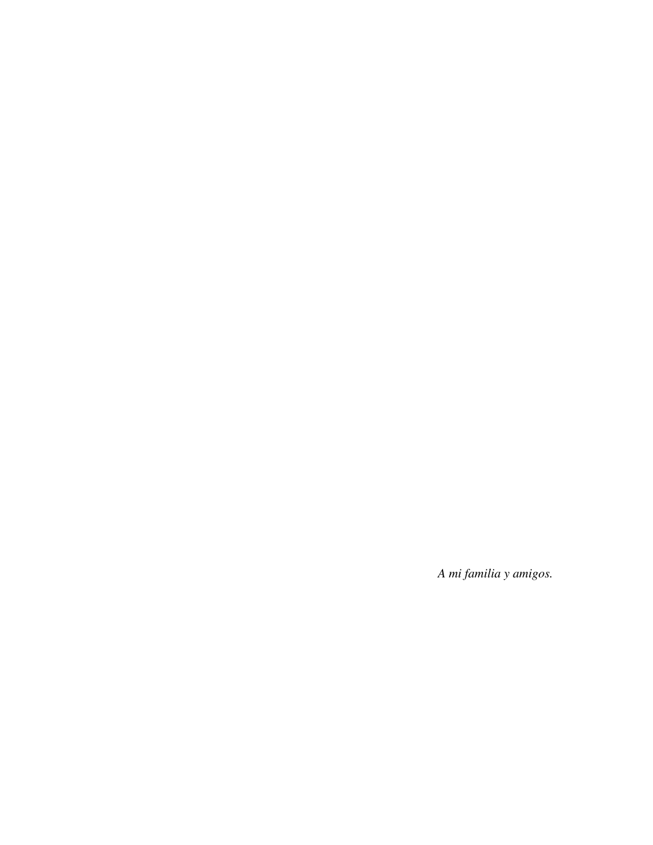*A mi familia y amigos.*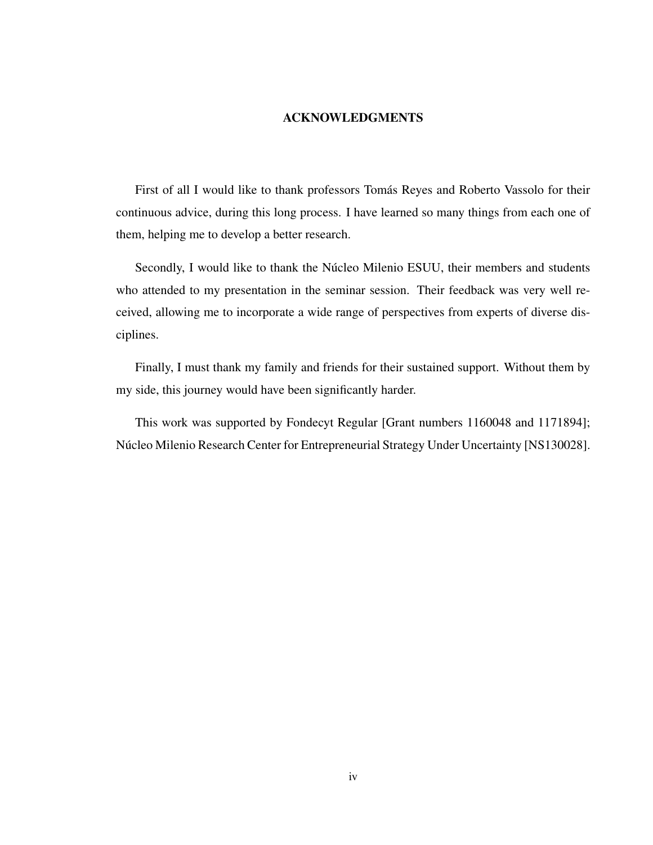#### ACKNOWLEDGMENTS

<span id="page-3-0"></span>First of all I would like to thank professors Tomás Reyes and Roberto Vassolo for their continuous advice, during this long process. I have learned so many things from each one of them, helping me to develop a better research.

Secondly, I would like to thank the Núcleo Milenio ESUU, their members and students who attended to my presentation in the seminar session. Their feedback was very well received, allowing me to incorporate a wide range of perspectives from experts of diverse disciplines.

Finally, I must thank my family and friends for their sustained support. Without them by my side, this journey would have been significantly harder.

This work was supported by Fondecyt Regular [Grant numbers 1160048 and 1171894]; Núcleo Milenio Research Center for Entrepreneurial Strategy Under Uncertainty [NS130028].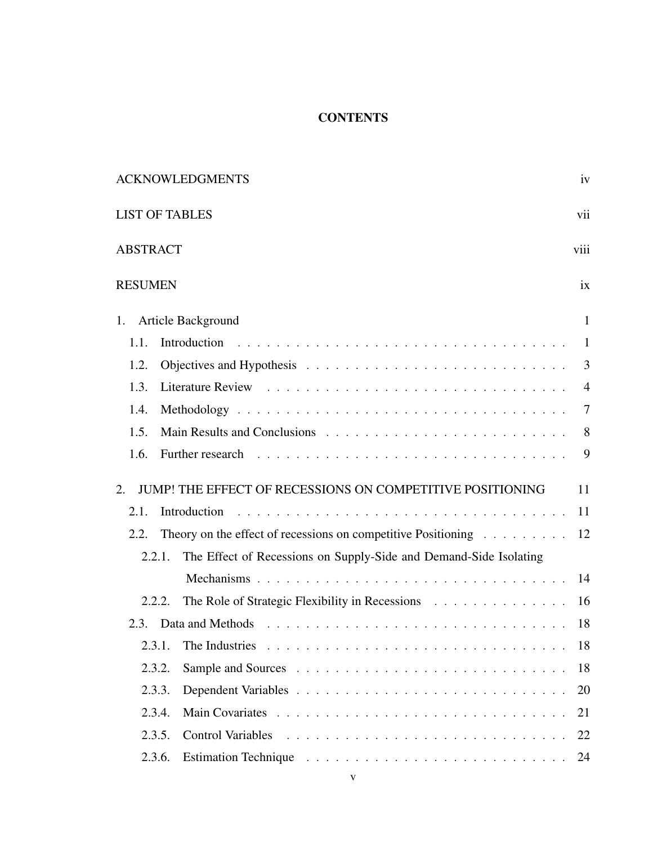### **CONTENTS**

| <b>ACKNOWLEDGMENTS</b>                                                                                                                                                                                                                 | iv             |
|----------------------------------------------------------------------------------------------------------------------------------------------------------------------------------------------------------------------------------------|----------------|
| <b>LIST OF TABLES</b>                                                                                                                                                                                                                  | vii            |
| <b>ABSTRACT</b>                                                                                                                                                                                                                        | viii           |
| <b>RESUMEN</b>                                                                                                                                                                                                                         | ix             |
| Article Background<br>1.                                                                                                                                                                                                               | $\mathbf{1}$   |
| 1.1.                                                                                                                                                                                                                                   | $\mathbf{1}$   |
| 1.2.                                                                                                                                                                                                                                   | 3              |
| 1.3.                                                                                                                                                                                                                                   | $\overline{4}$ |
| 1.4.                                                                                                                                                                                                                                   | 7              |
| 1.5.                                                                                                                                                                                                                                   | 8              |
| Further research research research research research research research research research research research research research research research research research research research research research research research researc<br>1.6. | 9              |
| JUMP! THE EFFECT OF RECESSIONS ON COMPETITIVE POSITIONING<br>2.                                                                                                                                                                        | 11             |
| 2.1.<br>Introduction                                                                                                                                                                                                                   | 11             |
| Theory on the effect of recessions on competitive Positioning $\ldots \ldots \ldots$<br>2.2.                                                                                                                                           | 12             |
| The Effect of Recessions on Supply-Side and Demand-Side Isolating<br>2.2.1.                                                                                                                                                            |                |
|                                                                                                                                                                                                                                        | 14             |
| The Role of Strategic Flexibility in Recessions<br>2.2.2.                                                                                                                                                                              | 16             |
| 2.3.                                                                                                                                                                                                                                   | 18             |
| 2.3.1.                                                                                                                                                                                                                                 | 18             |
| 2.3.2.                                                                                                                                                                                                                                 | 18             |
| 2.3.3.                                                                                                                                                                                                                                 | 20             |
| 2.3.4.                                                                                                                                                                                                                                 | 21             |
| 2.3.5.                                                                                                                                                                                                                                 | 22             |
| 2.3.6.                                                                                                                                                                                                                                 | 24             |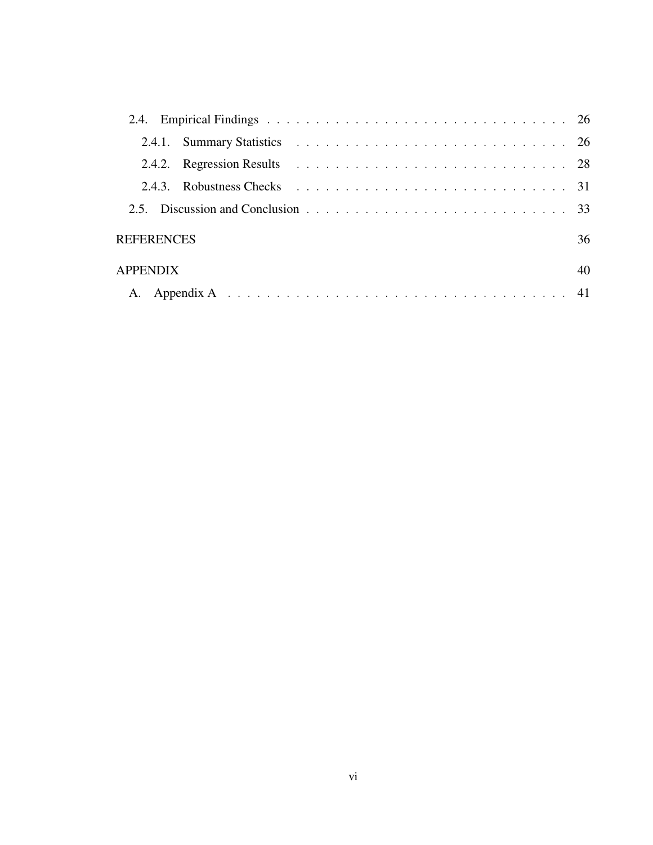|                   | 2.43 | Robustness Checks resources in the contract of the contract of the contract of the contract of the contract of the contract of the contract of the contract of the contract of the contract of the contract of the contract of |    |
|-------------------|------|--------------------------------------------------------------------------------------------------------------------------------------------------------------------------------------------------------------------------------|----|
|                   |      |                                                                                                                                                                                                                                |    |
| <b>REFERENCES</b> |      |                                                                                                                                                                                                                                | 36 |
| <b>APPENDIX</b>   |      |                                                                                                                                                                                                                                | 40 |
|                   |      |                                                                                                                                                                                                                                |    |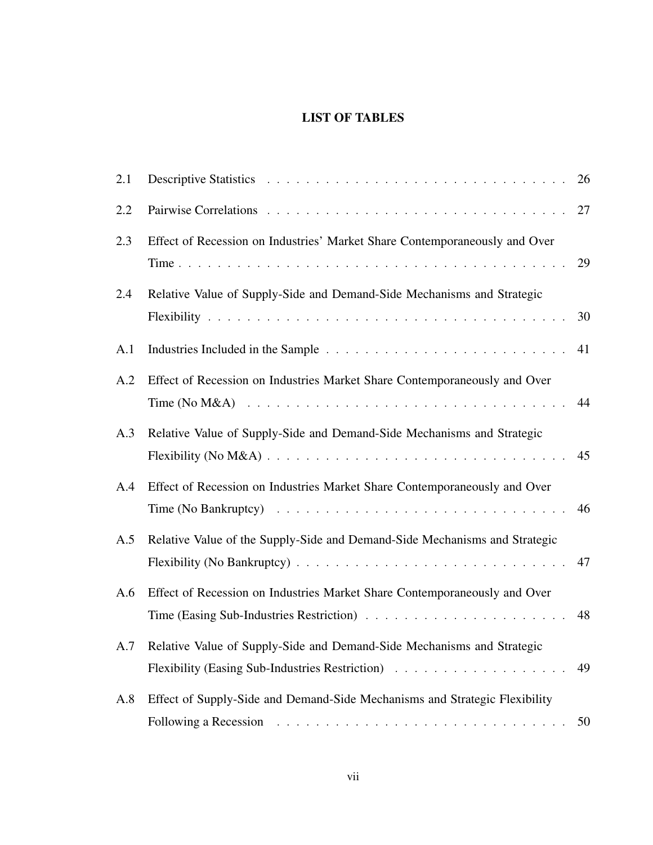## LIST OF TABLES

<span id="page-6-0"></span>

| 2.1 |                                                                                                                                                                                         | 26 |
|-----|-----------------------------------------------------------------------------------------------------------------------------------------------------------------------------------------|----|
| 2.2 |                                                                                                                                                                                         | 27 |
| 2.3 | Effect of Recession on Industries' Market Share Contemporaneously and Over                                                                                                              | 29 |
| 2.4 | Relative Value of Supply-Side and Demand-Side Mechanisms and Strategic                                                                                                                  | 30 |
| A.1 |                                                                                                                                                                                         | 41 |
| A.2 | Effect of Recession on Industries Market Share Contemporaneously and Over                                                                                                               | 44 |
| A.3 | Relative Value of Supply-Side and Demand-Side Mechanisms and Strategic                                                                                                                  | 45 |
| A.4 | Effect of Recession on Industries Market Share Contemporaneously and Over<br>Time (No Bankruptcy) $\ldots \ldots \ldots \ldots \ldots \ldots \ldots \ldots \ldots \ldots \ldots \ldots$ | 46 |
| A.5 | Relative Value of the Supply-Side and Demand-Side Mechanisms and Strategic                                                                                                              | 47 |
| A.6 | Effect of Recession on Industries Market Share Contemporaneously and Over                                                                                                               | 48 |
|     | A.7 Relative Value of Supply-Side and Demand-Side Mechanisms and Strategic                                                                                                              | 49 |
| A.8 | Effect of Supply-Side and Demand-Side Mechanisms and Strategic Flexibility                                                                                                              | 50 |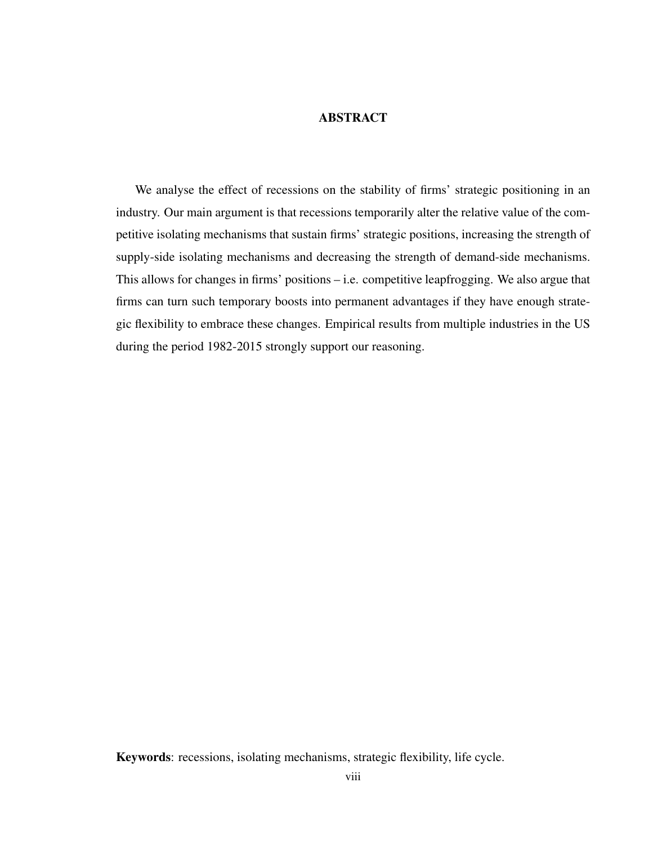#### **ABSTRACT**

<span id="page-7-0"></span>We analyse the effect of recessions on the stability of firms' strategic positioning in an industry. Our main argument is that recessions temporarily alter the relative value of the competitive isolating mechanisms that sustain firms' strategic positions, increasing the strength of supply-side isolating mechanisms and decreasing the strength of demand-side mechanisms. This allows for changes in firms' positions – i.e. competitive leapfrogging. We also argue that firms can turn such temporary boosts into permanent advantages if they have enough strategic flexibility to embrace these changes. Empirical results from multiple industries in the US during the period 1982-2015 strongly support our reasoning.

Keywords: recessions, isolating mechanisms, strategic flexibility, life cycle.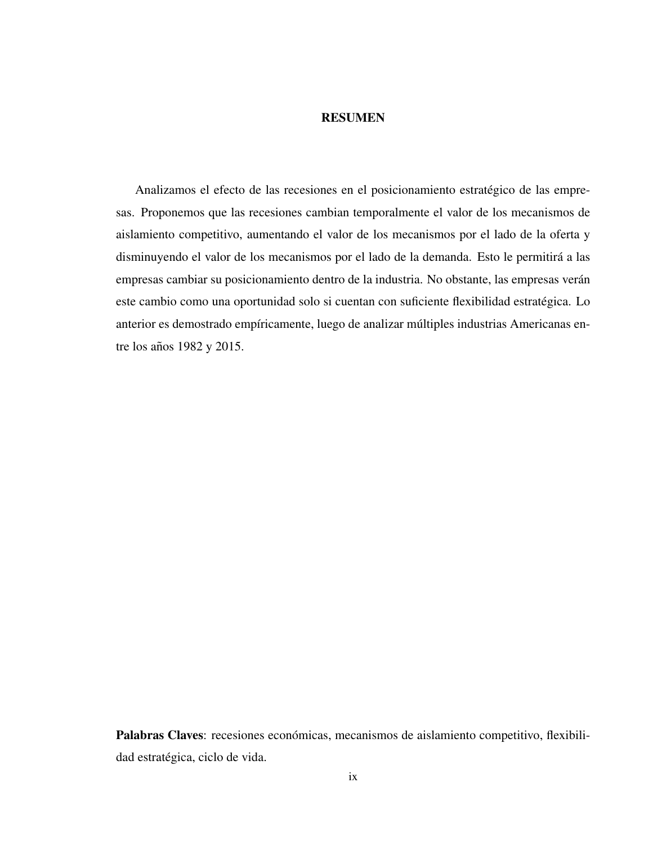#### RESUMEN

<span id="page-8-0"></span>Analizamos el efecto de las recesiones en el posicionamiento estratégico de las empresas. Proponemos que las recesiones cambian temporalmente el valor de los mecanismos de aislamiento competitivo, aumentando el valor de los mecanismos por el lado de la oferta y disminuyendo el valor de los mecanismos por el lado de la demanda. Esto le permitirá a las empresas cambiar su posicionamiento dentro de la industria. No obstante, las empresas verán este cambio como una oportunidad solo si cuentan con suficiente flexibilidad estratégica. Lo anterior es demostrado empíricamente, luego de analizar múltiples industrias Americanas entre los años 1982 y 2015.

Palabras Claves: recesiones económicas, mecanismos de aislamiento competitivo, flexibilidad estratégica, ciclo de vida.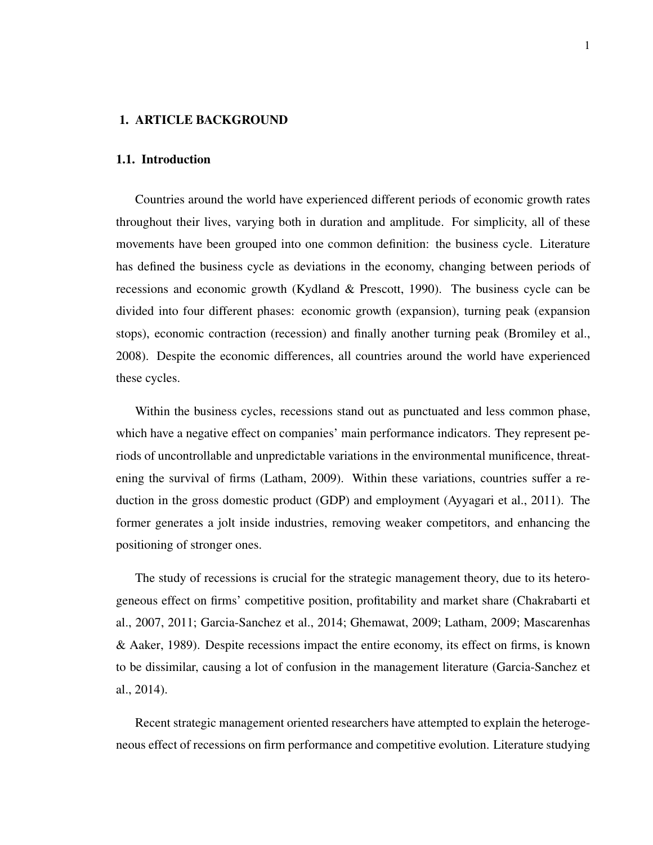#### <span id="page-9-1"></span><span id="page-9-0"></span>1. ARTICLE BACKGROUND

#### 1.1. Introduction

Countries around the world have experienced different periods of economic growth rates throughout their lives, varying both in duration and amplitude. For simplicity, all of these movements have been grouped into one common definition: the business cycle. Literature has defined the business cycle as deviations in the economy, changing between periods of recessions and economic growth [\(Kydland & Prescott, 1990\)](#page-46-0). The business cycle can be divided into four different phases: economic growth (expansion), turning peak (expansion stops), economic contraction (recession) and finally another turning peak [\(Bromiley et al.,](#page-44-1) [2008\)](#page-44-1). Despite the economic differences, all countries around the world have experienced these cycles.

Within the business cycles, recessions stand out as punctuated and less common phase, which have a negative effect on companies' main performance indicators. They represent periods of uncontrollable and unpredictable variations in the environmental munificence, threatening the survival of firms [\(Latham, 2009\)](#page-46-1). Within these variations, countries suffer a reduction in the gross domestic product (GDP) and employment [\(Ayyagari et al., 2011\)](#page-44-2). The former generates a jolt inside industries, removing weaker competitors, and enhancing the positioning of stronger ones.

The study of recessions is crucial for the strategic management theory, due to its heterogeneous effect on firms' competitive position, profitability and market share [\(Chakrabarti et](#page-44-3) [al., 2007,](#page-44-3) [2011;](#page-44-4) [Garcia-Sanchez et al., 2014;](#page-45-0) [Ghemawat, 2009;](#page-45-1) [Latham, 2009;](#page-46-1) [Mascarenhas](#page-46-2) [& Aaker, 1989\)](#page-46-2). Despite recessions impact the entire economy, its effect on firms, is known to be dissimilar, causing a lot of confusion in the management literature [\(Garcia-Sanchez et](#page-45-0) [al., 2014\)](#page-45-0).

Recent strategic management oriented researchers have attempted to explain the heterogeneous effect of recessions on firm performance and competitive evolution. Literature studying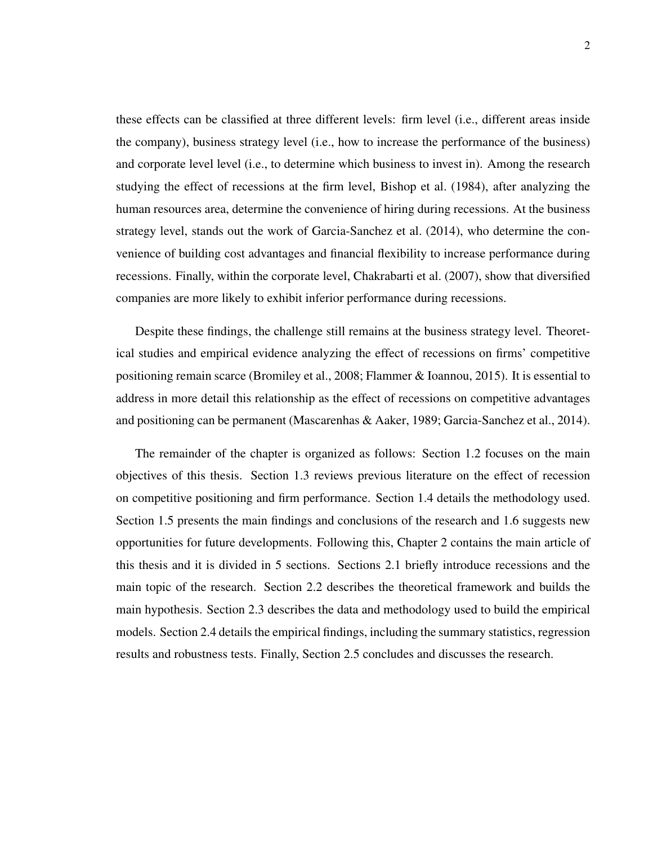these effects can be classified at three different levels: firm level (i.e., different areas inside the company), business strategy level (i.e., how to increase the performance of the business) and corporate level level (i.e., to determine which business to invest in). Among the research studying the effect of recessions at the firm level, [Bishop et al.](#page-44-5) [\(1984\)](#page-44-5), after analyzing the human resources area, determine the convenience of hiring during recessions. At the business strategy level, stands out the work of [Garcia-Sanchez et al.](#page-45-0) [\(2014\)](#page-45-0), who determine the convenience of building cost advantages and financial flexibility to increase performance during recessions. Finally, within the corporate level, [Chakrabarti et al.](#page-44-3) [\(2007\)](#page-44-3), show that diversified companies are more likely to exhibit inferior performance during recessions.

Despite these findings, the challenge still remains at the business strategy level. Theoretical studies and empirical evidence analyzing the effect of recessions on firms' competitive positioning remain scarce [\(Bromiley et al., 2008;](#page-44-1) [Flammer & Ioannou, 2015\)](#page-45-2). It is essential to address in more detail this relationship as the effect of recessions on competitive advantages and positioning can be permanent [\(Mascarenhas & Aaker, 1989;](#page-46-2) [Garcia-Sanchez et al., 2014\)](#page-45-0).

The remainder of the chapter is organized as follows: Section [1.2](#page-11-0) focuses on the main objectives of this thesis. Section [1.3](#page-12-0) reviews previous literature on the effect of recession on competitive positioning and firm performance. Section [1.4](#page-15-0) details the methodology used. Section [1.5](#page-16-0) presents the main findings and conclusions of the research and [1.6](#page-17-0) suggests new opportunities for future developments. Following this, Chapter 2 contains the main article of this thesis and it is divided in 5 sections. Sections [2.1](#page-19-1) briefly introduce recessions and the main topic of the research. Section [2.2](#page-20-0) describes the theoretical framework and builds the main hypothesis. Section [2.3](#page-26-0) describes the data and methodology used to build the empirical models. Section [2.4](#page-34-0) details the empirical findings, including the summary statistics, regression results and robustness tests. Finally, Section [2.5](#page-41-0) concludes and discusses the research.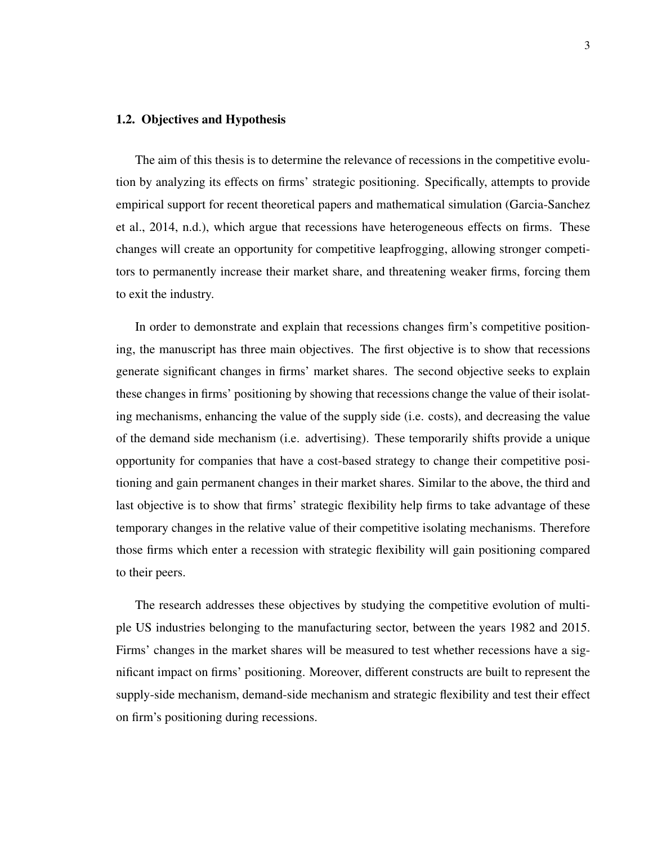#### <span id="page-11-0"></span>1.2. Objectives and Hypothesis

The aim of this thesis is to determine the relevance of recessions in the competitive evolution by analyzing its effects on firms' strategic positioning. Specifically, attempts to provide empirical support for recent theoretical papers and mathematical simulation [\(Garcia-Sanchez](#page-45-0) [et al., 2014,](#page-45-0) [n.d.\)](#page-45-3), which argue that recessions have heterogeneous effects on firms. These changes will create an opportunity for competitive leapfrogging, allowing stronger competitors to permanently increase their market share, and threatening weaker firms, forcing them to exit the industry.

In order to demonstrate and explain that recessions changes firm's competitive positioning, the manuscript has three main objectives. The first objective is to show that recessions generate significant changes in firms' market shares. The second objective seeks to explain these changes in firms' positioning by showing that recessions change the value of their isolating mechanisms, enhancing the value of the supply side (i.e. costs), and decreasing the value of the demand side mechanism (i.e. advertising). These temporarily shifts provide a unique opportunity for companies that have a cost-based strategy to change their competitive positioning and gain permanent changes in their market shares. Similar to the above, the third and last objective is to show that firms' strategic flexibility help firms to take advantage of these temporary changes in the relative value of their competitive isolating mechanisms. Therefore those firms which enter a recession with strategic flexibility will gain positioning compared to their peers.

The research addresses these objectives by studying the competitive evolution of multiple US industries belonging to the manufacturing sector, between the years 1982 and 2015. Firms' changes in the market shares will be measured to test whether recessions have a significant impact on firms' positioning. Moreover, different constructs are built to represent the supply-side mechanism, demand-side mechanism and strategic flexibility and test their effect on firm's positioning during recessions.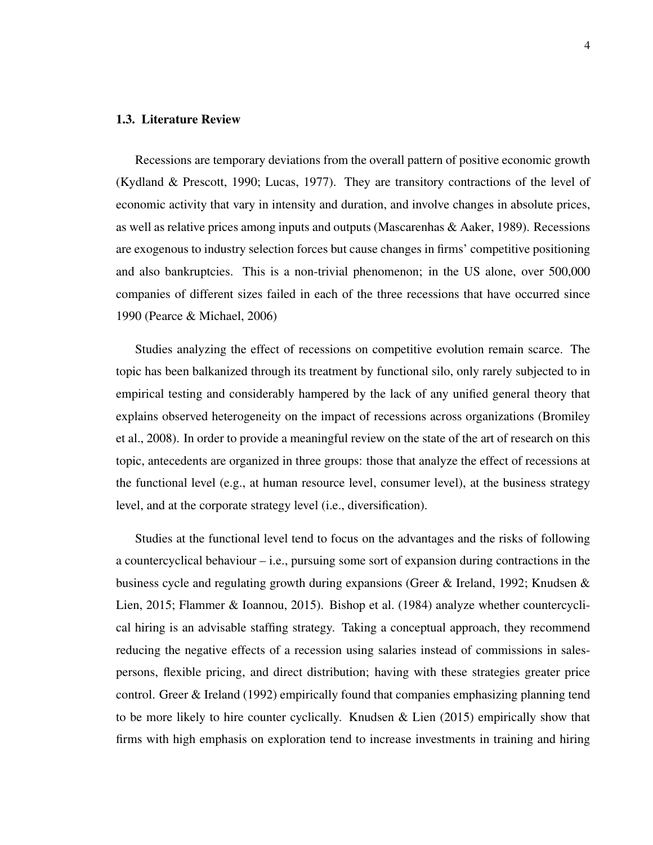#### <span id="page-12-0"></span>1.3. Literature Review

Recessions are temporary deviations from the overall pattern of positive economic growth [\(Kydland & Prescott, 1990;](#page-46-0) [Lucas, 1977\)](#page-46-3). They are transitory contractions of the level of economic activity that vary in intensity and duration, and involve changes in absolute prices, as well as relative prices among inputs and outputs [\(Mascarenhas & Aaker, 1989\)](#page-46-2). Recessions are exogenous to industry selection forces but cause changes in firms' competitive positioning and also bankruptcies. This is a non-trivial phenomenon; in the US alone, over 500,000 companies of different sizes failed in each of the three recessions that have occurred since 1990 [\(Pearce & Michael, 2006\)](#page-46-4)

Studies analyzing the effect of recessions on competitive evolution remain scarce. The topic has been balkanized through its treatment by functional silo, only rarely subjected to in empirical testing and considerably hampered by the lack of any unified general theory that explains observed heterogeneity on the impact of recessions across organizations [\(Bromiley](#page-44-1) [et al., 2008\)](#page-44-1). In order to provide a meaningful review on the state of the art of research on this topic, antecedents are organized in three groups: those that analyze the effect of recessions at the functional level (e.g., at human resource level, consumer level), at the business strategy level, and at the corporate strategy level (i.e., diversification).

Studies at the functional level tend to focus on the advantages and the risks of following a countercyclical behaviour – i.e., pursuing some sort of expansion during contractions in the business cycle and regulating growth during expansions [\(Greer & Ireland, 1992;](#page-45-4) [Knudsen &](#page-46-5) [Lien, 2015;](#page-46-5) [Flammer & Ioannou, 2015\)](#page-45-2). [Bishop et al.](#page-44-5) [\(1984\)](#page-44-5) analyze whether countercyclical hiring is an advisable staffing strategy. Taking a conceptual approach, they recommend reducing the negative effects of a recession using salaries instead of commissions in salespersons, flexible pricing, and direct distribution; having with these strategies greater price control. [Greer & Ireland](#page-45-4) [\(1992\)](#page-45-4) empirically found that companies emphasizing planning tend to be more likely to hire counter cyclically. [Knudsen & Lien](#page-46-5) [\(2015\)](#page-46-5) empirically show that firms with high emphasis on exploration tend to increase investments in training and hiring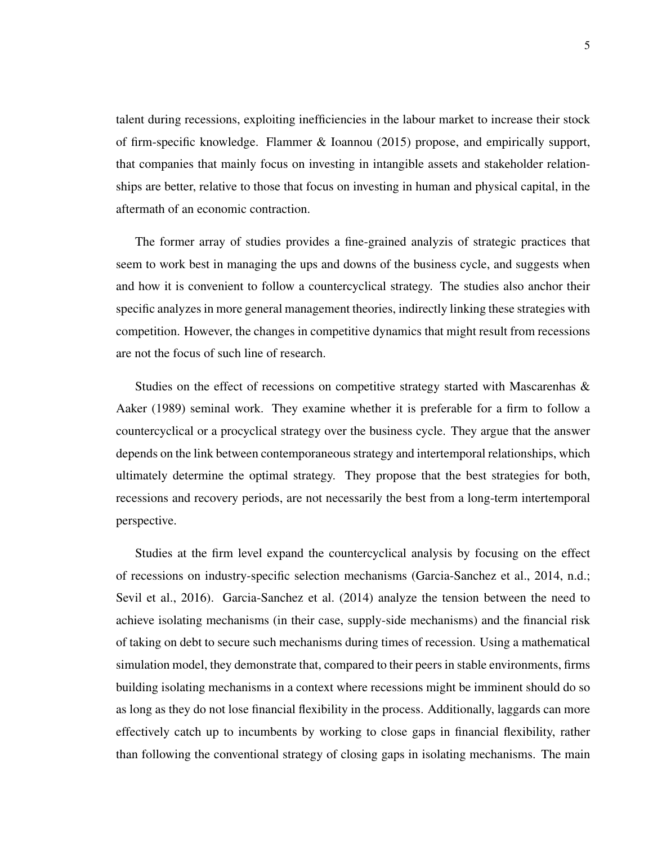talent during recessions, exploiting inefficiencies in the labour market to increase their stock of firm-specific knowledge. [Flammer & Ioannou](#page-45-2) [\(2015\)](#page-45-2) propose, and empirically support, that companies that mainly focus on investing in intangible assets and stakeholder relationships are better, relative to those that focus on investing in human and physical capital, in the aftermath of an economic contraction.

The former array of studies provides a fine-grained analyzis of strategic practices that seem to work best in managing the ups and downs of the business cycle, and suggests when and how it is convenient to follow a countercyclical strategy. The studies also anchor their specific analyzes in more general management theories, indirectly linking these strategies with competition. However, the changes in competitive dynamics that might result from recessions are not the focus of such line of research.

Studies on the effect of recessions on competitive strategy started with [Mascarenhas &](#page-46-2) [Aaker](#page-46-2) [\(1989\)](#page-46-2) seminal work. They examine whether it is preferable for a firm to follow a countercyclical or a procyclical strategy over the business cycle. They argue that the answer depends on the link between contemporaneous strategy and intertemporal relationships, which ultimately determine the optimal strategy. They propose that the best strategies for both, recessions and recovery periods, are not necessarily the best from a long-term intertemporal perspective.

Studies at the firm level expand the countercyclical analysis by focusing on the effect of recessions on industry-specific selection mechanisms [\(Garcia-Sanchez et al., 2014,](#page-45-0) [n.d.;](#page-45-3) [Sevil et al., 2016\)](#page-47-0). [Garcia-Sanchez et al.](#page-45-0) [\(2014\)](#page-45-0) analyze the tension between the need to achieve isolating mechanisms (in their case, supply-side mechanisms) and the financial risk of taking on debt to secure such mechanisms during times of recession. Using a mathematical simulation model, they demonstrate that, compared to their peers in stable environments, firms building isolating mechanisms in a context where recessions might be imminent should do so as long as they do not lose financial flexibility in the process. Additionally, laggards can more effectively catch up to incumbents by working to close gaps in financial flexibility, rather than following the conventional strategy of closing gaps in isolating mechanisms. The main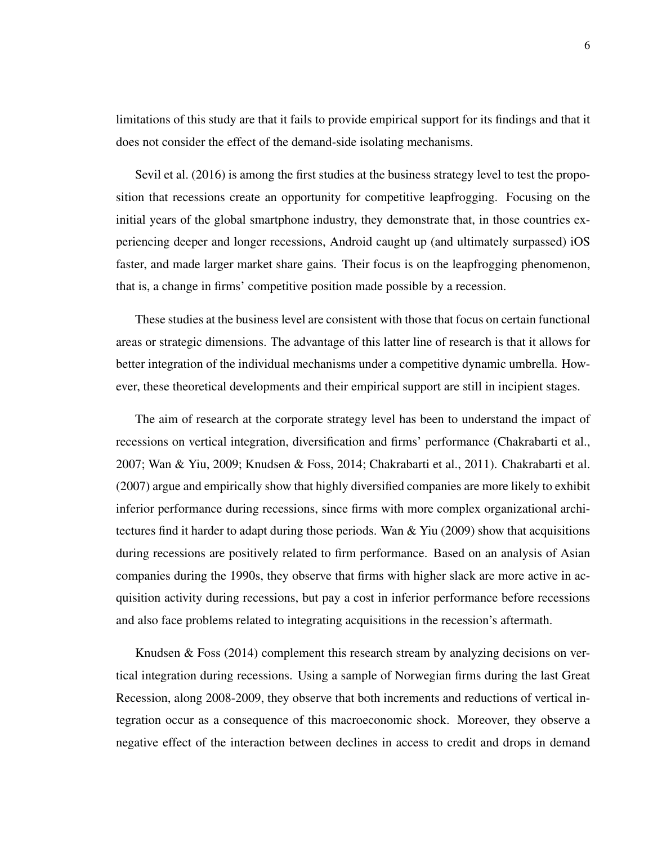limitations of this study are that it fails to provide empirical support for its findings and that it does not consider the effect of the demand-side isolating mechanisms.

[Sevil et al.](#page-47-0) [\(2016\)](#page-47-0) is among the first studies at the business strategy level to test the proposition that recessions create an opportunity for competitive leapfrogging. Focusing on the initial years of the global smartphone industry, they demonstrate that, in those countries experiencing deeper and longer recessions, Android caught up (and ultimately surpassed) iOS faster, and made larger market share gains. Their focus is on the leapfrogging phenomenon, that is, a change in firms' competitive position made possible by a recession.

These studies at the business level are consistent with those that focus on certain functional areas or strategic dimensions. The advantage of this latter line of research is that it allows for better integration of the individual mechanisms under a competitive dynamic umbrella. However, these theoretical developments and their empirical support are still in incipient stages.

The aim of research at the corporate strategy level has been to understand the impact of recessions on vertical integration, diversification and firms' performance [\(Chakrabarti et al.,](#page-44-3) [2007;](#page-44-3) [Wan & Yiu, 2009;](#page-47-1) [Knudsen & Foss, 2014;](#page-45-5) [Chakrabarti et al., 2011\)](#page-44-4). [Chakrabarti et al.](#page-44-3) [\(2007\)](#page-44-3) argue and empirically show that highly diversified companies are more likely to exhibit inferior performance during recessions, since firms with more complex organizational architectures find it harder to adapt during those periods. Wan  $\&$  Yiu [\(2009\)](#page-47-1) show that acquisitions during recessions are positively related to firm performance. Based on an analysis of Asian companies during the 1990s, they observe that firms with higher slack are more active in acquisition activity during recessions, but pay a cost in inferior performance before recessions and also face problems related to integrating acquisitions in the recession's aftermath.

[Knudsen & Foss](#page-45-5) [\(2014\)](#page-45-5) complement this research stream by analyzing decisions on vertical integration during recessions. Using a sample of Norwegian firms during the last Great Recession, along 2008-2009, they observe that both increments and reductions of vertical integration occur as a consequence of this macroeconomic shock. Moreover, they observe a negative effect of the interaction between declines in access to credit and drops in demand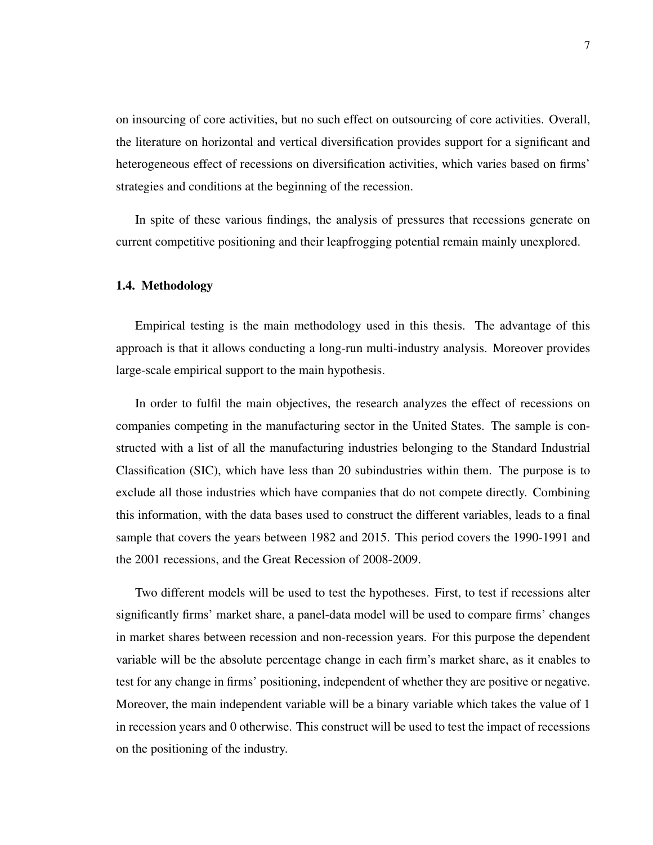on insourcing of core activities, but no such effect on outsourcing of core activities. Overall, the literature on horizontal and vertical diversification provides support for a significant and heterogeneous effect of recessions on diversification activities, which varies based on firms' strategies and conditions at the beginning of the recession.

In spite of these various findings, the analysis of pressures that recessions generate on current competitive positioning and their leapfrogging potential remain mainly unexplored.

#### <span id="page-15-0"></span>1.4. Methodology

Empirical testing is the main methodology used in this thesis. The advantage of this approach is that it allows conducting a long-run multi-industry analysis. Moreover provides large-scale empirical support to the main hypothesis.

In order to fulfil the main objectives, the research analyzes the effect of recessions on companies competing in the manufacturing sector in the United States. The sample is constructed with a list of all the manufacturing industries belonging to the Standard Industrial Classification (SIC), which have less than 20 subindustries within them. The purpose is to exclude all those industries which have companies that do not compete directly. Combining this information, with the data bases used to construct the different variables, leads to a final sample that covers the years between 1982 and 2015. This period covers the 1990-1991 and the 2001 recessions, and the Great Recession of 2008-2009.

Two different models will be used to test the hypotheses. First, to test if recessions alter significantly firms' market share, a panel-data model will be used to compare firms' changes in market shares between recession and non-recession years. For this purpose the dependent variable will be the absolute percentage change in each firm's market share, as it enables to test for any change in firms' positioning, independent of whether they are positive or negative. Moreover, the main independent variable will be a binary variable which takes the value of 1 in recession years and 0 otherwise. This construct will be used to test the impact of recessions on the positioning of the industry.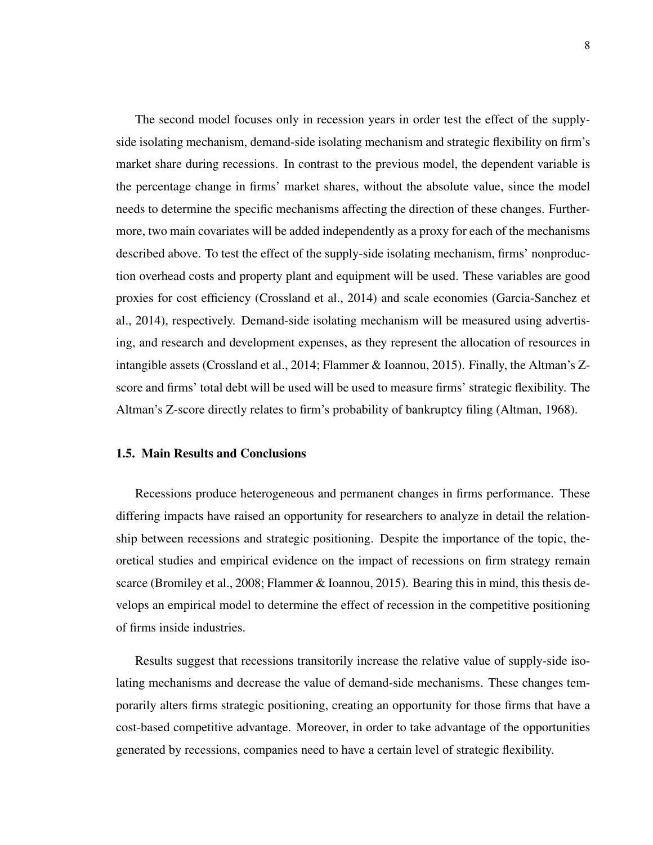The second model focuses only in recession years in order test the effect of the supplyside isolating mechanism, demand-side isolating mechanism and strategic flexibility on firm's market share during recessions. In contrast to the previous model, the dependent variable is the percentage change in firms' market shares, without the absolute value, since the model needs to determine the specific mechanisms affecting the direction of these changes. Furthermore, two main covariates will be added independently as a proxy for each of the mechanisms described above. To test the effect of the supply-side isolating mechanism, firms' nonproduction overhead costs and property plant and equipment will be used. These variables are good proxies for cost efficiency [\(Crossland et al., 2014\)](#page-44-6) and scale economies [\(Garcia-Sanchez et](#page-45-0) [al., 2014\)](#page-45-0), respectively. Demand-side isolating mechanism will be measured using advertising, and research and development expenses, as they represent the allocation of resources in intangible assets [\(Crossland et al., 2014;](#page-44-6) [Flammer & Ioannou, 2015\)](#page-45-2). Finally, the Altman's Zscore and firms' total debt will be used will be used to measure firms' strategic flexibility. The Altman's Z-score directly relates to firm's probability of bankruptcy filing [\(Altman, 1968\)](#page-44-7).

#### <span id="page-16-0"></span>1.5. Main Results and Conclusions

Recessions produce heterogeneous and permanent changes in firms performance. These differing impacts have raised an opportunity for researchers to analyze in detail the relationship between recessions and strategic positioning. Despite the importance of the topic, theoretical studies and empirical evidence on the impact of recessions on firm strategy remain scarce [\(Bromiley et al., 2008;](#page-44-1) [Flammer & Ioannou, 2015\)](#page-45-2). Bearing this in mind, this thesis develops an empirical model to determine the effect of recession in the competitive positioning of firms inside industries.

Results suggest that recessions transitorily increase the relative value of supply-side isolating mechanisms and decrease the value of demand-side mechanisms. These changes temporarily alters firms strategic positioning, creating an opportunity for those firms that have a cost-based competitive advantage. Moreover, in order to take advantage of the opportunities generated by recessions, companies need to have a certain level of strategic flexibility.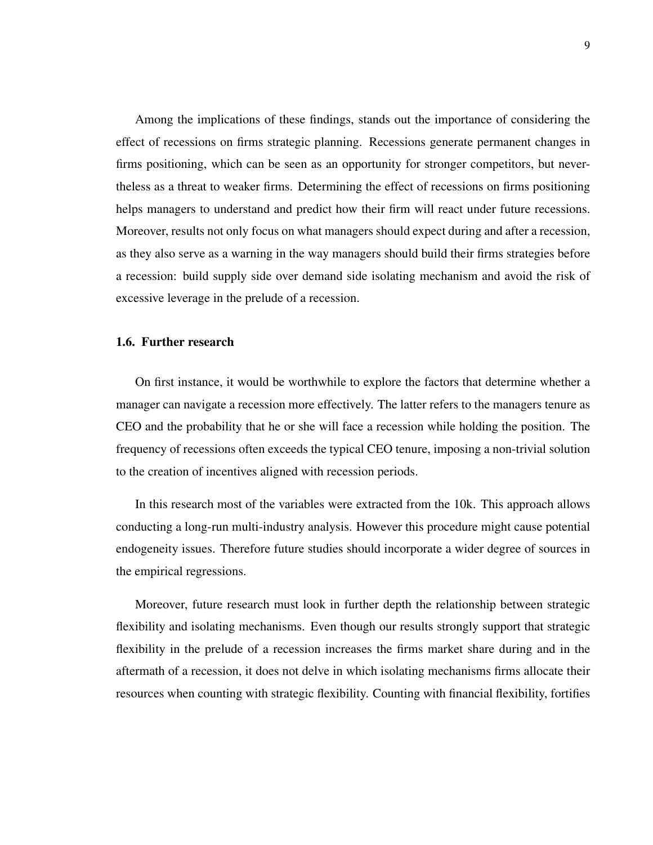Among the implications of these findings, stands out the importance of considering the effect of recessions on firms strategic planning. Recessions generate permanent changes in firms positioning, which can be seen as an opportunity for stronger competitors, but nevertheless as a threat to weaker firms. Determining the effect of recessions on firms positioning helps managers to understand and predict how their firm will react under future recessions. Moreover, results not only focus on what managers should expect during and after a recession, as they also serve as a warning in the way managers should build their firms strategies before a recession: build supply side over demand side isolating mechanism and avoid the risk of excessive leverage in the prelude of a recession.

#### <span id="page-17-0"></span>1.6. Further research

On first instance, it would be worthwhile to explore the factors that determine whether a manager can navigate a recession more effectively. The latter refers to the managers tenure as CEO and the probability that he or she will face a recession while holding the position. The frequency of recessions often exceeds the typical CEO tenure, imposing a non-trivial solution to the creation of incentives aligned with recession periods.

In this research most of the variables were extracted from the 10k. This approach allows conducting a long-run multi-industry analysis. However this procedure might cause potential endogeneity issues. Therefore future studies should incorporate a wider degree of sources in the empirical regressions.

Moreover, future research must look in further depth the relationship between strategic flexibility and isolating mechanisms. Even though our results strongly support that strategic flexibility in the prelude of a recession increases the firms market share during and in the aftermath of a recession, it does not delve in which isolating mechanisms firms allocate their resources when counting with strategic flexibility. Counting with financial flexibility, fortifies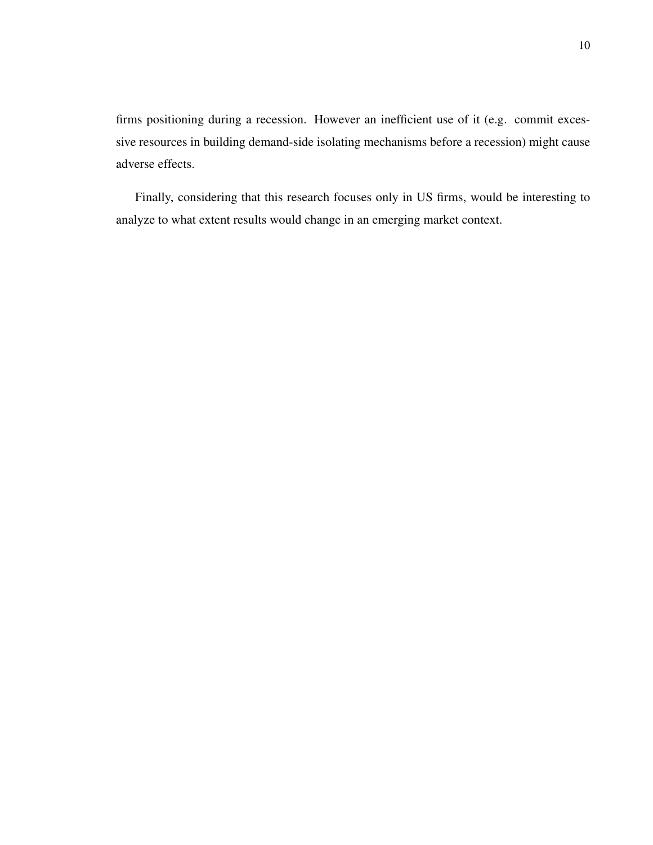firms positioning during a recession. However an inefficient use of it (e.g. commit excessive resources in building demand-side isolating mechanisms before a recession) might cause adverse effects.

Finally, considering that this research focuses only in US firms, would be interesting to analyze to what extent results would change in an emerging market context.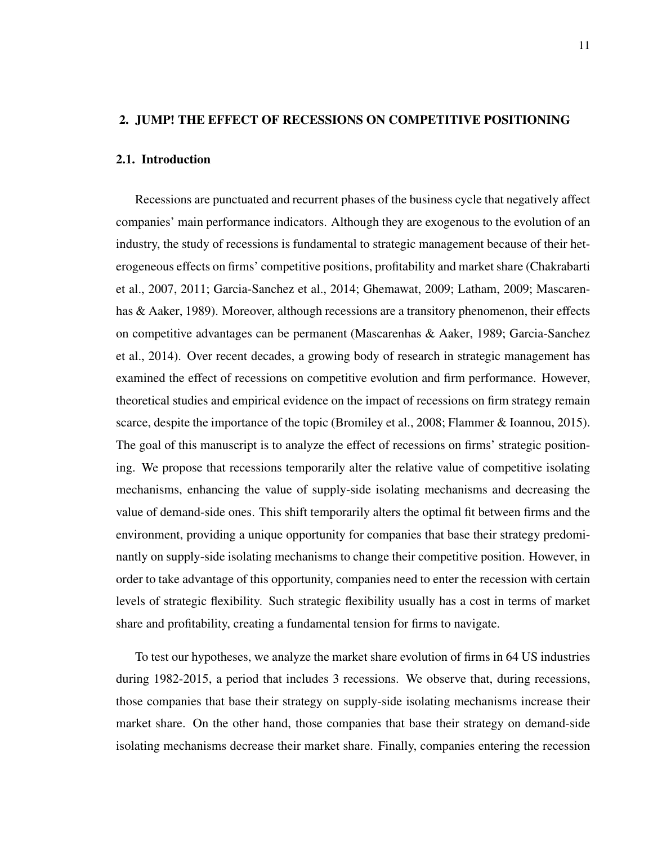#### <span id="page-19-1"></span><span id="page-19-0"></span>2. JUMP! THE EFFECT OF RECESSIONS ON COMPETITIVE POSITIONING

#### 2.1. Introduction

Recessions are punctuated and recurrent phases of the business cycle that negatively affect companies' main performance indicators. Although they are exogenous to the evolution of an industry, the study of recessions is fundamental to strategic management because of their heterogeneous effects on firms' competitive positions, profitability and market share [\(Chakrabarti](#page-44-3) [et al., 2007,](#page-44-3) [2011;](#page-44-4) [Garcia-Sanchez et al., 2014;](#page-45-0) [Ghemawat, 2009;](#page-45-1) [Latham, 2009;](#page-46-1) [Mascaren](#page-46-2)[has & Aaker, 1989\)](#page-46-2). Moreover, although recessions are a transitory phenomenon, their effects on competitive advantages can be permanent [\(Mascarenhas & Aaker, 1989;](#page-46-2) [Garcia-Sanchez](#page-45-0) [et al., 2014\)](#page-45-0). Over recent decades, a growing body of research in strategic management has examined the effect of recessions on competitive evolution and firm performance. However, theoretical studies and empirical evidence on the impact of recessions on firm strategy remain scarce, despite the importance of the topic [\(Bromiley et al., 2008;](#page-44-1) [Flammer & Ioannou, 2015\)](#page-45-2). The goal of this manuscript is to analyze the effect of recessions on firms' strategic positioning. We propose that recessions temporarily alter the relative value of competitive isolating mechanisms, enhancing the value of supply-side isolating mechanisms and decreasing the value of demand-side ones. This shift temporarily alters the optimal fit between firms and the environment, providing a unique opportunity for companies that base their strategy predominantly on supply-side isolating mechanisms to change their competitive position. However, in order to take advantage of this opportunity, companies need to enter the recession with certain levels of strategic flexibility. Such strategic flexibility usually has a cost in terms of market share and profitability, creating a fundamental tension for firms to navigate.

To test our hypotheses, we analyze the market share evolution of firms in 64 US industries during 1982-2015, a period that includes 3 recessions. We observe that, during recessions, those companies that base their strategy on supply-side isolating mechanisms increase their market share. On the other hand, those companies that base their strategy on demand-side isolating mechanisms decrease their market share. Finally, companies entering the recession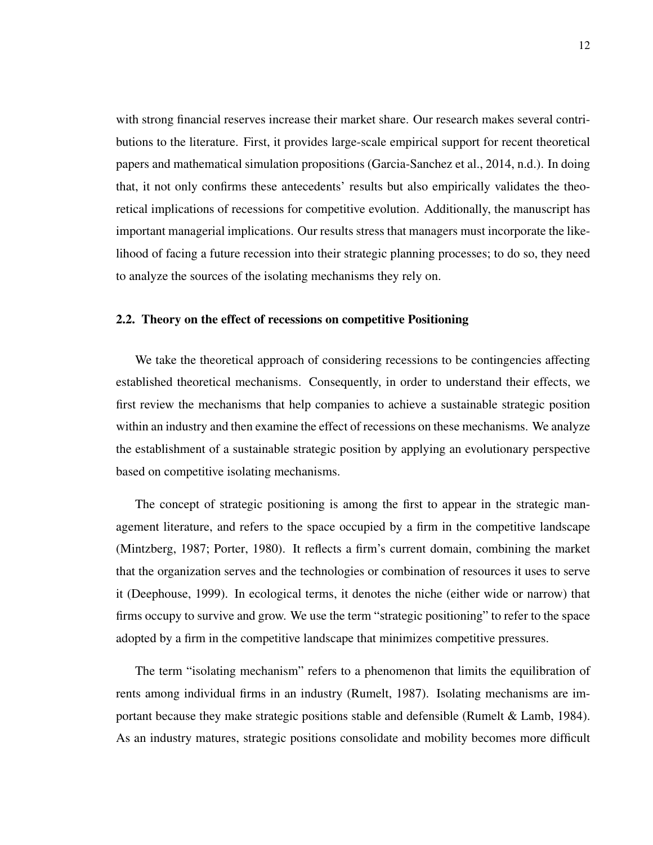with strong financial reserves increase their market share. Our research makes several contributions to the literature. First, it provides large-scale empirical support for recent theoretical papers and mathematical simulation propositions [\(Garcia-Sanchez et al., 2014,](#page-45-0) [n.d.\)](#page-45-3). In doing that, it not only confirms these antecedents' results but also empirically validates the theoretical implications of recessions for competitive evolution. Additionally, the manuscript has important managerial implications. Our results stress that managers must incorporate the likelihood of facing a future recession into their strategic planning processes; to do so, they need to analyze the sources of the isolating mechanisms they rely on.

#### <span id="page-20-0"></span>2.2. Theory on the effect of recessions on competitive Positioning

We take the theoretical approach of considering recessions to be contingencies affecting established theoretical mechanisms. Consequently, in order to understand their effects, we first review the mechanisms that help companies to achieve a sustainable strategic position within an industry and then examine the effect of recessions on these mechanisms. We analyze the establishment of a sustainable strategic position by applying an evolutionary perspective based on competitive isolating mechanisms.

The concept of strategic positioning is among the first to appear in the strategic management literature, and refers to the space occupied by a firm in the competitive landscape [\(Mintzberg, 1987;](#page-46-6) [Porter, 1980\)](#page-46-7). It reflects a firm's current domain, combining the market that the organization serves and the technologies or combination of resources it uses to serve it [\(Deephouse, 1999\)](#page-45-6). In ecological terms, it denotes the niche (either wide or narrow) that firms occupy to survive and grow. We use the term "strategic positioning" to refer to the space adopted by a firm in the competitive landscape that minimizes competitive pressures.

The term "isolating mechanism" refers to a phenomenon that limits the equilibration of rents among individual firms in an industry [\(Rumelt, 1987\)](#page-46-8). Isolating mechanisms are important because they make strategic positions stable and defensible [\(Rumelt & Lamb, 1984\)](#page-46-9). As an industry matures, strategic positions consolidate and mobility becomes more difficult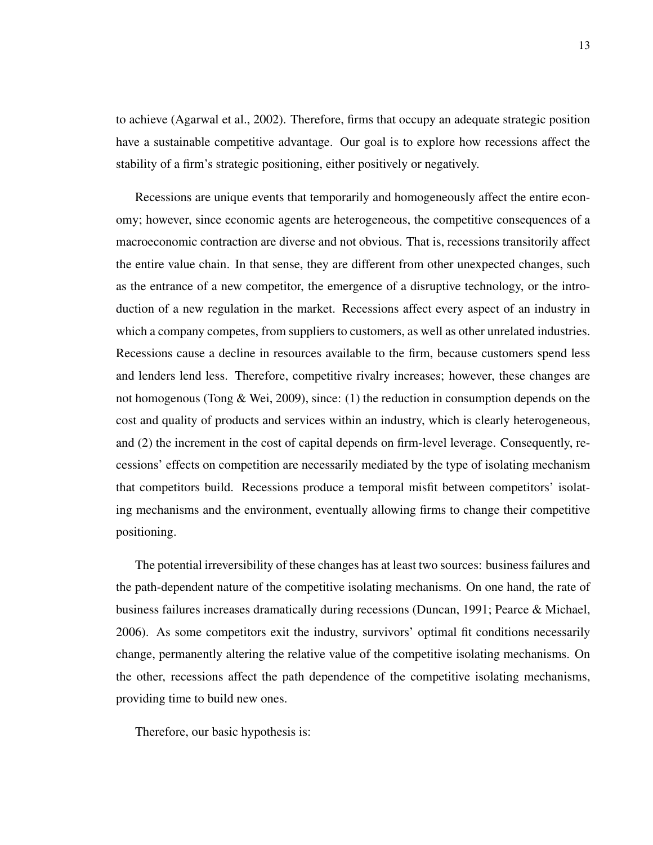to achieve [\(Agarwal et al., 2002\)](#page-44-8). Therefore, firms that occupy an adequate strategic position have a sustainable competitive advantage. Our goal is to explore how recessions affect the stability of a firm's strategic positioning, either positively or negatively.

Recessions are unique events that temporarily and homogeneously affect the entire economy; however, since economic agents are heterogeneous, the competitive consequences of a macroeconomic contraction are diverse and not obvious. That is, recessions transitorily affect the entire value chain. In that sense, they are different from other unexpected changes, such as the entrance of a new competitor, the emergence of a disruptive technology, or the introduction of a new regulation in the market. Recessions affect every aspect of an industry in which a company competes, from suppliers to customers, as well as other unrelated industries. Recessions cause a decline in resources available to the firm, because customers spend less and lenders lend less. Therefore, competitive rivalry increases; however, these changes are not homogenous [\(Tong & Wei, 2009\)](#page-47-2), since: (1) the reduction in consumption depends on the cost and quality of products and services within an industry, which is clearly heterogeneous, and (2) the increment in the cost of capital depends on firm-level leverage. Consequently, recessions' effects on competition are necessarily mediated by the type of isolating mechanism that competitors build. Recessions produce a temporal misfit between competitors' isolating mechanisms and the environment, eventually allowing firms to change their competitive positioning.

The potential irreversibility of these changes has at least two sources: business failures and the path-dependent nature of the competitive isolating mechanisms. On one hand, the rate of business failures increases dramatically during recessions [\(Duncan, 1991;](#page-45-7) [Pearce & Michael,](#page-46-4) [2006\)](#page-46-4). As some competitors exit the industry, survivors' optimal fit conditions necessarily change, permanently altering the relative value of the competitive isolating mechanisms. On the other, recessions affect the path dependence of the competitive isolating mechanisms, providing time to build new ones.

Therefore, our basic hypothesis is: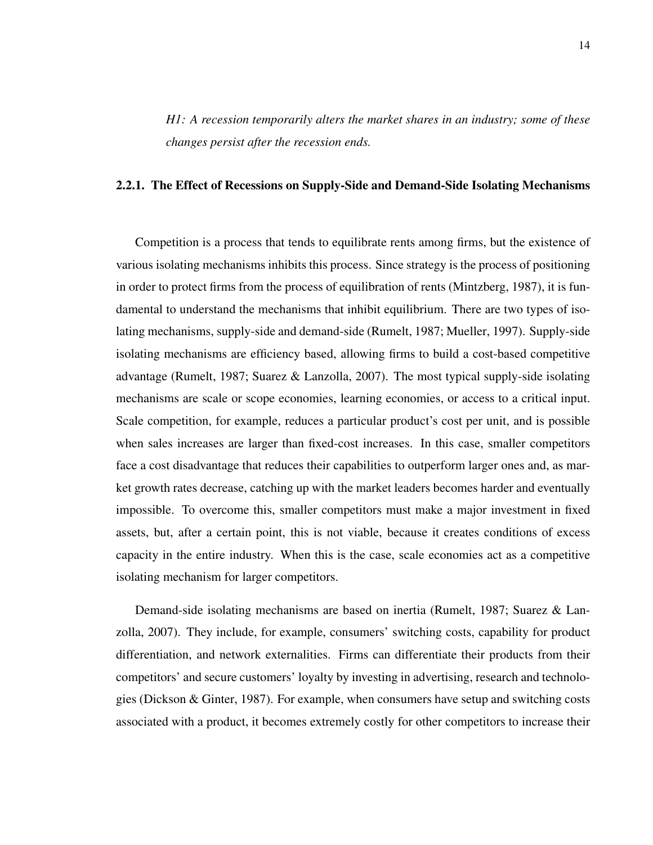*H1: A recession temporarily alters the market shares in an industry; some of these changes persist after the recession ends.*

#### <span id="page-22-0"></span>2.2.1. The Effect of Recessions on Supply-Side and Demand-Side Isolating Mechanisms

Competition is a process that tends to equilibrate rents among firms, but the existence of various isolating mechanisms inhibits this process. Since strategy is the process of positioning in order to protect firms from the process of equilibration of rents [\(Mintzberg, 1987\)](#page-46-6), it is fundamental to understand the mechanisms that inhibit equilibrium. There are two types of isolating mechanisms, supply-side and demand-side [\(Rumelt, 1987;](#page-46-8) [Mueller, 1997\)](#page-46-10). Supply-side isolating mechanisms are efficiency based, allowing firms to build a cost-based competitive advantage [\(Rumelt, 1987;](#page-46-8) [Suarez & Lanzolla, 2007\)](#page-47-3). The most typical supply-side isolating mechanisms are scale or scope economies, learning economies, or access to a critical input. Scale competition, for example, reduces a particular product's cost per unit, and is possible when sales increases are larger than fixed-cost increases. In this case, smaller competitors face a cost disadvantage that reduces their capabilities to outperform larger ones and, as market growth rates decrease, catching up with the market leaders becomes harder and eventually impossible. To overcome this, smaller competitors must make a major investment in fixed assets, but, after a certain point, this is not viable, because it creates conditions of excess capacity in the entire industry. When this is the case, scale economies act as a competitive isolating mechanism for larger competitors.

Demand-side isolating mechanisms are based on inertia [\(Rumelt, 1987;](#page-46-8) [Suarez & Lan](#page-47-3)[zolla, 2007\)](#page-47-3). They include, for example, consumers' switching costs, capability for product differentiation, and network externalities. Firms can differentiate their products from their competitors' and secure customers' loyalty by investing in advertising, research and technologies [\(Dickson & Ginter, 1987\)](#page-45-8). For example, when consumers have setup and switching costs associated with a product, it becomes extremely costly for other competitors to increase their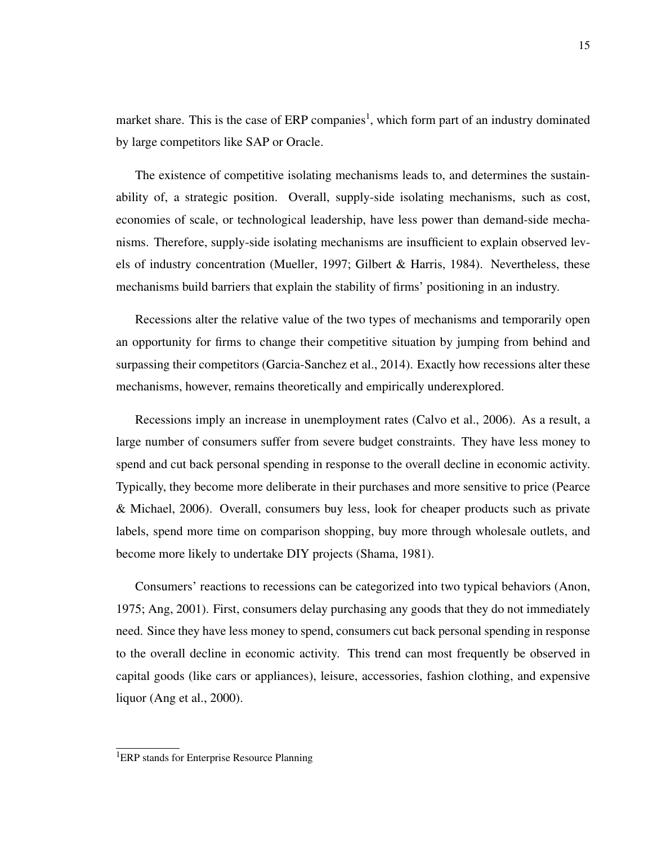market share. This is the case of ERP companies<sup>[1](#page-23-0)</sup>, which form part of an industry dominated by large competitors like SAP or Oracle.

The existence of competitive isolating mechanisms leads to, and determines the sustainability of, a strategic position. Overall, supply-side isolating mechanisms, such as cost, economies of scale, or technological leadership, have less power than demand-side mechanisms. Therefore, supply-side isolating mechanisms are insufficient to explain observed levels of industry concentration [\(Mueller, 1997;](#page-46-10) [Gilbert & Harris, 1984\)](#page-45-9). Nevertheless, these mechanisms build barriers that explain the stability of firms' positioning in an industry.

Recessions alter the relative value of the two types of mechanisms and temporarily open an opportunity for firms to change their competitive situation by jumping from behind and surpassing their competitors [\(Garcia-Sanchez et al., 2014\)](#page-45-0). Exactly how recessions alter these mechanisms, however, remains theoretically and empirically underexplored.

Recessions imply an increase in unemployment rates [\(Calvo et al., 2006\)](#page-44-9). As a result, a large number of consumers suffer from severe budget constraints. They have less money to spend and cut back personal spending in response to the overall decline in economic activity. Typically, they become more deliberate in their purchases and more sensitive to price [\(Pearce](#page-46-4) [& Michael, 2006\)](#page-46-4). Overall, consumers buy less, look for cheaper products such as private labels, spend more time on comparison shopping, buy more through wholesale outlets, and become more likely to undertake DIY projects [\(Shama, 1981\)](#page-47-4).

Consumers' reactions to recessions can be categorized into two typical behaviors [\(Anon,](#page-44-10) [1975;](#page-44-10) [Ang, 2001\)](#page-44-11). First, consumers delay purchasing any goods that they do not immediately need. Since they have less money to spend, consumers cut back personal spending in response to the overall decline in economic activity. This trend can most frequently be observed in capital goods (like cars or appliances), leisure, accessories, fashion clothing, and expensive liquor [\(Ang et al., 2000\)](#page-44-12).

<span id="page-23-0"></span><sup>&</sup>lt;sup>1</sup>ERP stands for Enterprise Resource Planning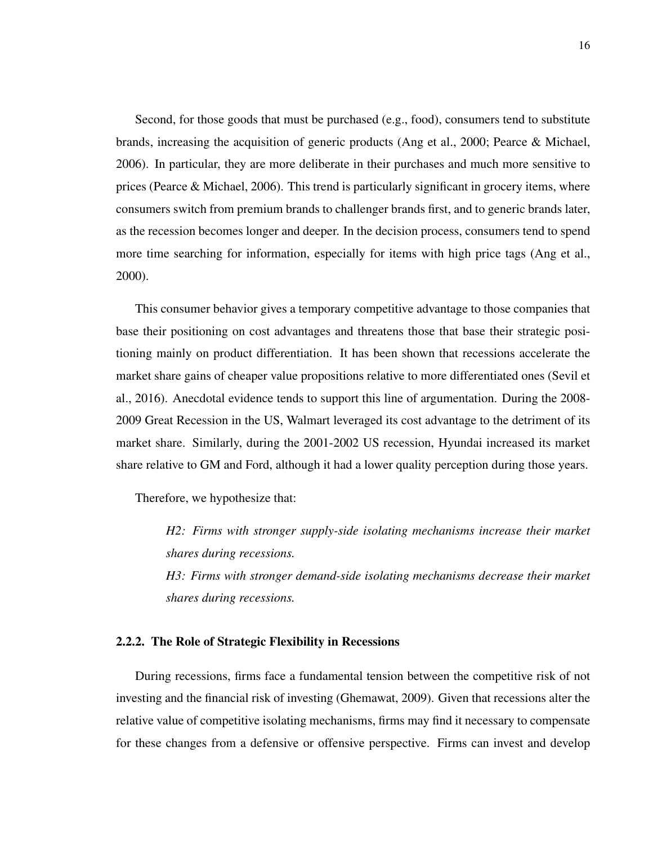Second, for those goods that must be purchased (e.g., food), consumers tend to substitute brands, increasing the acquisition of generic products [\(Ang et al., 2000;](#page-44-12) [Pearce & Michael,](#page-46-4) [2006\)](#page-46-4). In particular, they are more deliberate in their purchases and much more sensitive to prices (Pearce  $\&$  Michael, 2006). This trend is particularly significant in grocery items, where consumers switch from premium brands to challenger brands first, and to generic brands later, as the recession becomes longer and deeper. In the decision process, consumers tend to spend more time searching for information, especially for items with high price tags [\(Ang et al.,](#page-44-12) [2000\)](#page-44-12).

This consumer behavior gives a temporary competitive advantage to those companies that base their positioning on cost advantages and threatens those that base their strategic positioning mainly on product differentiation. It has been shown that recessions accelerate the market share gains of cheaper value propositions relative to more differentiated ones [\(Sevil et](#page-47-0) [al., 2016\)](#page-47-0). Anecdotal evidence tends to support this line of argumentation. During the 2008- 2009 Great Recession in the US, Walmart leveraged its cost advantage to the detriment of its market share. Similarly, during the 2001-2002 US recession, Hyundai increased its market share relative to GM and Ford, although it had a lower quality perception during those years.

Therefore, we hypothesize that:

*H2: Firms with stronger supply-side isolating mechanisms increase their market shares during recessions. H3: Firms with stronger demand-side isolating mechanisms decrease their market shares during recessions.*

#### <span id="page-24-0"></span>2.2.2. The Role of Strategic Flexibility in Recessions

During recessions, firms face a fundamental tension between the competitive risk of not investing and the financial risk of investing [\(Ghemawat, 2009\)](#page-45-1). Given that recessions alter the relative value of competitive isolating mechanisms, firms may find it necessary to compensate for these changes from a defensive or offensive perspective. Firms can invest and develop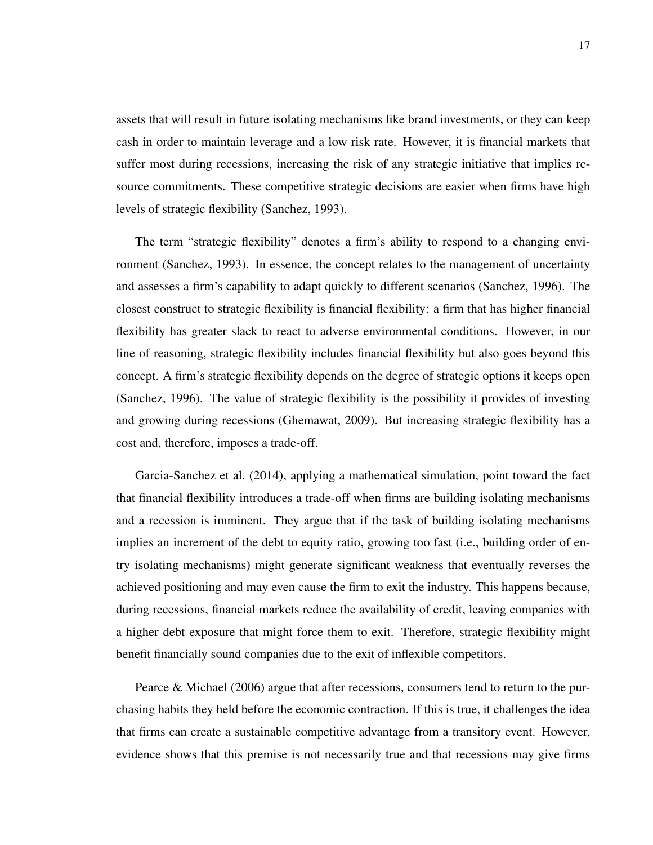assets that will result in future isolating mechanisms like brand investments, or they can keep cash in order to maintain leverage and a low risk rate. However, it is financial markets that suffer most during recessions, increasing the risk of any strategic initiative that implies resource commitments. These competitive strategic decisions are easier when firms have high levels of strategic flexibility [\(Sanchez, 1993\)](#page-47-5).

The term "strategic flexibility" denotes a firm's ability to respond to a changing environment [\(Sanchez, 1993\)](#page-47-5). In essence, the concept relates to the management of uncertainty and assesses a firm's capability to adapt quickly to different scenarios [\(Sanchez, 1996\)](#page-47-6). The closest construct to strategic flexibility is financial flexibility: a firm that has higher financial flexibility has greater slack to react to adverse environmental conditions. However, in our line of reasoning, strategic flexibility includes financial flexibility but also goes beyond this concept. A firm's strategic flexibility depends on the degree of strategic options it keeps open [\(Sanchez, 1996\)](#page-47-6). The value of strategic flexibility is the possibility it provides of investing and growing during recessions [\(Ghemawat, 2009\)](#page-45-1). But increasing strategic flexibility has a cost and, therefore, imposes a trade-off.

[Garcia-Sanchez et al.](#page-45-0) [\(2014\)](#page-45-0), applying a mathematical simulation, point toward the fact that financial flexibility introduces a trade-off when firms are building isolating mechanisms and a recession is imminent. They argue that if the task of building isolating mechanisms implies an increment of the debt to equity ratio, growing too fast (i.e., building order of entry isolating mechanisms) might generate significant weakness that eventually reverses the achieved positioning and may even cause the firm to exit the industry. This happens because, during recessions, financial markets reduce the availability of credit, leaving companies with a higher debt exposure that might force them to exit. Therefore, strategic flexibility might benefit financially sound companies due to the exit of inflexible competitors.

[Pearce & Michael](#page-46-4) [\(2006\)](#page-46-4) argue that after recessions, consumers tend to return to the purchasing habits they held before the economic contraction. If this is true, it challenges the idea that firms can create a sustainable competitive advantage from a transitory event. However, evidence shows that this premise is not necessarily true and that recessions may give firms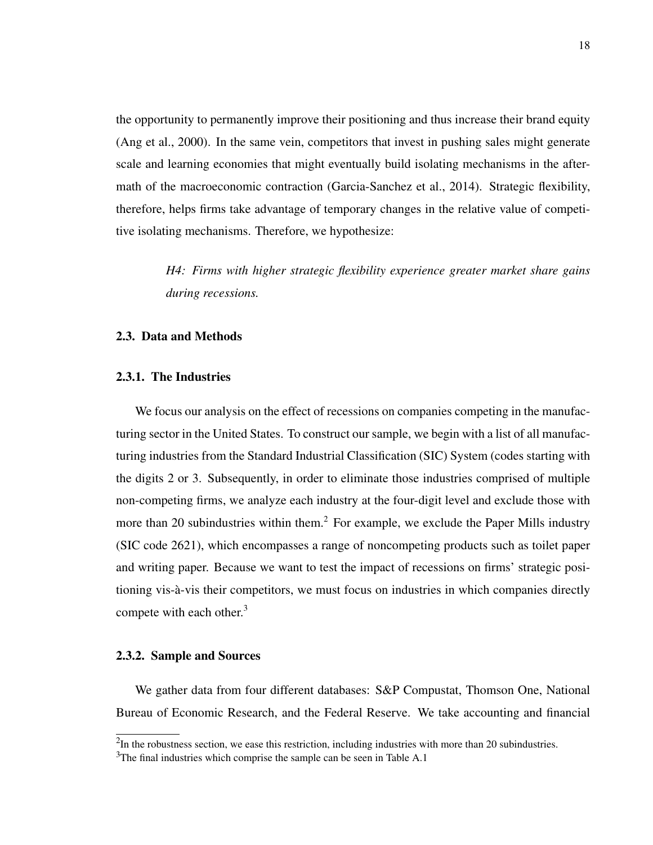the opportunity to permanently improve their positioning and thus increase their brand equity [\(Ang et al., 2000\)](#page-44-12). In the same vein, competitors that invest in pushing sales might generate scale and learning economies that might eventually build isolating mechanisms in the aftermath of the macroeconomic contraction [\(Garcia-Sanchez et al., 2014\)](#page-45-0). Strategic flexibility, therefore, helps firms take advantage of temporary changes in the relative value of competitive isolating mechanisms. Therefore, we hypothesize:

> *H4: Firms with higher strategic flexibility experience greater market share gains during recessions.*

#### <span id="page-26-1"></span><span id="page-26-0"></span>2.3. Data and Methods

#### 2.3.1. The Industries

We focus our analysis on the effect of recessions on companies competing in the manufacturing sector in the United States. To construct our sample, we begin with a list of all manufacturing industries from the Standard Industrial Classification (SIC) System (codes starting with the digits 2 or 3. Subsequently, in order to eliminate those industries comprised of multiple non-competing firms, we analyze each industry at the four-digit level and exclude those with more than [2](#page-26-3)0 subindustries within them.<sup>2</sup> For example, we exclude the Paper Mills industry (SIC code 2621), which encompasses a range of noncompeting products such as toilet paper and writing paper. Because we want to test the impact of recessions on firms' strategic positioning vis-a-vis their competitors, we must focus on industries in which companies directly ` compete with each other. $3$ 

#### <span id="page-26-2"></span>2.3.2. Sample and Sources

We gather data from four different databases: S&P Compustat, Thomson One, National Bureau of Economic Research, and the Federal Reserve. We take accounting and financial

<span id="page-26-3"></span> $2$ In the robustness section, we ease this restriction, including industries with more than 20 subindustries.

<span id="page-26-4"></span><sup>&</sup>lt;sup>3</sup>The final industries which comprise the sample can be seen in Table [A.1](#page-49-1)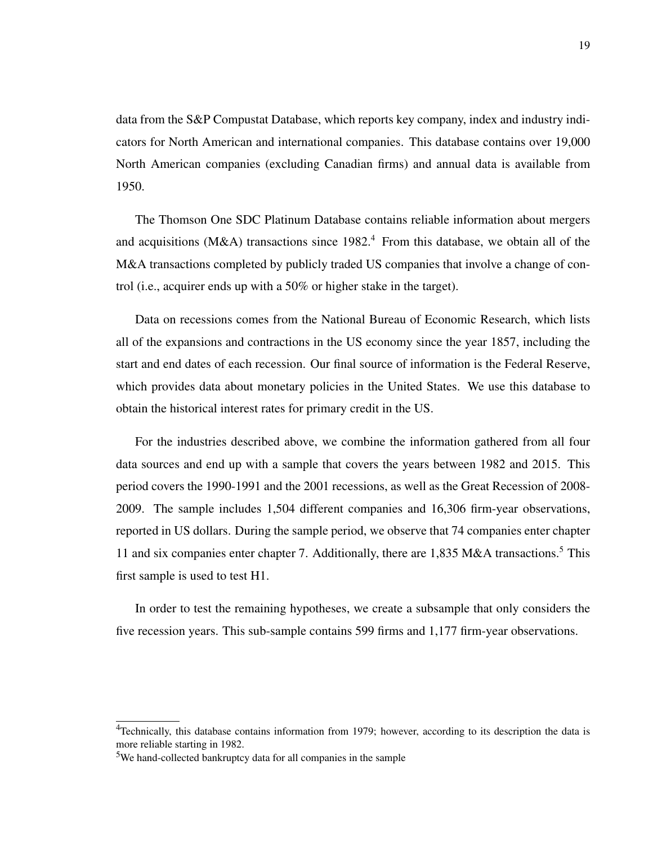data from the S&P Compustat Database, which reports key company, index and industry indicators for North American and international companies. This database contains over 19,000 North American companies (excluding Canadian firms) and annual data is available from 1950.

The Thomson One SDC Platinum Database contains reliable information about mergers and acquisitions (M&A) transactions since  $1982<sup>4</sup>$  $1982<sup>4</sup>$  $1982<sup>4</sup>$  From this database, we obtain all of the M&A transactions completed by publicly traded US companies that involve a change of control (i.e., acquirer ends up with a 50% or higher stake in the target).

Data on recessions comes from the National Bureau of Economic Research, which lists all of the expansions and contractions in the US economy since the year 1857, including the start and end dates of each recession. Our final source of information is the Federal Reserve, which provides data about monetary policies in the United States. We use this database to obtain the historical interest rates for primary credit in the US.

For the industries described above, we combine the information gathered from all four data sources and end up with a sample that covers the years between 1982 and 2015. This period covers the 1990-1991 and the 2001 recessions, as well as the Great Recession of 2008- 2009. The sample includes 1,504 different companies and 16,306 firm-year observations, reported in US dollars. During the sample period, we observe that 74 companies enter chapter 11 and six companies enter chapter 7. Additionally, there are  $1,835$  $1,835$  M&A transactions.<sup>5</sup> This first sample is used to test H1.

In order to test the remaining hypotheses, we create a subsample that only considers the five recession years. This sub-sample contains 599 firms and 1,177 firm-year observations.

<span id="page-27-0"></span><sup>&</sup>lt;sup>4</sup>Technically, this database contains information from 1979; however, according to its description the data is more reliable starting in 1982.

<span id="page-27-1"></span><sup>5</sup>We hand-collected bankruptcy data for all companies in the sample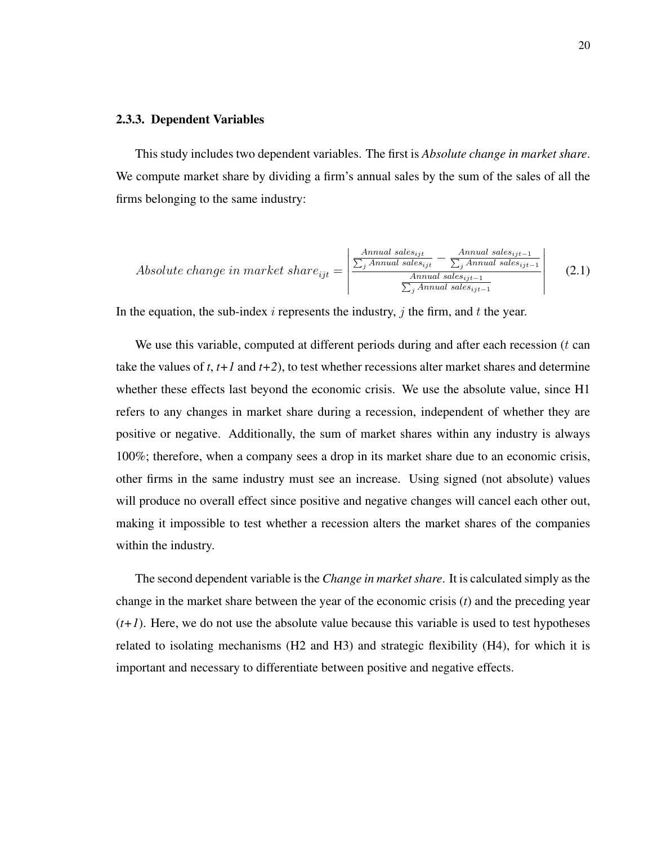#### <span id="page-28-0"></span>2.3.3. Dependent Variables

This study includes two dependent variables. The first is *Absolute change in market share*. We compute market share by dividing a firm's annual sales by the sum of the sales of all the firms belonging to the same industry:

*Absolute change in market share*<sub>ijt</sub> = 
$$
\begin{vmatrix} \frac{Annual sales_{ijt}}{\sum_{j} Annual sales_{ijt}} - \frac{Annual sales_{ijt-1}}{\sum_{j} Annual sales_{ijt-1}}\\ \frac{Annual sales_{ijt-1}}{\sum_{j} Annual sales_{ijt-1}} \end{vmatrix}
$$
 (2.1)

In the equation, the sub-index i represents the industry, j the firm, and t the year.

We use this variable, computed at different periods during and after each recession  $(t \text{ can})$ take the values of *t*, *t+1* and *t+2*), to test whether recessions alter market shares and determine whether these effects last beyond the economic crisis. We use the absolute value, since H1 refers to any changes in market share during a recession, independent of whether they are positive or negative. Additionally, the sum of market shares within any industry is always 100%; therefore, when a company sees a drop in its market share due to an economic crisis, other firms in the same industry must see an increase. Using signed (not absolute) values will produce no overall effect since positive and negative changes will cancel each other out, making it impossible to test whether a recession alters the market shares of the companies within the industry.

The second dependent variable is the *Change in market share*. It is calculated simply as the change in the market share between the year of the economic crisis (*t*) and the preceding year  $(t+1)$ . Here, we do not use the absolute value because this variable is used to test hypotheses related to isolating mechanisms (H2 and H3) and strategic flexibility (H4), for which it is important and necessary to differentiate between positive and negative effects.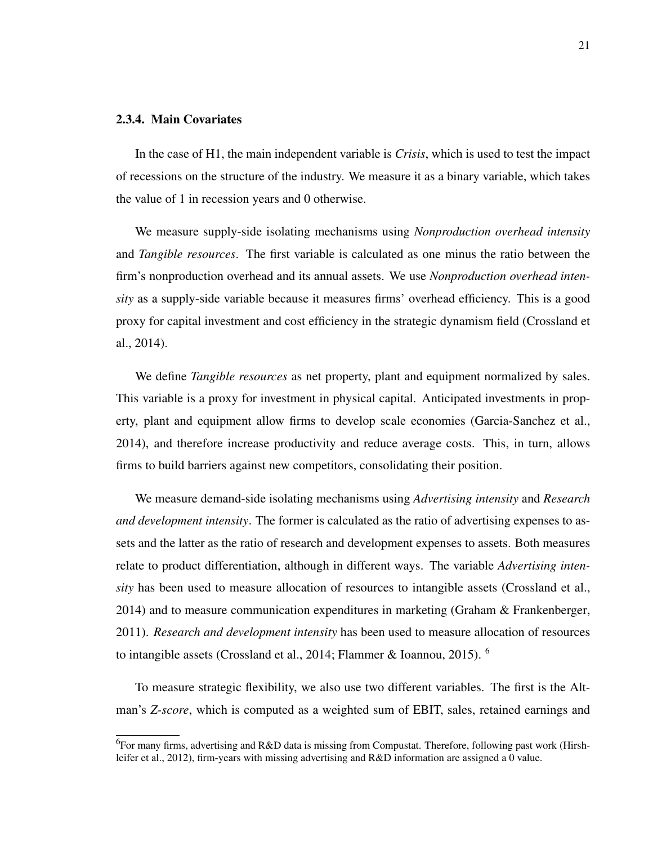#### <span id="page-29-0"></span>2.3.4. Main Covariates

In the case of H1, the main independent variable is *Crisis*, which is used to test the impact of recessions on the structure of the industry. We measure it as a binary variable, which takes the value of 1 in recession years and 0 otherwise.

We measure supply-side isolating mechanisms using *Nonproduction overhead intensity* and *Tangible resources*. The first variable is calculated as one minus the ratio between the firm's nonproduction overhead and its annual assets. We use *Nonproduction overhead intensity* as a supply-side variable because it measures firms' overhead efficiency. This is a good proxy for capital investment and cost efficiency in the strategic dynamism field [\(Crossland et](#page-44-6) [al., 2014\)](#page-44-6).

We define *Tangible resources* as net property, plant and equipment normalized by sales. This variable is a proxy for investment in physical capital. Anticipated investments in property, plant and equipment allow firms to develop scale economies [\(Garcia-Sanchez et al.,](#page-45-0) [2014\)](#page-45-0), and therefore increase productivity and reduce average costs. This, in turn, allows firms to build barriers against new competitors, consolidating their position.

We measure demand-side isolating mechanisms using *Advertising intensity* and *Research and development intensity*. The former is calculated as the ratio of advertising expenses to assets and the latter as the ratio of research and development expenses to assets. Both measures relate to product differentiation, although in different ways. The variable *Advertising intensity* has been used to measure allocation of resources to intangible assets [\(Crossland et al.,](#page-44-6) [2014\)](#page-44-6) and to measure communication expenditures in marketing [\(Graham & Frankenberger,](#page-45-10) [2011\)](#page-45-10). *Research and development intensity* has been used to measure allocation of resources to intangible assets [\(Crossland et al., 2014;](#page-44-6) [Flammer & Ioannou, 2015\)](#page-45-2). [6](#page-29-1)

To measure strategic flexibility, we also use two different variables. The first is the Altman's *Z-score*, which is computed as a weighted sum of EBIT, sales, retained earnings and

<span id="page-29-1"></span><sup>&</sup>lt;sup>6</sup>For many firms, advertising and R&D data is missing from Compustat. Therefore, following past work [\(Hirsh](#page-45-11)[leifer et al., 2012\)](#page-45-11), firm-years with missing advertising and R&D information are assigned a 0 value.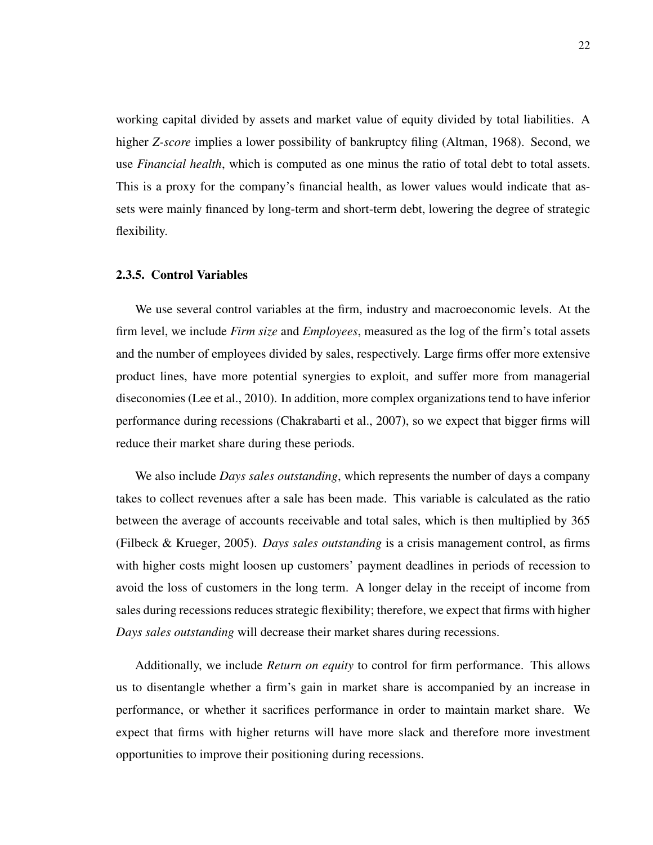working capital divided by assets and market value of equity divided by total liabilities. A higher *Z-score* implies a lower possibility of bankruptcy filing [\(Altman, 1968\)](#page-44-7). Second, we use *Financial health*, which is computed as one minus the ratio of total debt to total assets. This is a proxy for the company's financial health, as lower values would indicate that assets were mainly financed by long-term and short-term debt, lowering the degree of strategic flexibility.

#### <span id="page-30-0"></span>2.3.5. Control Variables

We use several control variables at the firm, industry and macroeconomic levels. At the firm level, we include *Firm size* and *Employees*, measured as the log of the firm's total assets and the number of employees divided by sales, respectively. Large firms offer more extensive product lines, have more potential synergies to exploit, and suffer more from managerial diseconomies [\(Lee et al., 2010\)](#page-46-11). In addition, more complex organizations tend to have inferior performance during recessions [\(Chakrabarti et al., 2007\)](#page-44-3), so we expect that bigger firms will reduce their market share during these periods.

We also include *Days sales outstanding*, which represents the number of days a company takes to collect revenues after a sale has been made. This variable is calculated as the ratio between the average of accounts receivable and total sales, which is then multiplied by 365 [\(Filbeck & Krueger, 2005\)](#page-45-12). *Days sales outstanding* is a crisis management control, as firms with higher costs might loosen up customers' payment deadlines in periods of recession to avoid the loss of customers in the long term. A longer delay in the receipt of income from sales during recessions reduces strategic flexibility; therefore, we expect that firms with higher *Days sales outstanding* will decrease their market shares during recessions.

Additionally, we include *Return on equity* to control for firm performance. This allows us to disentangle whether a firm's gain in market share is accompanied by an increase in performance, or whether it sacrifices performance in order to maintain market share. We expect that firms with higher returns will have more slack and therefore more investment opportunities to improve their positioning during recessions.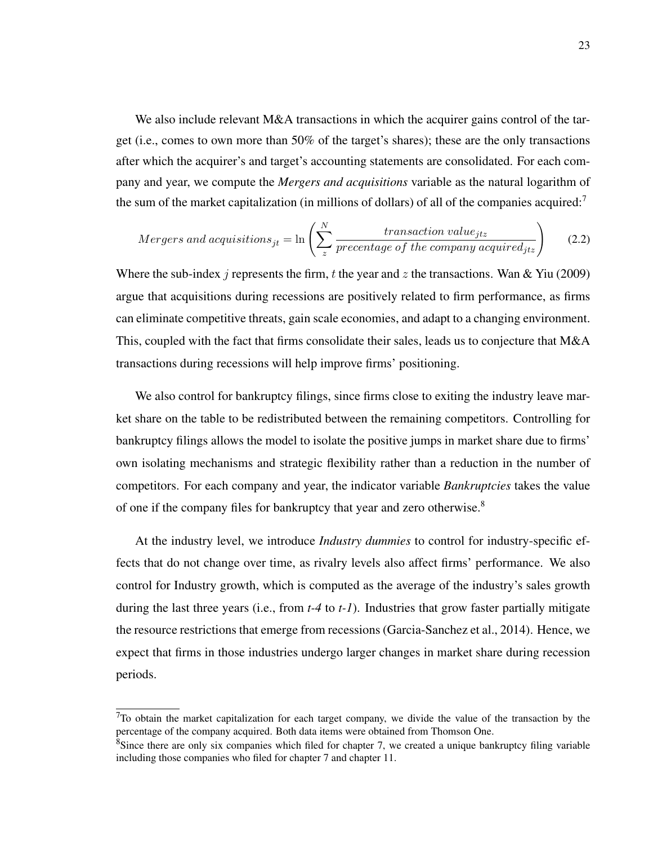We also include relevant M&A transactions in which the acquirer gains control of the target (i.e., comes to own more than 50% of the target's shares); these are the only transactions after which the acquirer's and target's accounting statements are consolidated. For each company and year, we compute the *Mergers and acquisitions* variable as the natural logarithm of the sum of the market capitalization (in millions of dollars) of all of the companies acquired: $\frac{7}{10}$  $\frac{7}{10}$  $\frac{7}{10}$ 

$$
Mergers and \ a equisitions_{jt} = \ln\left(\sum_{z}^{N} \frac{transaction \ value_{jtz}}{precentage \ of \ the \ company \ acquired_{jtz}}\right) \tag{2.2}
$$

Where the sub-index j represents the firm, t the year and z the transactions. [Wan & Yiu](#page-47-1) [\(2009\)](#page-47-1) argue that acquisitions during recessions are positively related to firm performance, as firms can eliminate competitive threats, gain scale economies, and adapt to a changing environment. This, coupled with the fact that firms consolidate their sales, leads us to conjecture that M&A transactions during recessions will help improve firms' positioning.

We also control for bankruptcy filings, since firms close to exiting the industry leave market share on the table to be redistributed between the remaining competitors. Controlling for bankruptcy filings allows the model to isolate the positive jumps in market share due to firms' own isolating mechanisms and strategic flexibility rather than a reduction in the number of competitors. For each company and year, the indicator variable *Bankruptcies* takes the value of one if the company files for bankruptcy that year and zero otherwise.[8](#page-31-1)

At the industry level, we introduce *Industry dummies* to control for industry-specific effects that do not change over time, as rivalry levels also affect firms' performance. We also control for Industry growth, which is computed as the average of the industry's sales growth during the last three years (i.e., from *t-4* to *t-1*). Industries that grow faster partially mitigate the resource restrictions that emerge from recessions [\(Garcia-Sanchez et al., 2014\)](#page-45-0). Hence, we expect that firms in those industries undergo larger changes in market share during recession periods.

<span id="page-31-0"></span> $^{7}$ To obtain the market capitalization for each target company, we divide the value of the transaction by the percentage of the company acquired. Both data items were obtained from Thomson One.

<span id="page-31-1"></span><sup>&</sup>lt;sup>8</sup>Since there are only six companies which filed for chapter 7, we created a unique bankruptcy filing variable including those companies who filed for chapter 7 and chapter 11.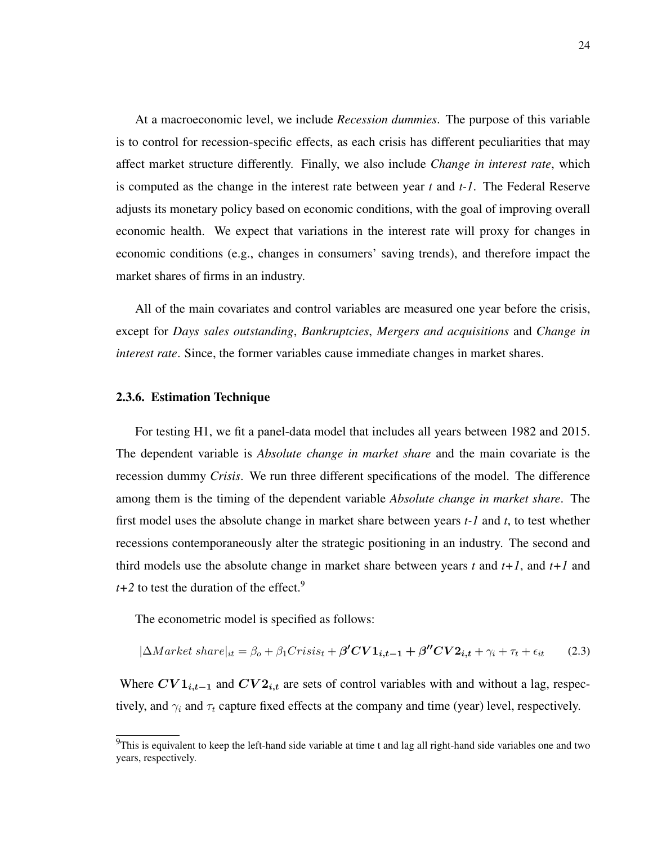At a macroeconomic level, we include *Recession dummies*. The purpose of this variable is to control for recession-specific effects, as each crisis has different peculiarities that may affect market structure differently. Finally, we also include *Change in interest rate*, which is computed as the change in the interest rate between year *t* and *t-1*. The Federal Reserve adjusts its monetary policy based on economic conditions, with the goal of improving overall economic health. We expect that variations in the interest rate will proxy for changes in economic conditions (e.g., changes in consumers' saving trends), and therefore impact the market shares of firms in an industry.

All of the main covariates and control variables are measured one year before the crisis, except for *Days sales outstanding*, *Bankruptcies*, *Mergers and acquisitions* and *Change in interest rate*. Since, the former variables cause immediate changes in market shares.

#### <span id="page-32-0"></span>2.3.6. Estimation Technique

For testing H1, we fit a panel-data model that includes all years between 1982 and 2015. The dependent variable is *Absolute change in market share* and the main covariate is the recession dummy *Crisis*. We run three different specifications of the model. The difference among them is the timing of the dependent variable *Absolute change in market share*. The first model uses the absolute change in market share between years *t-1* and *t*, to test whether recessions contemporaneously alter the strategic positioning in an industry. The second and third models use the absolute change in market share between years *t* and *t+1*, and *t+1* and  $t+2$  to test the duration of the effect.<sup>[9](#page-32-1)</sup>

The econometric model is specified as follows:

$$
|\Delta Market\ share|_{it} = \beta_o + \beta_1Crisis_t + \beta'CV1_{i,t-1} + \beta''CV2_{i,t} + \gamma_i + \tau_t + \epsilon_{it}
$$
(2.3)

Where  $CV1_{i,t-1}$  and  $CV2_{i,t}$  are sets of control variables with and without a lag, respectively, and  $\gamma_i$  and  $\tau_t$  capture fixed effects at the company and time (year) level, respectively.

<span id="page-32-1"></span> $9$ This is equivalent to keep the left-hand side variable at time t and lag all right-hand side variables one and two years, respectively.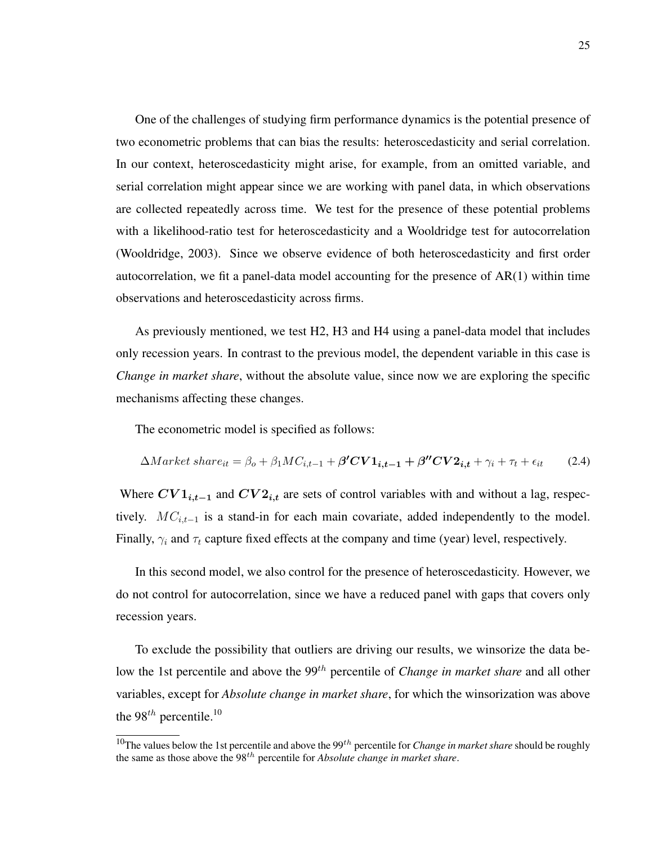One of the challenges of studying firm performance dynamics is the potential presence of two econometric problems that can bias the results: heteroscedasticity and serial correlation. In our context, heteroscedasticity might arise, for example, from an omitted variable, and serial correlation might appear since we are working with panel data, in which observations are collected repeatedly across time. We test for the presence of these potential problems with a likelihood-ratio test for heteroscedasticity and a Wooldridge test for autocorrelation [\(Wooldridge, 2003\)](#page-47-7). Since we observe evidence of both heteroscedasticity and first order autocorrelation, we fit a panel-data model accounting for the presence of AR(1) within time observations and heteroscedasticity across firms.

As previously mentioned, we test H2, H3 and H4 using a panel-data model that includes only recession years. In contrast to the previous model, the dependent variable in this case is *Change in market share*, without the absolute value, since now we are exploring the specific mechanisms affecting these changes.

The econometric model is specified as follows:

$$
\Delta Market\ share_{it} = \beta_o + \beta_1 MC_{i,t-1} + \beta' CV1_{i,t-1} + \beta'' CV2_{i,t} + \gamma_i + \tau_t + \epsilon_{it}
$$
(2.4)

Where  $CV1_{i,t-1}$  and  $CV2_{i,t}$  are sets of control variables with and without a lag, respectively.  $MC_{i,t-1}$  is a stand-in for each main covariate, added independently to the model. Finally,  $\gamma_i$  and  $\tau_t$  capture fixed effects at the company and time (year) level, respectively.

In this second model, we also control for the presence of heteroscedasticity. However, we do not control for autocorrelation, since we have a reduced panel with gaps that covers only recession years.

To exclude the possibility that outliers are driving our results, we winsorize the data below the 1st percentile and above the 99<sup>th</sup> percentile of *Change in market share* and all other variables, except for *Absolute change in market share*, for which the winsorization was above the 98<sup>th</sup> percentile.<sup>[10](#page-33-0)</sup>

<span id="page-33-0"></span><sup>&</sup>lt;sup>10</sup>The values below the 1st percentile and above the 99<sup>th</sup> percentile for *Change in market share* should be roughly the same as those above the 98th percentile for *Absolute change in market share*.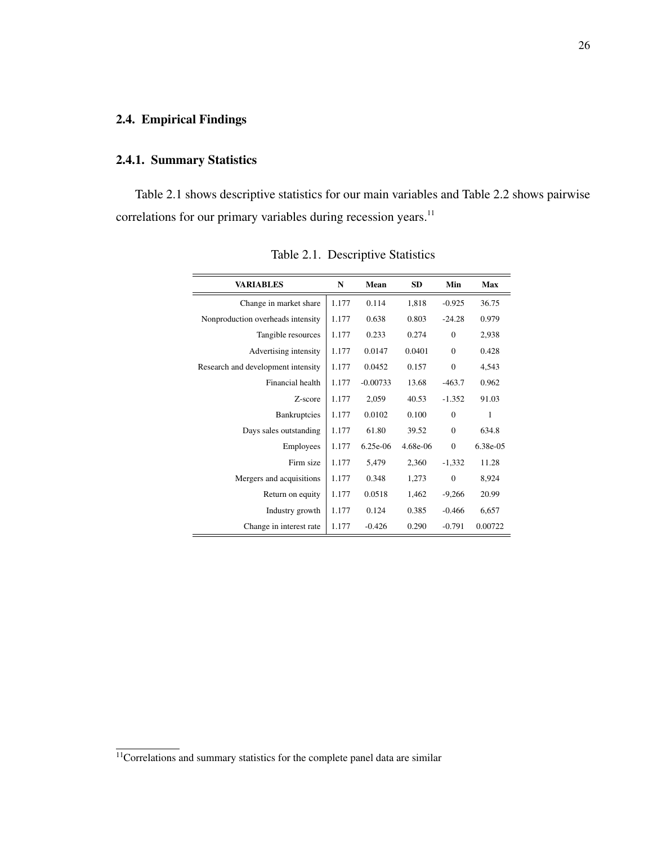## <span id="page-34-0"></span>2.4. Empirical Findings

## <span id="page-34-1"></span>2.4.1. Summary Statistics

<span id="page-34-2"></span>Table [2.1](#page-34-2) shows descriptive statistics for our main variables and Table [2.2](#page-35-0) shows pairwise correlations for our primary variables during recession years.<sup>[11](#page-34-3)</sup>

| <b>VARIABLES</b>                   | N     | Mean       | <b>SD</b>  | Min          | <b>Max</b> |
|------------------------------------|-------|------------|------------|--------------|------------|
| Change in market share             | 1.177 | 0.114      | 1,818      | $-0.925$     | 36.75      |
| Nonproduction overheads intensity  | 1.177 | 0.638      | 0.803      | $-24.28$     | 0.979      |
| Tangible resources                 | 1.177 | 0.233      | 0.274      | $\mathbf{0}$ | 2,938      |
| Advertising intensity              | 1.177 | 0.0147     | 0.0401     | $\Omega$     | 0.428      |
| Research and development intensity | 1.177 | 0.0452     | 0.157      | $\theta$     | 4,543      |
| Financial health                   | 1.177 | $-0.00733$ | 13.68      | $-463.7$     | 0.962      |
| Z-score                            | 1.177 | 2,059      | 40.53      | $-1.352$     | 91.03      |
| Bankruptcies                       | 1.177 | 0.0102     | 0.100      | $\Omega$     | 1          |
| Days sales outstanding             | 1.177 | 61.80      | 39.52      | $\Omega$     | 634.8      |
| Employees                          | 1.177 | $6.25e-06$ | $4.68e-06$ | $\Omega$     | 6.38e-05   |
| Firm size                          | 1.177 | 5,479      | 2,360      | $-1,332$     | 11.28      |
| Mergers and acquisitions           | 1.177 | 0.348      | 1,273      | $\Omega$     | 8,924      |
| Return on equity                   | 1.177 | 0.0518     | 1,462      | $-9,266$     | 20.99      |
| Industry growth                    | 1.177 | 0.124      | 0.385      | $-0.466$     | 6,657      |
| Change in interest rate            | 1.177 | $-0.426$   | 0.290      | $-0.791$     | 0.00722    |

Table 2.1. Descriptive Statistics

<span id="page-34-3"></span> $\frac{11}{11}$ Correlations and summary statistics for the complete panel data are similar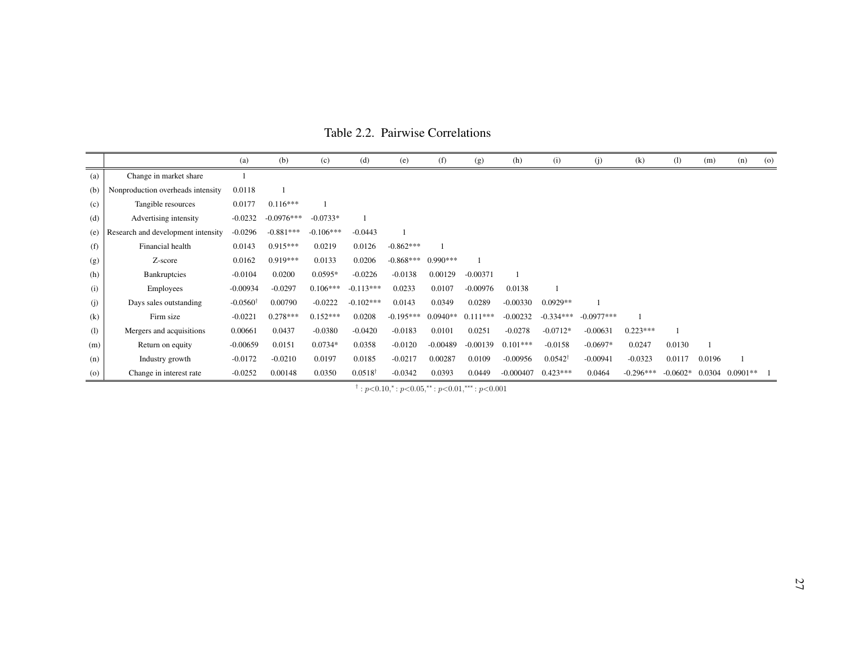|     |                                    | (a)                 | (b)          | (c)         | (d)                | (e)         | (f)        | (g)        | (h)         | (i)                | (j)          | (k)         | (1)        | (m)    | (n)        | $\left( 0 \right)$ |
|-----|------------------------------------|---------------------|--------------|-------------|--------------------|-------------|------------|------------|-------------|--------------------|--------------|-------------|------------|--------|------------|--------------------|
| (a) | Change in market share             |                     |              |             |                    |             |            |            |             |                    |              |             |            |        |            |                    |
| (b) | Nonproduction overheads intensity  | 0.0118              |              |             |                    |             |            |            |             |                    |              |             |            |        |            |                    |
| (c) | Tangible resources                 | 0.0177              | $0.116***$   |             |                    |             |            |            |             |                    |              |             |            |        |            |                    |
| (d) | Advertising intensity              | $-0.0232$           | $-0.0976***$ | $-0.0733*$  |                    |             |            |            |             |                    |              |             |            |        |            |                    |
| (e) | Research and development intensity | $-0.0296$           | $-0.881***$  | $-0.106***$ | $-0.0443$          |             |            |            |             |                    |              |             |            |        |            |                    |
| (f) | Financial health                   | 0.0143              | $0.915***$   | 0.0219      | 0.0126             | $-0.862***$ |            |            |             |                    |              |             |            |        |            |                    |
| (g) | Z-score                            | 0.0162              | $0.919***$   | 0.0133      | 0.0206             | $-0.868***$ | $0.990***$ |            |             |                    |              |             |            |        |            |                    |
| (h) | Bankruptcies                       | $-0.0104$           | 0.0200       | $0.0595*$   | $-0.0226$          | $-0.0138$   | 0.00129    | $-0.00371$ |             |                    |              |             |            |        |            |                    |
| (i) | Employees                          | $-0.00934$          | $-0.0297$    | $0.106***$  | $-0.113***$        | 0.0233      | 0.0107     | $-0.00976$ | 0.0138      |                    |              |             |            |        |            |                    |
| (j) | Days sales outstanding             | $-0.0560^{\dagger}$ | 0.00790      | $-0.0222$   | $-0.102***$        | 0.0143      | 0.0349     | 0.0289     | $-0.00330$  | $0.0929**$         |              |             |            |        |            |                    |
| (k) | Firm size                          | $-0.0221$           | $0.278***$   | $0.152***$  | 0.0208             | $-0.195***$ | $0.0940**$ | $0.111***$ | $-0.00232$  | $-0.334***$        | $-0.0977***$ |             |            |        |            |                    |
| (1) | Mergers and acquisitions           | 0.00661             | 0.0437       | $-0.0380$   | $-0.0420$          | $-0.0183$   | 0.0101     | 0.0251     | $-0.0278$   | $-0.0712*$         | $-0.00631$   | $0.223***$  |            |        |            |                    |
| (m) | Return on equity                   | $-0.00659$          | 0.0151       | $0.0734*$   | 0.0358             | $-0.0120$   | $-0.00489$ | $-0.00139$ | $0.101***$  | $-0.0158$          | $-0.0697*$   | 0.0247      | 0.0130     |        |            |                    |
| (n) | Industry growth                    | $-0.0172$           | $-0.0210$    | 0.0197      | 0.0185             | $-0.0217$   | 0.00287    | 0.0109     | $-0.00956$  | $0.0542^{\dagger}$ | $-0.00941$   | $-0.0323$   | 0.0117     | 0.0196 |            |                    |
| (o) | Change in interest rate            | $-0.0252$           | 0.00148      | 0.0350      | $0.0518^{\dagger}$ | $-0.0342$   | 0.0393     | 0.0449     | $-0.000407$ | $0.423***$         | 0.0464       | $-0.296***$ | $-0.0602*$ | 0.0304 | $0.0901**$ |                    |

Table 2.2. Pairwise Correlations

<span id="page-35-0"></span> $\phi^{\dagger}$ :  $p<0.10$ , $\phi^*$ :  $p<0.05$ , $\phi^*$ :  $p<0.01$ , $\phi^*$ :  $p<0.001$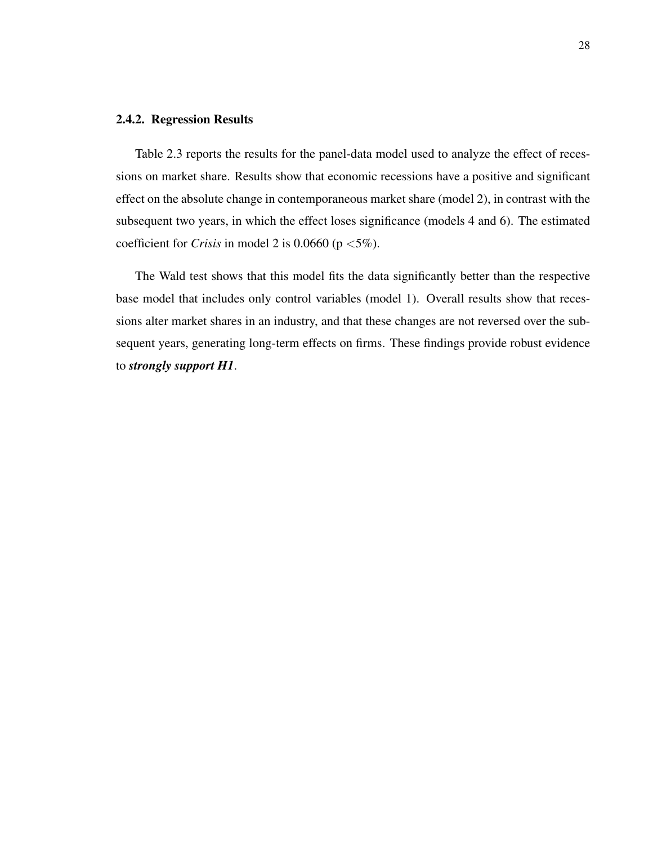#### <span id="page-36-0"></span>2.4.2. Regression Results

Table [2.3](#page-37-0) reports the results for the panel-data model used to analyze the effect of recessions on market share. Results show that economic recessions have a positive and significant effect on the absolute change in contemporaneous market share (model 2), in contrast with the subsequent two years, in which the effect loses significance (models 4 and 6). The estimated coefficient for *Crisis* in model 2 is 0.0660 ( $p < 5\%$ ).

The Wald test shows that this model fits the data significantly better than the respective base model that includes only control variables (model 1). Overall results show that recessions alter market shares in an industry, and that these changes are not reversed over the subsequent years, generating long-term effects on firms. These findings provide robust evidence to *strongly support H1*.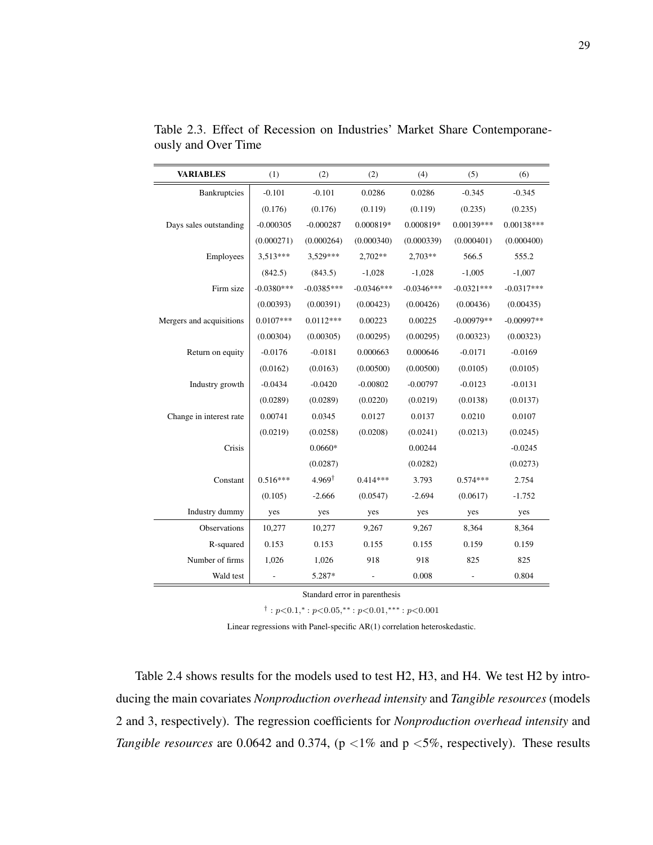| <b>VARIABLES</b>         | (1)          | (2)               | (2)          | (4)          | (5)          | (6)          |
|--------------------------|--------------|-------------------|--------------|--------------|--------------|--------------|
| Bankruptcies             | $-0.101$     | $-0.101$          | 0.0286       | 0.0286       | $-0.345$     | $-0.345$     |
|                          | (0.176)      | (0.176)           | (0.119)      | (0.119)      | (0.235)      | (0.235)      |
| Days sales outstanding   | $-0.000305$  | $-0.000287$       | 0.000819*    | $0.000819*$  | 0.00139***   | $0.00138***$ |
|                          | (0.000271)   | (0.000264)        | (0.000340)   | (0.000339)   | (0.000401)   | (0.000400)   |
| Employees                | $3.513***$   | 3.529***          | 2,702**      | $2,703**$    | 566.5        | 555.2        |
|                          | (842.5)      | (843.5)           | $-1,028$     | $-1,028$     | $-1,005$     | $-1,007$     |
| Firm size                | $-0.0380***$ | $-0.0385***$      | $-0.0346***$ | $-0.0346***$ | $-0.0321***$ | $-0.0317***$ |
|                          | (0.00393)    | (0.00391)         | (0.00423)    | (0.00426)    | (0.00436)    | (0.00435)    |
| Mergers and acquisitions | $0.0107***$  | $0.0112***$       | 0.00223      | 0.00225      | $-0.00979**$ | $-0.00997**$ |
|                          | (0.00304)    | (0.00305)         | (0.00295)    | (0.00295)    | (0.00323)    | (0.00323)    |
| Return on equity         | $-0.0176$    | $-0.0181$         | 0.000663     | 0.000646     | $-0.0171$    | $-0.0169$    |
|                          | (0.0162)     | (0.0163)          | (0.00500)    | (0.00500)    | (0.0105)     | (0.0105)     |
| Industry growth          | $-0.0434$    | $-0.0420$         | $-0.00802$   | $-0.00797$   | $-0.0123$    | $-0.0131$    |
|                          | (0.0289)     | (0.0289)          | (0.0220)     | (0.0219)     | (0.0138)     | (0.0137)     |
| Change in interest rate  | 0.00741      | 0.0345            | 0.0127       | 0.0137       | 0.0210       | 0.0107       |
|                          | (0.0219)     | (0.0258)          | (0.0208)     | (0.0241)     | (0.0213)     | (0.0245)     |
| Crisis                   |              | $0.0660*$         |              | 0.00244      |              | $-0.0245$    |
|                          |              | (0.0287)          |              | (0.0282)     |              | (0.0273)     |
| Constant                 | $0.516***$   | $4.969^{\dagger}$ | $0.414***$   | 3.793        | $0.574***$   | 2.754        |
|                          | (0.105)      | $-2.666$          | (0.0547)     | $-2.694$     | (0.0617)     | $-1.752$     |
| Industry dummy           | yes          | yes               | yes          | yes          | yes          | yes          |
| Observations             | 10,277       | 10,277            | 9,267        | 9,267        | 8,364        | 8,364        |
| R-squared                | 0.153        | 0.153             | 0.155        | 0.155        | 0.159        | 0.159        |
| Number of firms          | 1,026        | 1,026             | 918          | 918          | 825          | 825          |
| Wald test                |              | 5.287*            |              | 0.008        |              | 0.804        |

<span id="page-37-0"></span>Table 2.3. Effect of Recession on Industries' Market Share Contemporaneously and Over Time

Standard error in parenthesis

 $\dagger: p<0.1, ^{*}: p<0.05, ^{**}: p<0.01, ^{***}: p<0.001$ 

Linear regressions with Panel-specific AR(1) correlation heteroskedastic.

Table [2.4](#page-38-0) shows results for the models used to test H2, H3, and H4. We test H2 by introducing the main covariates *Nonproduction overhead intensity* and *Tangible resources* (models 2 and 3, respectively). The regression coefficients for *Nonproduction overhead intensity* and *Tangible resources* are 0.0642 and 0.374, ( $p$  <1% and  $p$  <5%, respectively). These results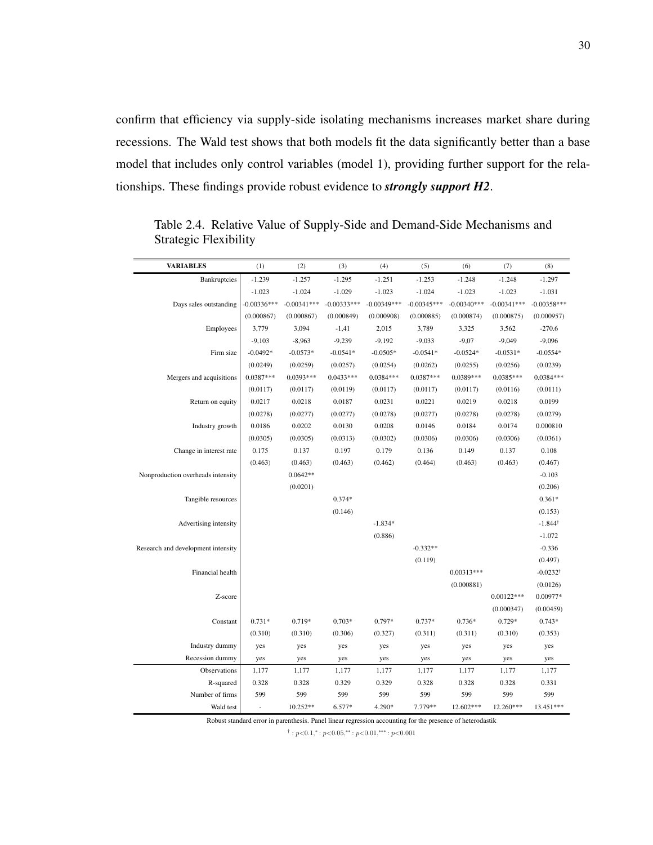confirm that efficiency via supply-side isolating mechanisms increases market share during recessions. The Wald test shows that both models fit the data significantly better than a base model that includes only control variables (model 1), providing further support for the relationships. These findings provide robust evidence to *strongly support H2*.

| <b>VARIABLES</b>                   | (1)                      | (2)           | (3)           | (4)           | (5)           | (6)           | (7)           | (8)                 |
|------------------------------------|--------------------------|---------------|---------------|---------------|---------------|---------------|---------------|---------------------|
| <b>Bankruptcies</b>                | $-1.239$                 | $-1.257$      | $-1.295$      | $-1.251$      | $-1.253$      | $-1.248$      | $-1.248$      | $-1.297$            |
|                                    | $-1.023$                 | $-1.024$      | $-1.029$      | $-1.023$      | $-1.024$      | $-1.023$      | $-1.023$      | $-1.031$            |
| Days sales outstanding             | $-0.00336***$            | $-0.00341***$ | $-0.00333***$ | $-0.00349***$ | $-0.00345***$ | $-0.00340***$ | $-0.00341***$ | $-0.00358***$       |
|                                    | (0.000867)               | (0.000867)    | (0.000849)    | (0.000908)    | (0.000885)    | (0.000874)    | (0.000875)    | (0.000957)          |
| Employees                          | 3,779                    | 3,094         | $-1,41$       | 2,015         | 3,789         | 3,325         | 3,562         | $-270.6$            |
|                                    | $-9,103$                 | $-8,963$      | $-9,239$      | $-9,192$      | $-9,033$      | $-9,07$       | $-9,049$      | $-9,096$            |
| Firm size                          | $-0.0492*$               | $-0.0573*$    | $-0.0541*$    | $-0.0505*$    | $-0.0541*$    | $-0.0524*$    | $-0.0531*$    | $-0.0554*$          |
|                                    | (0.0249)                 | (0.0259)      | (0.0257)      | (0.0254)      | (0.0262)      | (0.0255)      | (0.0256)      | (0.0239)            |
| Mergers and acquisitions           | $0.0387***$              | $0.0393***$   | $0.0433***$   | $0.0384***$   | $0.0387***$   | $0.0389***$   | $0.0385***$   | $0.0384***$         |
|                                    | (0.0117)                 | (0.0117)      | (0.0119)      | (0.0117)      | (0.0117)      | (0.0117)      | (0.0116)      | (0.0111)            |
| Return on equity                   | 0.0217                   | 0.0218        | 0.0187        | 0.0231        | 0.0221        | 0.0219        | 0.0218        | 0.0199              |
|                                    | (0.0278)                 | (0.0277)      | (0.0277)      | (0.0278)      | (0.0277)      | (0.0278)      | (0.0278)      | (0.0279)            |
| Industry growth                    | 0.0186                   | 0.0202        | 0.0130        | 0.0208        | 0.0146        | 0.0184        | 0.0174        | 0.000810            |
|                                    | (0.0305)                 | (0.0305)      | (0.0313)      | (0.0302)      | (0.0306)      | (0.0306)      | (0.0306)      | (0.0361)            |
| Change in interest rate            | 0.175                    | 0.137         | 0.197         | 0.179         | 0.136         | 0.149         | 0.137         | 0.108               |
|                                    | (0.463)                  | (0.463)       | (0.463)       | (0.462)       | (0.464)       | (0.463)       | (0.463)       | (0.467)             |
| Nonproduction overheads intensity  |                          | $0.0642**$    |               |               |               |               |               | $-0.103$            |
|                                    |                          | (0.0201)      |               |               |               |               |               | (0.206)             |
| Tangible resources                 |                          |               | $0.374*$      |               |               |               |               | $0.361*$            |
|                                    |                          |               | (0.146)       |               |               |               |               | (0.153)             |
| Advertising intensity              |                          |               |               | $-1.834*$     |               |               |               | $-1.844^{\dagger}$  |
|                                    |                          |               |               | (0.886)       |               |               |               | $-1.072$            |
| Research and development intensity |                          |               |               |               | $-0.332**$    |               |               | $-0.336$            |
|                                    |                          |               |               |               | (0.119)       |               |               | (0.497)             |
| Financial health                   |                          |               |               |               |               | $0.00313***$  |               | $-0.0232^{\dagger}$ |
|                                    |                          |               |               |               |               | (0.000881)    |               | (0.0126)            |
| Z-score                            |                          |               |               |               |               |               | $0.00122***$  | 0.00977*            |
|                                    |                          |               |               |               |               |               | (0.000347)    | (0.00459)           |
| Constant                           | $0.731*$                 | $0.719*$      | $0.703*$      | 0.797*        | $0.737*$      | $0.736*$      | $0.729*$      | $0.743*$            |
|                                    | (0.310)                  | (0.310)       | (0.306)       | (0.327)       | (0.311)       | (0.311)       | (0.310)       | (0.353)             |
| Industry dummy                     | yes                      | yes           | yes           | yes           | yes           | yes           | yes           | yes                 |
| Recession dummy                    | yes                      | yes           | yes           | yes           | yes           | yes           | yes           | yes                 |
| Observations                       | 1,177                    | 1,177         | 1,177         | 1,177         | 1,177         | 1,177         | 1,177         | 1,177               |
| R-squared                          | 0.328                    | 0.328         | 0.329         | 0.329         | 0.328         | 0.328         | 0.328         | 0.331               |
| Number of firms                    | 599                      | 599           | 599           | 599           | 599           | 599           | 599           | 599                 |
| Wald test                          | $\overline{\phantom{a}}$ | 10.252**      | 6.577*        | 4.290*        | 7.779**       | 12.602***     | 12.260***     | 13.451***           |

<span id="page-38-0"></span>Table 2.4. Relative Value of Supply-Side and Demand-Side Mechanisms and Strategic Flexibility

Robust standard error in parenthesis. Panel linear regression accounting for the presence of heterodastik

 $\dagger$ :  $p<0.1$ , $\ast$ :  $p<0.05$ , $\ast$  $\ast$ :  $p<0.01$ , $\ast$  $\ast$ :  $p<0.001$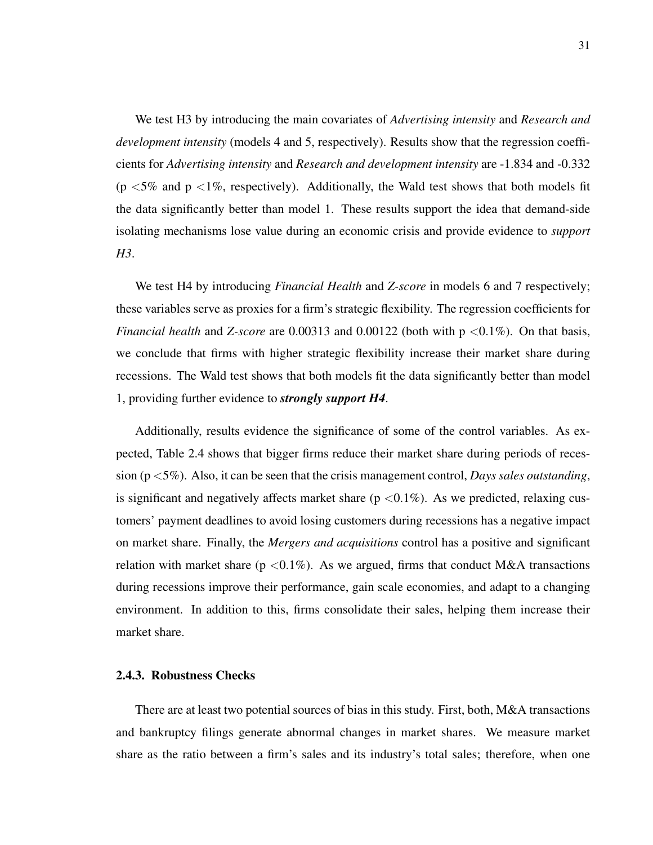We test H3 by introducing the main covariates of *Advertising intensity* and *Research and development intensity* (models 4 and 5, respectively). Results show that the regression coefficients for *Advertising intensity* and *Research and development intensity* are -1.834 and -0.332 ( $p \le 5\%$  and  $p \le 1\%$ , respectively). Additionally, the Wald test shows that both models fit the data significantly better than model 1. These results support the idea that demand-side isolating mechanisms lose value during an economic crisis and provide evidence to *support H3*.

We test H4 by introducing *Financial Health* and *Z-score* in models 6 and 7 respectively; these variables serve as proxies for a firm's strategic flexibility. The regression coefficients for *Financial health* and *Z-score* are 0.00313 and 0.00122 (both with  $p \le 0.1\%$ ). On that basis, we conclude that firms with higher strategic flexibility increase their market share during recessions. The Wald test shows that both models fit the data significantly better than model 1, providing further evidence to *strongly support H4*.

Additionally, results evidence the significance of some of the control variables. As expected, Table [2.4](#page-38-0) shows that bigger firms reduce their market share during periods of recession (p <5%). Also, it can be seen that the crisis management control, *Days sales outstanding*, is significant and negatively affects market share  $(p < 0.1\%)$ . As we predicted, relaxing customers' payment deadlines to avoid losing customers during recessions has a negative impact on market share. Finally, the *Mergers and acquisitions* control has a positive and significant relation with market share ( $p < 0.1\%$ ). As we argued, firms that conduct M&A transactions during recessions improve their performance, gain scale economies, and adapt to a changing environment. In addition to this, firms consolidate their sales, helping them increase their market share.

#### <span id="page-39-0"></span>2.4.3. Robustness Checks

There are at least two potential sources of bias in this study. First, both, M&A transactions and bankruptcy filings generate abnormal changes in market shares. We measure market share as the ratio between a firm's sales and its industry's total sales; therefore, when one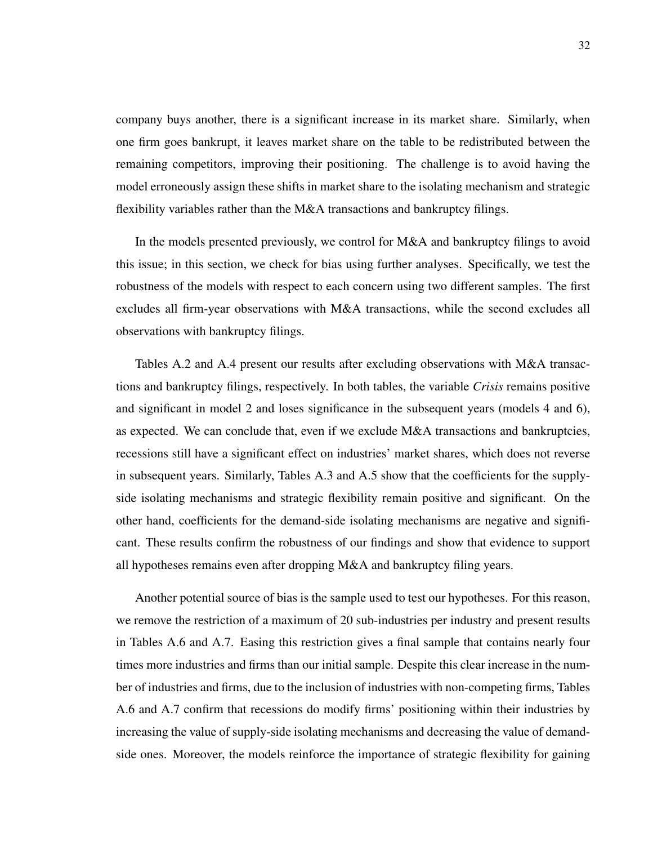company buys another, there is a significant increase in its market share. Similarly, when one firm goes bankrupt, it leaves market share on the table to be redistributed between the remaining competitors, improving their positioning. The challenge is to avoid having the model erroneously assign these shifts in market share to the isolating mechanism and strategic flexibility variables rather than the M&A transactions and bankruptcy filings.

In the models presented previously, we control for M&A and bankruptcy filings to avoid this issue; in this section, we check for bias using further analyses. Specifically, we test the robustness of the models with respect to each concern using two different samples. The first excludes all firm-year observations with M&A transactions, while the second excludes all observations with bankruptcy filings.

Tables [A.2](#page-52-0) and [A.4](#page-54-0) present our results after excluding observations with M&A transactions and bankruptcy filings, respectively. In both tables, the variable *Crisis* remains positive and significant in model 2 and loses significance in the subsequent years (models 4 and 6), as expected. We can conclude that, even if we exclude M&A transactions and bankruptcies, recessions still have a significant effect on industries' market shares, which does not reverse in subsequent years. Similarly, Tables [A.3](#page-53-0) and [A.5](#page-55-0) show that the coefficients for the supplyside isolating mechanisms and strategic flexibility remain positive and significant. On the other hand, coefficients for the demand-side isolating mechanisms are negative and significant. These results confirm the robustness of our findings and show that evidence to support all hypotheses remains even after dropping M&A and bankruptcy filing years.

Another potential source of bias is the sample used to test our hypotheses. For this reason, we remove the restriction of a maximum of 20 sub-industries per industry and present results in Tables [A.6](#page-56-0) and [A.7.](#page-57-0) Easing this restriction gives a final sample that contains nearly four times more industries and firms than our initial sample. Despite this clear increase in the number of industries and firms, due to the inclusion of industries with non-competing firms, Tables [A.6](#page-56-0) and [A.7](#page-57-0) confirm that recessions do modify firms' positioning within their industries by increasing the value of supply-side isolating mechanisms and decreasing the value of demandside ones. Moreover, the models reinforce the importance of strategic flexibility for gaining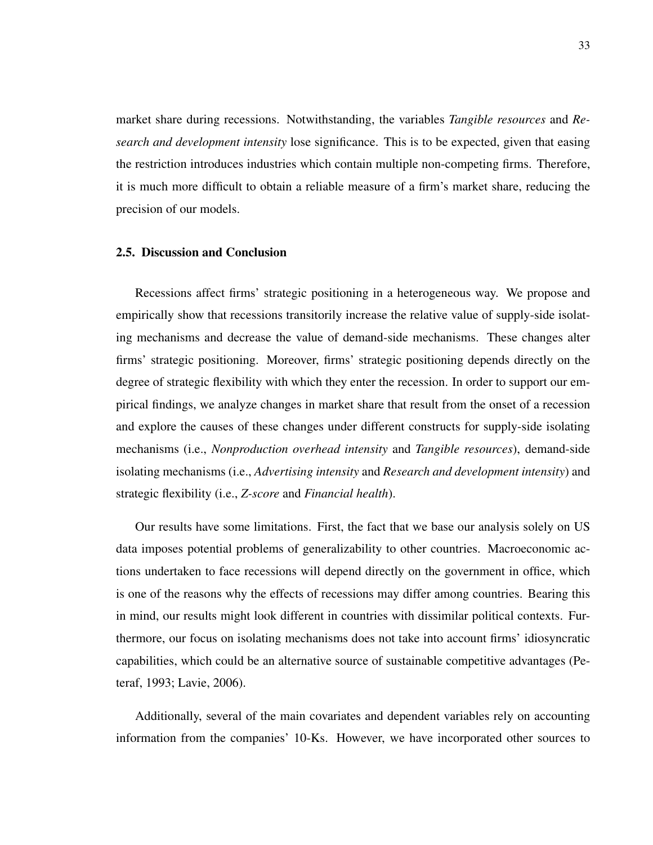market share during recessions. Notwithstanding, the variables *Tangible resources* and *Research and development intensity* lose significance. This is to be expected, given that easing the restriction introduces industries which contain multiple non-competing firms. Therefore, it is much more difficult to obtain a reliable measure of a firm's market share, reducing the precision of our models.

#### <span id="page-41-0"></span>2.5. Discussion and Conclusion

Recessions affect firms' strategic positioning in a heterogeneous way. We propose and empirically show that recessions transitorily increase the relative value of supply-side isolating mechanisms and decrease the value of demand-side mechanisms. These changes alter firms' strategic positioning. Moreover, firms' strategic positioning depends directly on the degree of strategic flexibility with which they enter the recession. In order to support our empirical findings, we analyze changes in market share that result from the onset of a recession and explore the causes of these changes under different constructs for supply-side isolating mechanisms (i.e., *Nonproduction overhead intensity* and *Tangible resources*), demand-side isolating mechanisms (i.e., *Advertising intensity* and *Research and development intensity*) and strategic flexibility (i.e., *Z-score* and *Financial health*).

Our results have some limitations. First, the fact that we base our analysis solely on US data imposes potential problems of generalizability to other countries. Macroeconomic actions undertaken to face recessions will depend directly on the government in office, which is one of the reasons why the effects of recessions may differ among countries. Bearing this in mind, our results might look different in countries with dissimilar political contexts. Furthermore, our focus on isolating mechanisms does not take into account firms' idiosyncratic capabilities, which could be an alternative source of sustainable competitive advantages [\(Pe](#page-46-12)[teraf, 1993;](#page-46-12) [Lavie, 2006\)](#page-46-13).

Additionally, several of the main covariates and dependent variables rely on accounting information from the companies' 10-Ks. However, we have incorporated other sources to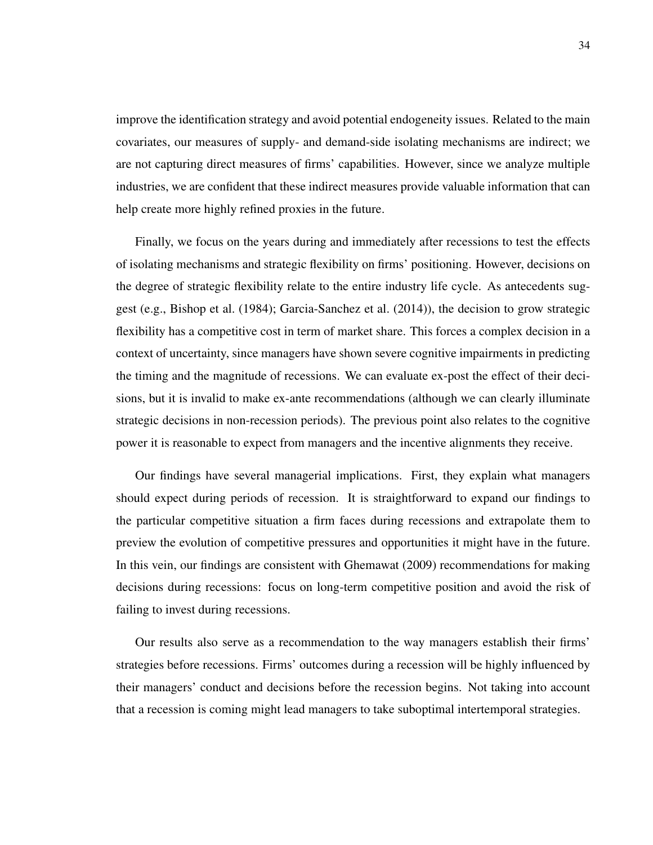improve the identification strategy and avoid potential endogeneity issues. Related to the main covariates, our measures of supply- and demand-side isolating mechanisms are indirect; we are not capturing direct measures of firms' capabilities. However, since we analyze multiple industries, we are confident that these indirect measures provide valuable information that can help create more highly refined proxies in the future.

Finally, we focus on the years during and immediately after recessions to test the effects of isolating mechanisms and strategic flexibility on firms' positioning. However, decisions on the degree of strategic flexibility relate to the entire industry life cycle. As antecedents suggest (e.g., [Bishop et al.](#page-44-5) [\(1984\)](#page-44-5); [Garcia-Sanchez et al.](#page-45-0) [\(2014\)](#page-45-0)), the decision to grow strategic flexibility has a competitive cost in term of market share. This forces a complex decision in a context of uncertainty, since managers have shown severe cognitive impairments in predicting the timing and the magnitude of recessions. We can evaluate ex-post the effect of their decisions, but it is invalid to make ex-ante recommendations (although we can clearly illuminate strategic decisions in non-recession periods). The previous point also relates to the cognitive power it is reasonable to expect from managers and the incentive alignments they receive.

Our findings have several managerial implications. First, they explain what managers should expect during periods of recession. It is straightforward to expand our findings to the particular competitive situation a firm faces during recessions and extrapolate them to preview the evolution of competitive pressures and opportunities it might have in the future. In this vein, our findings are consistent with [Ghemawat](#page-45-1) [\(2009\)](#page-45-1) recommendations for making decisions during recessions: focus on long-term competitive position and avoid the risk of failing to invest during recessions.

Our results also serve as a recommendation to the way managers establish their firms' strategies before recessions. Firms' outcomes during a recession will be highly influenced by their managers' conduct and decisions before the recession begins. Not taking into account that a recession is coming might lead managers to take suboptimal intertemporal strategies.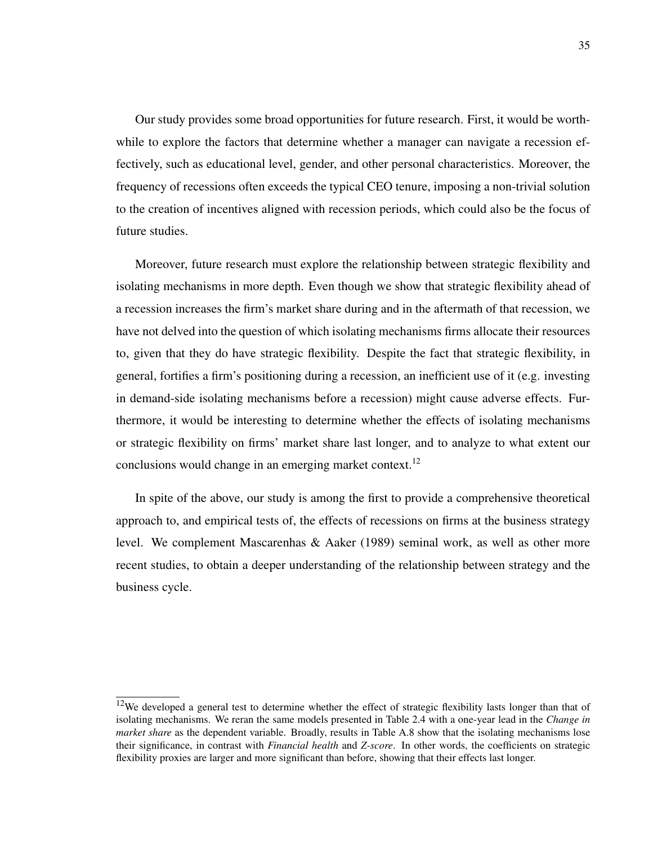Our study provides some broad opportunities for future research. First, it would be worthwhile to explore the factors that determine whether a manager can navigate a recession effectively, such as educational level, gender, and other personal characteristics. Moreover, the frequency of recessions often exceeds the typical CEO tenure, imposing a non-trivial solution to the creation of incentives aligned with recession periods, which could also be the focus of future studies.

Moreover, future research must explore the relationship between strategic flexibility and isolating mechanisms in more depth. Even though we show that strategic flexibility ahead of a recession increases the firm's market share during and in the aftermath of that recession, we have not delved into the question of which isolating mechanisms firms allocate their resources to, given that they do have strategic flexibility. Despite the fact that strategic flexibility, in general, fortifies a firm's positioning during a recession, an inefficient use of it (e.g. investing in demand-side isolating mechanisms before a recession) might cause adverse effects. Furthermore, it would be interesting to determine whether the effects of isolating mechanisms or strategic flexibility on firms' market share last longer, and to analyze to what extent our conclusions would change in an emerging market context.<sup>[12](#page-43-0)</sup>

In spite of the above, our study is among the first to provide a comprehensive theoretical approach to, and empirical tests of, the effects of recessions on firms at the business strategy level. We complement [Mascarenhas & Aaker](#page-46-2) [\(1989\)](#page-46-2) seminal work, as well as other more recent studies, to obtain a deeper understanding of the relationship between strategy and the business cycle.

<span id="page-43-0"></span> $12$ We developed a general test to determine whether the effect of strategic flexibility lasts longer than that of isolating mechanisms. We reran the same models presented in Table [2.4](#page-38-0) with a one-year lead in the *Change in market share* as the dependent variable. Broadly, results in Table [A.8](#page-58-0) show that the isolating mechanisms lose their significance, in contrast with *Financial health* and *Z-score*. In other words, the coefficients on strategic flexibility proxies are larger and more significant than before, showing that their effects last longer.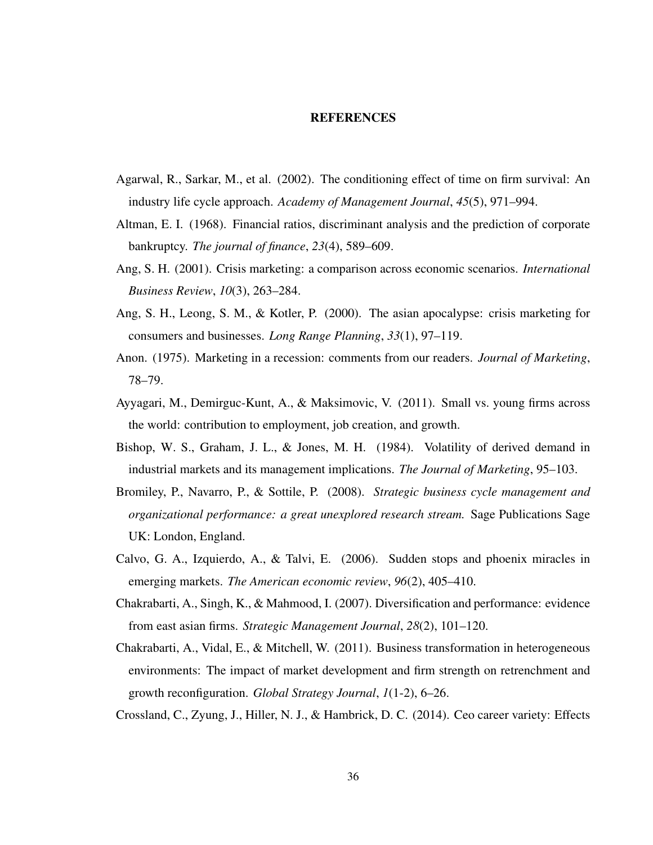#### **REFERENCES**

- <span id="page-44-8"></span><span id="page-44-0"></span>Agarwal, R., Sarkar, M., et al. (2002). The conditioning effect of time on firm survival: An industry life cycle approach. *Academy of Management Journal*, *45*(5), 971–994.
- <span id="page-44-7"></span>Altman, E. I. (1968). Financial ratios, discriminant analysis and the prediction of corporate bankruptcy. *The journal of finance*, *23*(4), 589–609.
- <span id="page-44-11"></span>Ang, S. H. (2001). Crisis marketing: a comparison across economic scenarios. *International Business Review*, *10*(3), 263–284.
- <span id="page-44-12"></span>Ang, S. H., Leong, S. M., & Kotler, P. (2000). The asian apocalypse: crisis marketing for consumers and businesses. *Long Range Planning*, *33*(1), 97–119.
- <span id="page-44-10"></span>Anon. (1975). Marketing in a recession: comments from our readers. *Journal of Marketing*, 78–79.
- <span id="page-44-2"></span>Ayyagari, M., Demirguc-Kunt, A., & Maksimovic, V. (2011). Small vs. young firms across the world: contribution to employment, job creation, and growth.
- <span id="page-44-5"></span>Bishop, W. S., Graham, J. L., & Jones, M. H. (1984). Volatility of derived demand in industrial markets and its management implications. *The Journal of Marketing*, 95–103.
- <span id="page-44-1"></span>Bromiley, P., Navarro, P., & Sottile, P. (2008). *Strategic business cycle management and organizational performance: a great unexplored research stream.* Sage Publications Sage UK: London, England.
- <span id="page-44-9"></span>Calvo, G. A., Izquierdo, A., & Talvi, E. (2006). Sudden stops and phoenix miracles in emerging markets. *The American economic review*, *96*(2), 405–410.
- <span id="page-44-3"></span>Chakrabarti, A., Singh, K., & Mahmood, I. (2007). Diversification and performance: evidence from east asian firms. *Strategic Management Journal*, *28*(2), 101–120.
- <span id="page-44-4"></span>Chakrabarti, A., Vidal, E., & Mitchell, W. (2011). Business transformation in heterogeneous environments: The impact of market development and firm strength on retrenchment and growth reconfiguration. *Global Strategy Journal*, *1*(1-2), 6–26.
- <span id="page-44-6"></span>Crossland, C., Zyung, J., Hiller, N. J., & Hambrick, D. C. (2014). Ceo career variety: Effects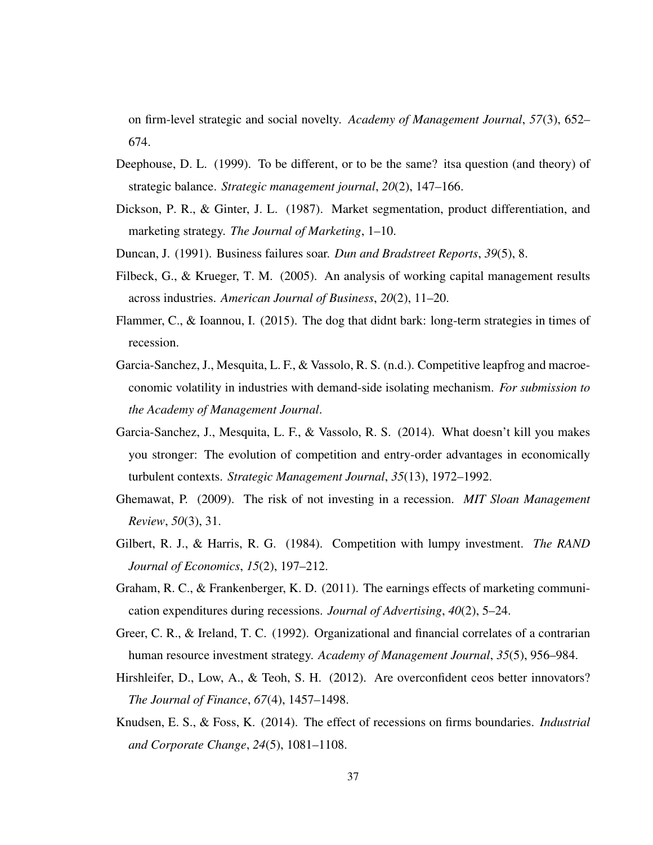on firm-level strategic and social novelty. *Academy of Management Journal*, *57*(3), 652– 674.

- <span id="page-45-6"></span>Deephouse, D. L. (1999). To be different, or to be the same? itsa question (and theory) of strategic balance. *Strategic management journal*, *20*(2), 147–166.
- <span id="page-45-8"></span>Dickson, P. R., & Ginter, J. L. (1987). Market segmentation, product differentiation, and marketing strategy. *The Journal of Marketing*, 1–10.
- <span id="page-45-12"></span><span id="page-45-7"></span>Duncan, J. (1991). Business failures soar. *Dun and Bradstreet Reports*, *39*(5), 8.
- Filbeck, G., & Krueger, T. M. (2005). An analysis of working capital management results across industries. *American Journal of Business*, *20*(2), 11–20.
- <span id="page-45-2"></span>Flammer, C., & Ioannou, I. (2015). The dog that didnt bark: long-term strategies in times of recession.
- <span id="page-45-3"></span>Garcia-Sanchez, J., Mesquita, L. F., & Vassolo, R. S. (n.d.). Competitive leapfrog and macroeconomic volatility in industries with demand-side isolating mechanism. *For submission to the Academy of Management Journal*.
- <span id="page-45-0"></span>Garcia-Sanchez, J., Mesquita, L. F., & Vassolo, R. S. (2014). What doesn't kill you makes you stronger: The evolution of competition and entry-order advantages in economically turbulent contexts. *Strategic Management Journal*, *35*(13), 1972–1992.
- <span id="page-45-1"></span>Ghemawat, P. (2009). The risk of not investing in a recession. *MIT Sloan Management Review*, *50*(3), 31.
- <span id="page-45-9"></span>Gilbert, R. J., & Harris, R. G. (1984). Competition with lumpy investment. *The RAND Journal of Economics*, *15*(2), 197–212.
- <span id="page-45-10"></span>Graham, R. C., & Frankenberger, K. D. (2011). The earnings effects of marketing communication expenditures during recessions. *Journal of Advertising*, *40*(2), 5–24.
- <span id="page-45-4"></span>Greer, C. R., & Ireland, T. C. (1992). Organizational and financial correlates of a contrarian human resource investment strategy. *Academy of Management Journal*, *35*(5), 956–984.
- <span id="page-45-11"></span>Hirshleifer, D., Low, A., & Teoh, S. H. (2012). Are overconfident ceos better innovators? *The Journal of Finance*, *67*(4), 1457–1498.
- <span id="page-45-5"></span>Knudsen, E. S., & Foss, K. (2014). The effect of recessions on firms boundaries. *Industrial and Corporate Change*, *24*(5), 1081–1108.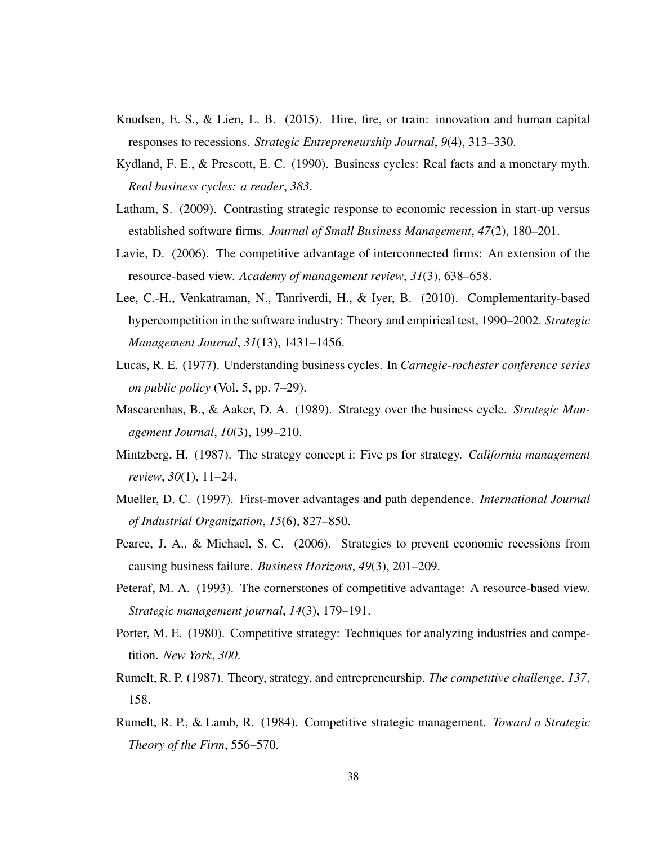- <span id="page-46-5"></span>Knudsen, E. S., & Lien, L. B. (2015). Hire, fire, or train: innovation and human capital responses to recessions. *Strategic Entrepreneurship Journal*, *9*(4), 313–330.
- <span id="page-46-0"></span>Kydland, F. E., & Prescott, E. C. (1990). Business cycles: Real facts and a monetary myth. *Real business cycles: a reader*, *383*.
- <span id="page-46-1"></span>Latham, S. (2009). Contrasting strategic response to economic recession in start-up versus established software firms. *Journal of Small Business Management*, *47*(2), 180–201.
- <span id="page-46-13"></span>Lavie, D. (2006). The competitive advantage of interconnected firms: An extension of the resource-based view. *Academy of management review*, *31*(3), 638–658.
- <span id="page-46-11"></span>Lee, C.-H., Venkatraman, N., Tanriverdi, H., & Iyer, B. (2010). Complementarity-based hypercompetition in the software industry: Theory and empirical test, 1990–2002. *Strategic Management Journal*, *31*(13), 1431–1456.
- <span id="page-46-3"></span>Lucas, R. E. (1977). Understanding business cycles. In *Carnegie-rochester conference series on public policy* (Vol. 5, pp. 7–29).
- <span id="page-46-2"></span>Mascarenhas, B., & Aaker, D. A. (1989). Strategy over the business cycle. *Strategic Management Journal*, *10*(3), 199–210.
- <span id="page-46-6"></span>Mintzberg, H. (1987). The strategy concept i: Five ps for strategy. *California management review*, *30*(1), 11–24.
- <span id="page-46-10"></span>Mueller, D. C. (1997). First-mover advantages and path dependence. *International Journal of Industrial Organization*, *15*(6), 827–850.
- <span id="page-46-4"></span>Pearce, J. A., & Michael, S. C. (2006). Strategies to prevent economic recessions from causing business failure. *Business Horizons*, *49*(3), 201–209.
- <span id="page-46-12"></span>Peteraf, M. A. (1993). The cornerstones of competitive advantage: A resource-based view. *Strategic management journal*, *14*(3), 179–191.
- <span id="page-46-7"></span>Porter, M. E. (1980). Competitive strategy: Techniques for analyzing industries and competition. *New York*, *300*.
- <span id="page-46-8"></span>Rumelt, R. P. (1987). Theory, strategy, and entrepreneurship. *The competitive challenge*, *137*, 158.
- <span id="page-46-9"></span>Rumelt, R. P., & Lamb, R. (1984). Competitive strategic management. *Toward a Strategic Theory of the Firm*, 556–570.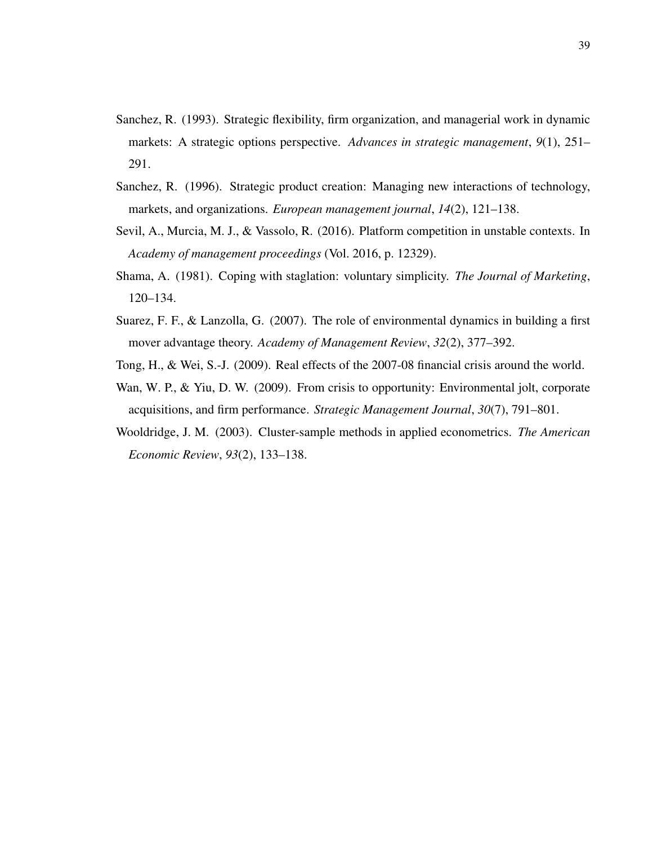- <span id="page-47-5"></span>Sanchez, R. (1993). Strategic flexibility, firm organization, and managerial work in dynamic markets: A strategic options perspective. *Advances in strategic management*, *9*(1), 251– 291.
- <span id="page-47-6"></span>Sanchez, R. (1996). Strategic product creation: Managing new interactions of technology, markets, and organizations. *European management journal*, *14*(2), 121–138.
- <span id="page-47-0"></span>Sevil, A., Murcia, M. J., & Vassolo, R. (2016). Platform competition in unstable contexts. In *Academy of management proceedings* (Vol. 2016, p. 12329).
- <span id="page-47-4"></span>Shama, A. (1981). Coping with staglation: voluntary simplicity. *The Journal of Marketing*, 120–134.
- <span id="page-47-3"></span>Suarez, F. F., & Lanzolla, G. (2007). The role of environmental dynamics in building a first mover advantage theory. *Academy of Management Review*, *32*(2), 377–392.
- <span id="page-47-2"></span><span id="page-47-1"></span>Tong, H., & Wei, S.-J. (2009). Real effects of the 2007-08 financial crisis around the world.
- Wan, W. P., & Yiu, D. W. (2009). From crisis to opportunity: Environmental jolt, corporate acquisitions, and firm performance. *Strategic Management Journal*, *30*(7), 791–801.
- <span id="page-47-7"></span>Wooldridge, J. M. (2003). Cluster-sample methods in applied econometrics. *The American Economic Review*, *93*(2), 133–138.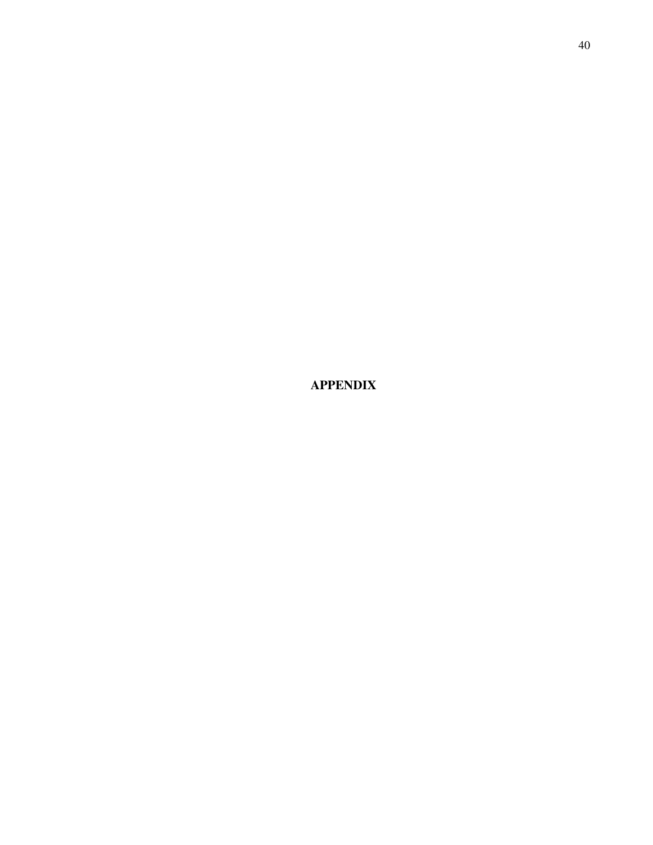<span id="page-48-0"></span>APPENDIX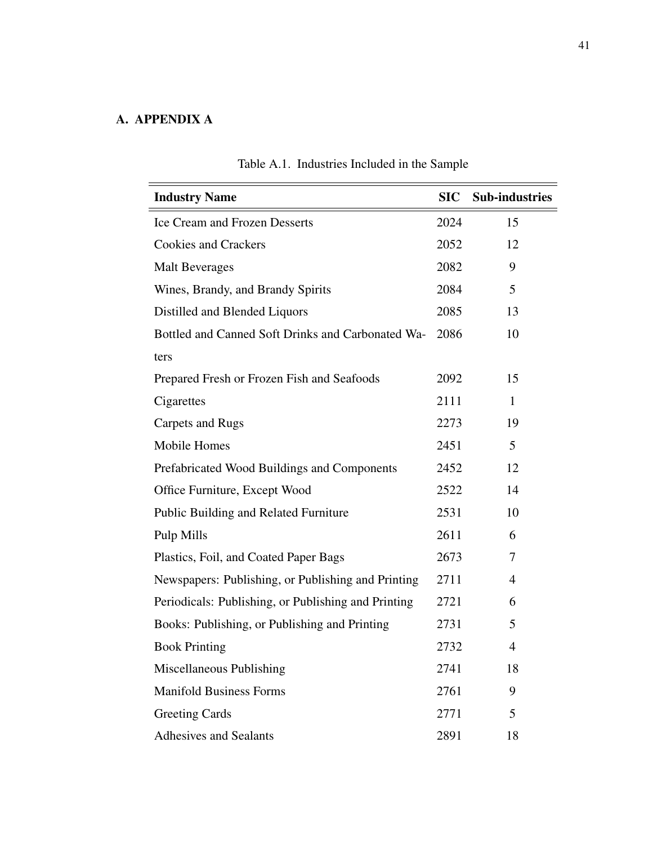# <span id="page-49-1"></span><span id="page-49-0"></span>A. APPENDIX A

| <b>Industry Name</b>                                | <b>SIC</b> | <b>Sub-industries</b> |
|-----------------------------------------------------|------------|-----------------------|
| <b>Ice Cream and Frozen Desserts</b>                | 2024       | 15                    |
| <b>Cookies and Crackers</b>                         | 2052       | 12                    |
| <b>Malt Beverages</b>                               | 2082       | 9                     |
| Wines, Brandy, and Brandy Spirits                   | 2084       | 5                     |
| Distilled and Blended Liquors                       | 2085       | 13                    |
| Bottled and Canned Soft Drinks and Carbonated Wa-   | 2086       | 10                    |
| ters                                                |            |                       |
| Prepared Fresh or Frozen Fish and Seafoods          | 2092       | 15                    |
| Cigarettes                                          | 2111       | $\mathbf{1}$          |
| Carpets and Rugs                                    | 2273       | 19                    |
| Mobile Homes                                        | 2451       | 5                     |
| Prefabricated Wood Buildings and Components         | 2452       | 12                    |
| Office Furniture, Except Wood                       | 2522       | 14                    |
| Public Building and Related Furniture               | 2531       | 10                    |
| Pulp Mills                                          | 2611       | 6                     |
| Plastics, Foil, and Coated Paper Bags               | 2673       | 7                     |
| Newspapers: Publishing, or Publishing and Printing  | 2711       | 4                     |
| Periodicals: Publishing, or Publishing and Printing | 2721       | 6                     |
| Books: Publishing, or Publishing and Printing       | 2731       | 5                     |
| <b>Book Printing</b>                                | 2732       | $\overline{4}$        |
| Miscellaneous Publishing                            | 2741       | 18                    |
| <b>Manifold Business Forms</b>                      | 2761       | 9                     |
| <b>Greeting Cards</b>                               | 2771       | 5                     |
| <b>Adhesives and Sealants</b>                       | 2891       | 18                    |

# Table A.1. Industries Included in the Sample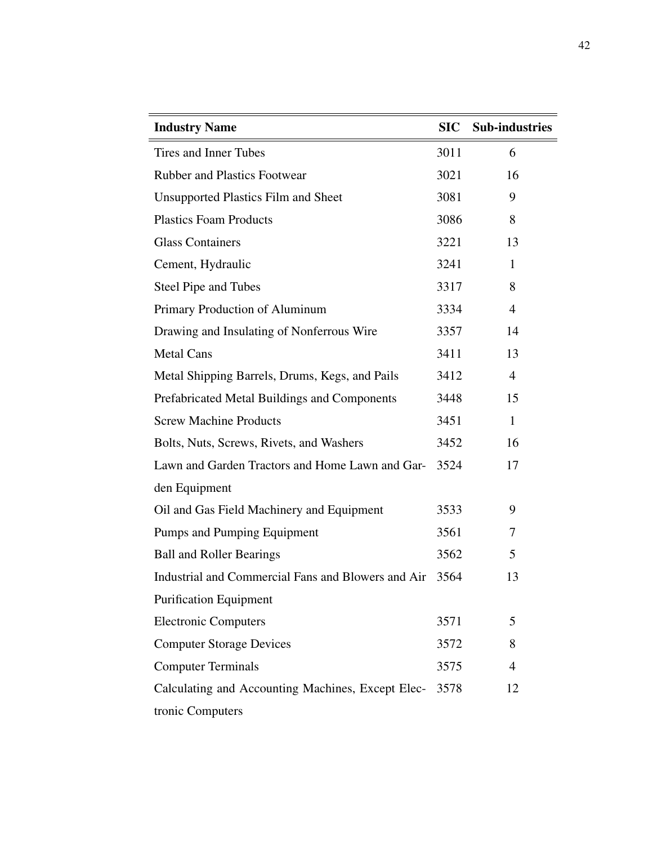| <b>Industry Name</b>                               | <b>SIC</b> | <b>Sub-industries</b> |
|----------------------------------------------------|------------|-----------------------|
| Tires and Inner Tubes                              | 3011       | 6                     |
| <b>Rubber and Plastics Footwear</b>                | 3021       | 16                    |
| <b>Unsupported Plastics Film and Sheet</b>         | 3081       | 9                     |
| <b>Plastics Foam Products</b>                      | 3086       | 8                     |
| <b>Glass Containers</b>                            | 3221       | 13                    |
| Cement, Hydraulic                                  | 3241       | 1                     |
| Steel Pipe and Tubes                               | 3317       | 8                     |
| Primary Production of Aluminum                     | 3334       | $\overline{4}$        |
| Drawing and Insulating of Nonferrous Wire          | 3357       | 14                    |
| <b>Metal Cans</b>                                  | 3411       | 13                    |
| Metal Shipping Barrels, Drums, Kegs, and Pails     | 3412       | 4                     |
| Prefabricated Metal Buildings and Components       | 3448       | 15                    |
| <b>Screw Machine Products</b>                      | 3451       | $\mathbf{1}$          |
| Bolts, Nuts, Screws, Rivets, and Washers           | 3452       | 16                    |
| Lawn and Garden Tractors and Home Lawn and Gar-    | 3524       | 17                    |
| den Equipment                                      |            |                       |
| Oil and Gas Field Machinery and Equipment          | 3533       | 9                     |
| Pumps and Pumping Equipment                        | 3561       | 7                     |
| <b>Ball and Roller Bearings</b>                    | 3562       | 5                     |
| Industrial and Commercial Fans and Blowers and Air | 3564       | 13                    |
| <b>Purification Equipment</b>                      |            |                       |
| <b>Electronic Computers</b>                        | 3571       | 5                     |
| <b>Computer Storage Devices</b>                    | 3572       | 8                     |
| <b>Computer Terminals</b>                          | 3575       | $\overline{4}$        |
| Calculating and Accounting Machines, Except Elec-  | 3578       | 12                    |
| tronic Computers                                   |            |                       |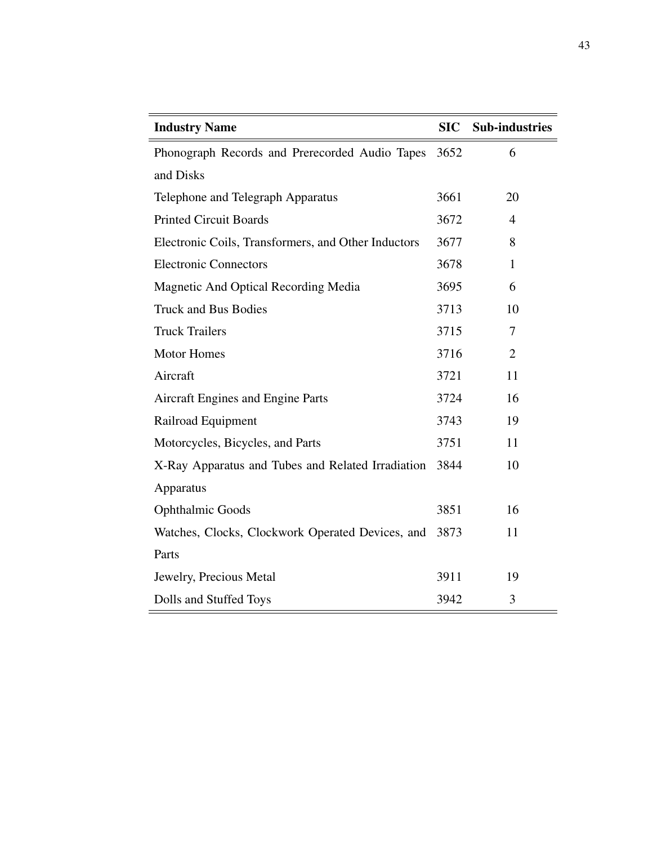| <b>Industry Name</b>                                | <b>SIC</b> | <b>Sub-industries</b> |
|-----------------------------------------------------|------------|-----------------------|
| Phonograph Records and Prerecorded Audio Tapes      | 3652       | 6                     |
| and Disks                                           |            |                       |
| Telephone and Telegraph Apparatus                   | 3661       | 20                    |
| <b>Printed Circuit Boards</b>                       | 3672       | $\overline{4}$        |
| Electronic Coils, Transformers, and Other Inductors | 3677       | 8                     |
| <b>Electronic Connectors</b>                        | 3678       | $\mathbf{1}$          |
| Magnetic And Optical Recording Media                | 3695       | 6                     |
| <b>Truck and Bus Bodies</b>                         | 3713       | 10                    |
| <b>Truck Trailers</b>                               | 3715       | 7                     |
| <b>Motor Homes</b>                                  | 3716       | $\overline{2}$        |
| Aircraft                                            | 3721       | 11                    |
| Aircraft Engines and Engine Parts                   | 3724       | 16                    |
| Railroad Equipment                                  | 3743       | 19                    |
| Motorcycles, Bicycles, and Parts                    | 3751       | 11                    |
| X-Ray Apparatus and Tubes and Related Irradiation   | 3844       | 10                    |
| Apparatus                                           |            |                       |
| <b>Ophthalmic Goods</b>                             | 3851       | 16                    |
| Watches, Clocks, Clockwork Operated Devices, and    | 3873       | 11                    |
| Parts                                               |            |                       |
| Jewelry, Precious Metal                             | 3911       | 19                    |
| Dolls and Stuffed Toys                              | 3942       | 3                     |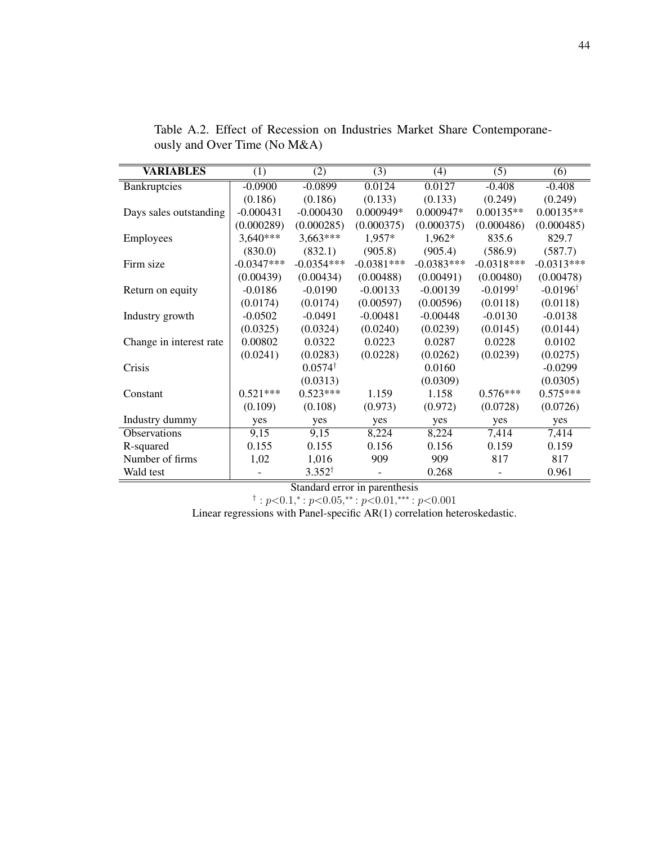| <b>VARIABLES</b>        | (1)          | (2)                | (3)          | (4)          | (5)                 | (6)                 |
|-------------------------|--------------|--------------------|--------------|--------------|---------------------|---------------------|
| Bankruptcies            | $-0.0900$    | $-0.0899$          | 0.0124       | 0.0127       | $-0.408$            | $-0.408$            |
|                         | (0.186)      | (0.186)            | (0.133)      | (0.133)      | (0.249)             | (0.249)             |
| Days sales outstanding  | $-0.000431$  | $-0.000430$        | $0.000949*$  | $0.000947*$  | $0.00135**$         | $0.00135**$         |
|                         | (0.000289)   | (0.000285)         | (0.000375)   | (0.000375)   | (0.000486)          | (0.000485)          |
| Employees               | $3,640***$   | $3,663***$         | 1,957*       | 1,962*       | 835.6               | 829.7               |
|                         | (830.0)      | (832.1)            | (905.8)      | (905.4)      | (586.9)             | (587.7)             |
| Firm size               | $-0.0347***$ | $-0.0354***$       | $-0.0381***$ | $-0.0383***$ | $-0.0318***$        | $-0.0313***$        |
|                         | (0.00439)    | (0.00434)          | (0.00488)    | (0.00491)    | (0.00480)           | (0.00478)           |
| Return on equity        | $-0.0186$    | $-0.0190$          | $-0.00133$   | $-0.00139$   | $-0.0199^{\dagger}$ | $-0.0196^{\dagger}$ |
|                         | (0.0174)     | (0.0174)           | (0.00597)    | (0.00596)    | (0.0118)            | (0.0118)            |
| Industry growth         | $-0.0502$    | $-0.0491$          | $-0.00481$   | $-0.00448$   | $-0.0130$           | $-0.0138$           |
|                         | (0.0325)     | (0.0324)           | (0.0240)     | (0.0239)     | (0.0145)            | (0.0144)            |
| Change in interest rate | 0.00802      | 0.0322             | 0.0223       | 0.0287       | 0.0228              | 0.0102              |
|                         | (0.0241)     | (0.0283)           | (0.0228)     | (0.0262)     | (0.0239)            | (0.0275)            |
| Crisis                  |              | $0.0574^{\dagger}$ |              | 0.0160       |                     | $-0.0299$           |
|                         |              | (0.0313)           |              | (0.0309)     |                     | (0.0305)            |
| Constant                | $0.521***$   | $0.523***$         | 1.159        | 1.158        | $0.576***$          | $0.575***$          |
|                         | (0.109)      | (0.108)            | (0.973)      | (0.972)      | (0.0728)            | (0.0726)            |
| Industry dummy          | yes          | yes                | yes          | yes          | yes                 | yes                 |
| <b>Observations</b>     | 9,15         | 9,15               | 8,224        | 8,224        | 7,414               | 7,414               |
| R-squared               | 0.155        | 0.155              | 0.156        | 0.156        | 0.159               | 0.159               |
| Number of firms         | 1,02         | 1,016              | 909          | 909          | 817                 | 817                 |
| Wald test               |              | $3.352^{\dagger}$  |              | 0.268        |                     | 0.961               |

<span id="page-52-0"></span>Table A.2. Effect of Recession on Industries Market Share Contemporaneously and Over Time (No M&A)

Standard error in parenthesis

 $\dagger$ :  $p<0.1$ ,\*:  $p<0.05$ ,\*\*:  $p<0.01$ ,\*\*\*:  $p<0.001$ 

Linear regressions with Panel-specific AR(1) correlation heteroskedastic.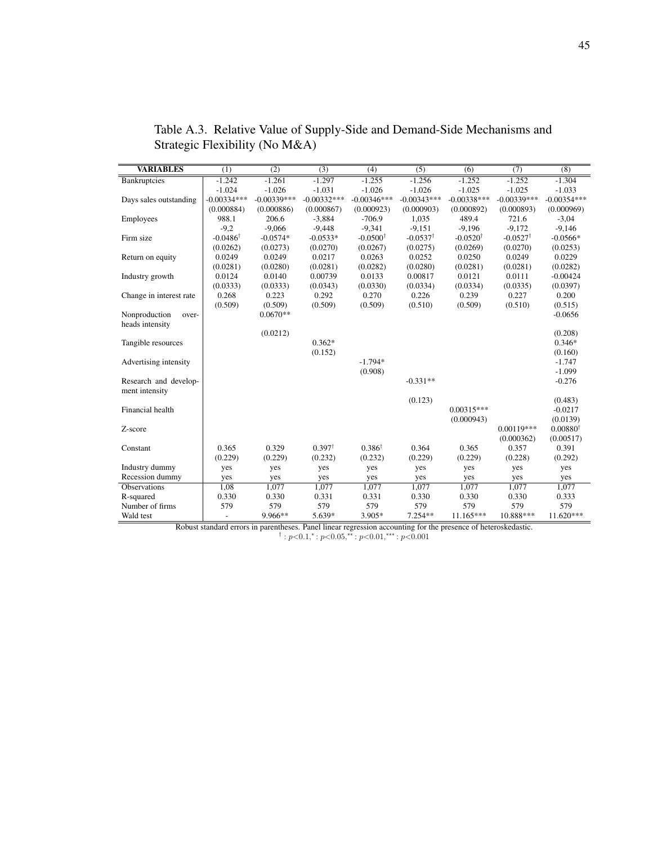| <b>VARIABLES</b>        | $\overline{(1)}$         | (2)           | (3)               | (4)                 | $\overline{(5)}$    | (6)                 | (7)                 | $\overline{(8)}$    |
|-------------------------|--------------------------|---------------|-------------------|---------------------|---------------------|---------------------|---------------------|---------------------|
| <b>Bankruptcies</b>     | $-1.242$                 | $-1.261$      | $-1.297$          | $-1.255$            | $-1.256$            | $-1.252$            | $-1.252$            | $-1.304$            |
|                         | $-1.024$                 | $-1.026$      | $-1.031$          | $-1.026$            | $-1.026$            | $-1.025$            | $-1.025$            | $-1.033$            |
| Days sales outstanding  | $-0.00334***$            | $-0.00339***$ | $-0.00332***$     | $-0.00346***$       | $-0.00343***$       | $-0.00338***$       | $-0.00339***$       | $-0.00354***$       |
|                         | (0.000884)               | (0.000886)    | (0.000867)        | (0.000923)          | (0.000903)          | (0.000892)          | (0.000893)          | (0.000969)          |
| Employees               | 988.1                    | 206.6         | $-3.884$          | $-706.9$            | 1.035               | 489.4               | 721.6               | $-3,04$             |
|                         | $-9,2$                   | $-9,066$      | $-9,448$          | $-9,341$            | $-9.151$            | $-9,196$            | $-9,172$            | $-9,146$            |
| Firm size               | $-0.0486^{\dagger}$      | $-0.0574*$    | $-0.0533*$        | $-0.0500^{\dagger}$ | $-0.0537^{\dagger}$ | $-0.0520^{\dagger}$ | $-0.0527^{\dagger}$ | $-0.0566*$          |
|                         | (0.0262)                 | (0.0273)      | (0.0270)          | (0.0267)            | (0.0275)            | (0.0269)            | (0.0270)            | (0.0253)            |
| Return on equity        | 0.0249                   | 0.0249        | 0.0217            | 0.0263              | 0.0252              | 0.0250              | 0.0249              | 0.0229              |
|                         | (0.0281)                 | (0.0280)      | (0.0281)          | (0.0282)            | (0.0280)            | (0.0281)            | (0.0281)            | (0.0282)            |
| Industry growth         | 0.0124                   | 0.0140        | 0.00739           | 0.0133              | 0.00817             | 0.0121              | 0.0111              | $-0.00424$          |
|                         | (0.0333)                 | (0.0333)      | (0.0343)          | (0.0330)            | (0.0334)            | (0.0334)            | (0.0335)            | (0.0397)            |
| Change in interest rate | 0.268                    | 0.223         | 0.292             | 0.270               | 0.226               | 0.239               | 0.227               | 0.200               |
|                         | (0.509)                  | (0.509)       | (0.509)           | (0.509)             | (0.510)             | (0.509)             | (0.510)             | (0.515)             |
| Nonproduction<br>over-  |                          | $0.0670**$    |                   |                     |                     |                     |                     | $-0.0656$           |
| heads intensity         |                          |               |                   |                     |                     |                     |                     |                     |
|                         |                          | (0.0212)      |                   |                     |                     |                     |                     | (0.208)             |
| Tangible resources      |                          |               | $0.362*$          |                     |                     |                     |                     | $0.346*$            |
|                         |                          |               | (0.152)           |                     |                     |                     |                     | (0.160)             |
| Advertising intensity   |                          |               |                   | $-1.794*$           |                     |                     |                     | $-1.747$            |
|                         |                          |               |                   | (0.908)             |                     |                     |                     | $-1.099$            |
| Research and develop-   |                          |               |                   |                     | $-0.331**$          |                     |                     | $-0.276$            |
| ment intensity          |                          |               |                   |                     |                     |                     |                     |                     |
|                         |                          |               |                   |                     | (0.123)             |                     |                     | (0.483)             |
| Financial health        |                          |               |                   |                     |                     | $0.00315***$        |                     | $-0.0217$           |
|                         |                          |               |                   |                     |                     | (0.000943)          |                     | (0.0139)            |
| Z-score                 |                          |               |                   |                     |                     |                     | $0.00119***$        | $0.00880^{\dagger}$ |
|                         |                          |               |                   |                     |                     |                     | (0.000362)          | (0.00517)           |
| Constant                | 0.365                    | 0.329         | $0.397^{\dagger}$ | $0.386^{\dagger}$   | 0.364               | 0.365               | 0.357               | 0.391               |
|                         | (0.229)                  | (0.229)       | (0.232)           | (0.232)             | (0.229)             | (0.229)             | (0.228)             | (0.292)             |
| Industry dummy          | yes                      | yes           | yes               | yes                 | yes                 | yes                 | yes                 | yes                 |
| Recession dummy         | yes                      | yes           | yes               | yes                 | yes                 | yes                 | yes                 | yes                 |
| <b>Observations</b>     | 1,08                     | 1,077         | 1,077             | 1,077               | 1,077               | 1,077               | 1,077               | 1,077               |
| R-squared               | 0.330                    | 0.330         | 0.331             | 0.331               | 0.330               | 0.330               | 0.330               | 0.333               |
| Number of firms         | 579                      | 579           | 579               | 579                 | 579                 | 579                 | 579                 | 579                 |
| Wald test               | $\overline{\phantom{0}}$ | 9.966**       | 5.639*            | 3.905*              | $7.254**$           | 11.165***           | 10.888***           | 11.620***           |

<span id="page-53-0"></span>Table A.3. Relative Value of Supply-Side and Demand-Side Mechanisms and Strategic Flexibility (No M&A)

Robust standard errors in parentheses. Panel linear regression accounting for the presence of heteroskedastic.<br>
<sup>†</sup> :  $p < 0.1,$ \* :  $p < 0.05,$ \*\* :  $p < 0.01,$ \*\*\* :  $p < 0.001$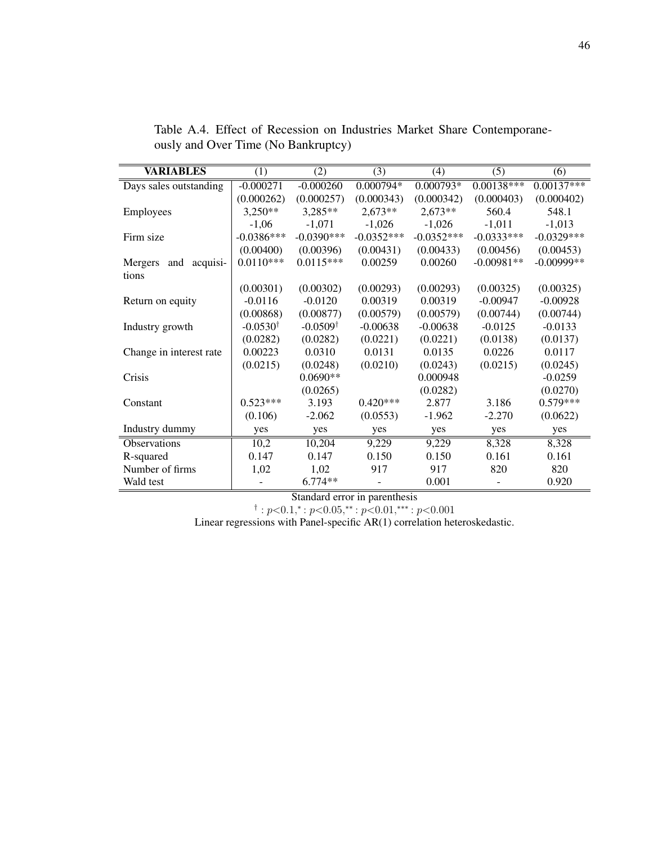| <b>VARIABLES</b>           | (1)                 | (2)                 | (3)          | (4)          | (5)          | (6)          |
|----------------------------|---------------------|---------------------|--------------|--------------|--------------|--------------|
| Days sales outstanding     | $-0.000271$         | $-0.000260$         | $0.000794*$  | $0.000793*$  | $0.00138***$ | $0.00137***$ |
|                            | (0.000262)          | (0.000257)          | (0.000343)   | (0.000342)   | (0.000403)   | (0.000402)   |
| Employees                  | $3,250**$           | 3,285**             | $2,673**$    | $2,673**$    | 560.4        | 548.1        |
|                            | $-1,06$             | $-1,071$            | $-1,026$     | $-1,026$     | $-1,011$     | $-1,013$     |
| Firm size                  | $-0.0386***$        | $-0.0390***$        | $-0.0352***$ | $-0.0352***$ | $-0.0333***$ | $-0.0329***$ |
|                            | (0.00400)           | (0.00396)           | (0.00431)    | (0.00433)    | (0.00456)    | (0.00453)    |
| acquisi-<br>Mergers<br>and | $0.0110***$         | $0.0115***$         | 0.00259      | 0.00260      | $-0.00981**$ | $-0.00999**$ |
| tions                      |                     |                     |              |              |              |              |
|                            | (0.00301)           | (0.00302)           | (0.00293)    | (0.00293)    | (0.00325)    | (0.00325)    |
| Return on equity           | $-0.0116$           | $-0.0120$           | 0.00319      | 0.00319      | $-0.00947$   | $-0.00928$   |
|                            | (0.00868)           | (0.00877)           | (0.00579)    | (0.00579)    | (0.00744)    | (0.00744)    |
| Industry growth            | $-0.0530^{\dagger}$ | $-0.0509^{\dagger}$ | $-0.00638$   | $-0.00638$   | $-0.0125$    | $-0.0133$    |
|                            | (0.0282)            | (0.0282)            | (0.0221)     | (0.0221)     | (0.0138)     | (0.0137)     |
| Change in interest rate    | 0.00223             | 0.0310              | 0.0131       | 0.0135       | 0.0226       | 0.0117       |
|                            | (0.0215)            | (0.0248)            | (0.0210)     | (0.0243)     | (0.0215)     | (0.0245)     |
| Crisis                     |                     | $0.0690**$          |              | 0.000948     |              | $-0.0259$    |
|                            |                     | (0.0265)            |              | (0.0282)     |              | (0.0270)     |
| Constant                   | $0.523***$          | 3.193               | $0.420***$   | 2.877        | 3.186        | $0.579***$   |
|                            | (0.106)             | $-2.062$            | (0.0553)     | $-1.962$     | $-2.270$     | (0.0622)     |
| Industry dummy             | yes                 | yes                 | yes          | yes          | yes          | yes          |
| <b>Observations</b>        | 10,2                | 10,204              | 9,229        | 9,229        | 8,328        | 8,328        |
| R-squared                  | 0.147               | 0.147               | 0.150        | 0.150        | 0.161        | 0.161        |
| Number of firms            | 1,02                | 1,02                | 917          | 917          | 820          | 820          |
| Wald test                  |                     | $6.774**$           |              | 0.001        |              | 0.920        |

<span id="page-54-0"></span>Table A.4. Effect of Recession on Industries Market Share Contemporaneously and Over Time (No Bankruptcy)

Standard error in parenthesis<br>
† :  $p < 0.1$ ,\* :  $p < 0.05$ ,\*\* :  $p < 0.01$ ,\*\*\* :  $p < 0.001$ 

Linear regressions with Panel-specific AR(1) correlation heteroskedastic.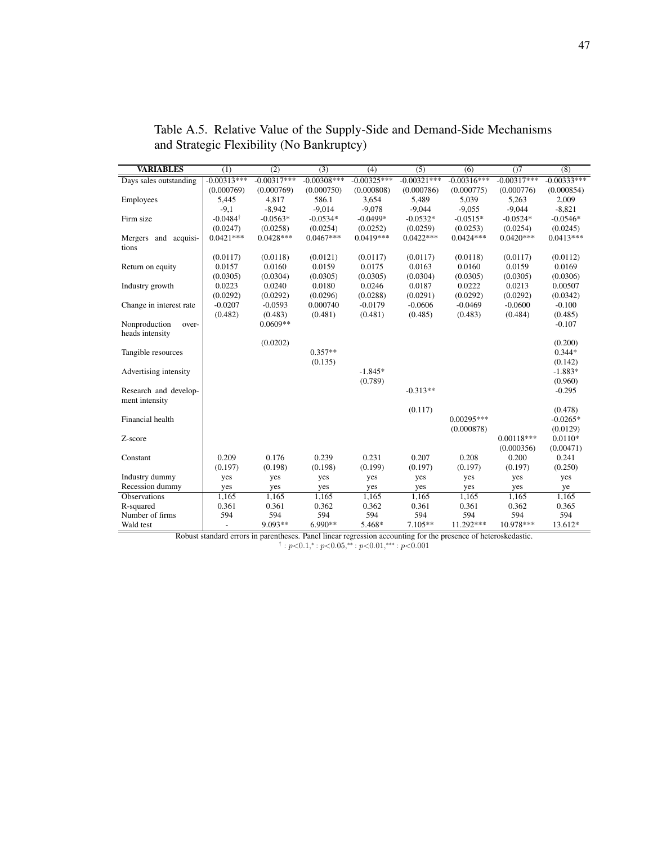| <b>VARIABLES</b>             | (1)                 | (2)            | (3)            | (4)            | (5)            | (6)            | O <sub>7</sub> | $\overline{(8)}$ |
|------------------------------|---------------------|----------------|----------------|----------------|----------------|----------------|----------------|------------------|
| Days sales outstanding       | $-0.00313***$       | $-0.00317***$  | $-0.00308***$  | $-0.00325***$  | $-0.00321***$  | $-0.00316***$  | $-0.00317***$  | $-0.00333***$    |
|                              | (0.000769)          | (0.000769)     | (0.000750)     | (0.000808)     | (0.000786)     | (0.000775)     | (0.000776)     | (0.000854)       |
| Employees                    | 5,445               | 4,817          | 586.1          | 3,654          | 5,489          | 5,039          | 5,263          | 2,009            |
|                              | $-9,1$              | $-8,942$       | $-9,014$       | $-9,078$       | $-9,044$       | $-9,055$       | $-9,044$       | $-8,821$         |
| Firm size                    | $-0.0484^{\dagger}$ | $-0.0563*$     | $-0.0534*$     | $-0.0499*$     | $-0.0532*$     | $-0.0515*$     | $-0.0524*$     | $-0.0546*$       |
|                              | (0.0247)            | (0.0258)       | (0.0254)       | (0.0252)       | (0.0259)       | (0.0253)       | (0.0254)       | (0.0245)         |
| acquisi-<br>Mergers and      | $0.0421***$         | $0.0428***$    | $0.0467***$    | $0.0419***$    | $0.0422***$    | $0.0424***$    | $0.0420***$    | $0.0413***$      |
| tions                        |                     |                |                |                |                |                |                |                  |
|                              | (0.0117)            | (0.0118)       | (0.0121)       | (0.0117)       | (0.0117)       | (0.0118)       | (0.0117)       | (0.0112)         |
| Return on equity             | 0.0157              | 0.0160         | 0.0159         | 0.0175         | 0.0163         | 0.0160         | 0.0159         | 0.0169           |
|                              | (0.0305)            | (0.0304)       | (0.0305)       | (0.0305)       | (0.0304)       | (0.0305)       | (0.0305)       | (0.0306)         |
| Industry growth              | 0.0223              | 0.0240         | 0.0180         | 0.0246         | 0.0187         | 0.0222         | 0.0213         | 0.00507          |
|                              | (0.0292)            | (0.0292)       | (0.0296)       | (0.0288)       | (0.0291)       | (0.0292)       | (0.0292)       | (0.0342)         |
| Change in interest rate      | $-0.0207$           | $-0.0593$      | 0.000740       | $-0.0179$      | $-0.0606$      | $-0.0469$      | $-0.0600$      | $-0.100$         |
|                              | (0.482)             | (0.483)        | (0.481)        | (0.481)        | (0.485)        | (0.483)        | (0.484)        | (0.485)          |
| Nonproduction<br>over-       |                     | $0.0609**$     |                |                |                |                |                | $-0.107$         |
| heads intensity              |                     |                |                |                |                |                |                |                  |
|                              |                     | (0.0202)       |                |                |                |                |                | (0.200)          |
| Tangible resources           |                     |                | $0.357**$      |                |                |                |                | $0.344*$         |
|                              |                     |                | (0.135)        |                |                |                |                | (0.142)          |
| Advertising intensity        |                     |                |                | $-1.845*$      |                |                |                | $-1.883*$        |
|                              |                     |                |                | (0.789)        |                |                |                | (0.960)          |
| Research and develop-        |                     |                |                |                | $-0.313**$     |                |                | $-0.295$         |
| ment intensity               |                     |                |                |                |                |                |                |                  |
|                              |                     |                |                |                | (0.117)        |                |                | (0.478)          |
| Financial health             |                     |                |                |                |                | $0.00295***$   |                | $-0.0265*$       |
|                              |                     |                |                |                |                | (0.000878)     |                | (0.0129)         |
| Z-score                      |                     |                |                |                |                |                | $0.00118***$   | $0.0110*$        |
|                              |                     |                |                |                |                |                | (0.000356)     | (0.00471)        |
| Constant                     | 0.209               | 0.176          | 0.239          | 0.231          | 0.207          | 0.208          | 0.200          | 0.241            |
|                              | (0.197)             | (0.198)        | (0.198)        | (0.199)        | (0.197)        | (0.197)        | (0.197)        | (0.250)          |
| Industry dummy               | yes                 | yes            | yes            | yes            | yes            | yes            | yes            | yes              |
| Recession dummy              | yes                 | yes            | yes            | yes            | yes            | yes            | yes            | ye               |
| Observations                 | 1,165<br>0.361      | 1,165<br>0.361 | 1,165<br>0.362 | 1.165<br>0.362 | 1,165<br>0.361 | 1,165<br>0.361 | 1,165<br>0.362 | 1,165<br>0.365   |
| R-squared<br>Number of firms | 594                 | 594            | 594            | 594            | 594            | 594            | 594            | 594              |
|                              |                     |                |                |                |                |                |                |                  |
| Wald test                    | $\overline{a}$      | 9.093**        | $6.990**$      | 5.468*         | $7.105**$      | 11.292***      | 10.978***      | 13.612*          |

<span id="page-55-0"></span>Table A.5. Relative Value of the Supply-Side and Demand-Side Mechanisms and Strategic Flexibility (No Bankruptcy)

Robust standard errors in parentheses. Panel linear regression accounting for the presence of heteroskedastic.<br>
<sup>†</sup> :  $p < 0.1,$ \* :  $p < 0.05,$ \*\* :  $p < 0.01,$ \*\*\* :  $p < 0.001$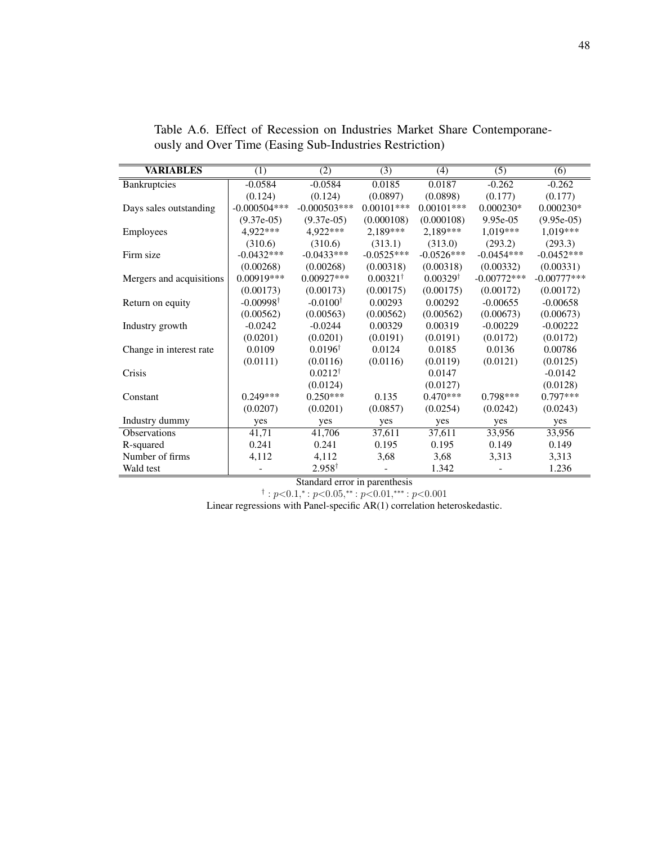| <b>VARIABLES</b>         | (1)                  | (2)                 | (3)                 | (4)                 | (5)           | (6)           |
|--------------------------|----------------------|---------------------|---------------------|---------------------|---------------|---------------|
| <b>Bankruptcies</b>      | $-0.0584$            | $-0.0584$           | 0.0185              | 0.0187              | $-0.262$      | $-0.262$      |
|                          | (0.124)              | (0.124)             | (0.0897)            | (0.0898)            | (0.177)       | (0.177)       |
| Days sales outstanding   | $-0.000504***$       | $-0.000503$ ***     | $0.00101***$        | $0.00101***$        | $0.000230*$   | $0.000230*$   |
|                          | $(9.37e-05)$         | $(9.37e-05)$        | (0.000108)          | (0.000108)          | $9.95e-0.5$   | $(9.95e-05)$  |
| Employees                | 4,922***             | 4,922***            | $2,189***$          | $2,189***$          | $1,019***$    | $1,019***$    |
|                          | (310.6)              | (310.6)             | (313.1)             | (313.0)             | (293.2)       | (293.3)       |
| Firm size                | $-0.0432***$         | $-0.0433***$        | $-0.0525***$        | $-0.0526***$        | $-0.0454***$  | $-0.0452***$  |
|                          | (0.00268)            | (0.00268)           | (0.00318)           | (0.00318)           | (0.00332)     | (0.00331)     |
| Mergers and acquisitions | 0.00919***           | $0.00927***$        | $0.00321^{\dagger}$ | $0.00329^{\dagger}$ | $-0.00772***$ | $-0.00777***$ |
|                          | (0.00173)            | (0.00173)           | (0.00175)           | (0.00175)           | (0.00172)     | (0.00172)     |
| Return on equity         | $-0.00998^{\dagger}$ | $-0.0100^{\dagger}$ | 0.00293             | 0.00292             | $-0.00655$    | $-0.00658$    |
|                          | (0.00562)            | (0.00563)           | (0.00562)           | (0.00562)           | (0.00673)     | (0.00673)     |
| Industry growth          | $-0.0242$            | $-0.0244$           | 0.00329             | 0.00319             | $-0.00229$    | $-0.00222$    |
|                          | (0.0201)             | (0.0201)            | (0.0191)            | (0.0191)            | (0.0172)      | (0.0172)      |
| Change in interest rate  | 0.0109               | $0.0196^{\dagger}$  | 0.0124              | 0.0185              | 0.0136        | 0.00786       |
|                          | (0.0111)             | (0.0116)            | (0.0116)            | (0.0119)            | (0.0121)      | (0.0125)      |
| Crisis                   |                      | $0.0212^{\dagger}$  |                     | 0.0147              |               | $-0.0142$     |
|                          |                      | (0.0124)            |                     | (0.0127)            |               | (0.0128)      |
| Constant                 | $0.249***$           | $0.250***$          | 0.135               | $0.470***$          | $0.798***$    | $0.797***$    |
|                          | (0.0207)             | (0.0201)            | (0.0857)            | (0.0254)            | (0.0242)      | (0.0243)      |
| Industry dummy           | yes                  | yes                 | yes                 | yes                 | yes           | yes           |
| <b>Observations</b>      | 41,71                | 41,706              | 37,611              | 37,611              | 33,956        | 33,956        |
| R-squared                | 0.241                | 0.241               | 0.195               | 0.195               | 0.149         | 0.149         |
| Number of firms          | 4,112                | 4,112               | 3,68                | 3,68                | 3,313         | 3,313         |
| Wald test                |                      | $2.958^{\dagger}$   |                     | 1.342               |               | 1.236         |

<span id="page-56-0"></span>Table A.6. Effect of Recession on Industries Market Share Contemporaneously and Over Time (Easing Sub-Industries Restriction)

Standard error in parenthesis

 $\dagger$ :  $p<0.1$ ,\*:  $p<0.05$ ,\*\*:  $p<0.01$ ,\*\*\*:  $p<0.001$ 

Linear regressions with Panel-specific AR(1) correlation heteroskedastic.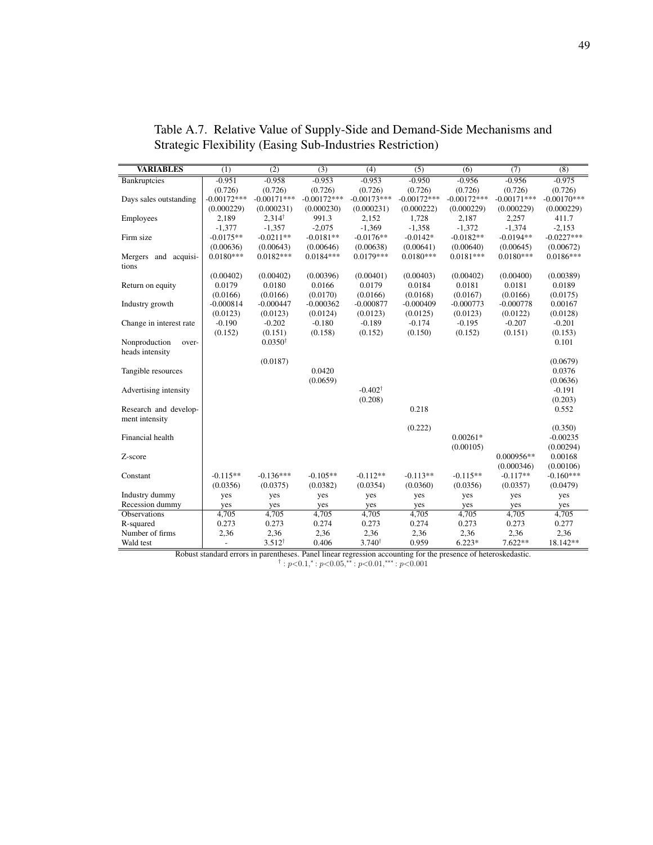| <b>VARIABLES</b>        | (1)                      | (2)                | $\overline{(3)}$ | (4)                | (5)           | (6)           | (7)           | $\overline{(8)}$ |
|-------------------------|--------------------------|--------------------|------------------|--------------------|---------------|---------------|---------------|------------------|
| Bankruptcies            | $-0.951$                 | $-0.958$           | $-0.953$         | $-0.953$           | $-0.950$      | $-0.956$      | $-0.956$      | $-0.975$         |
|                         | (0.726)                  | (0.726)            | (0.726)          | (0.726)            | (0.726)       | (0.726)       | (0.726)       | (0.726)          |
| Days sales outstanding  | $-0.00172***$            | $-0.00171***$      | $-0.00172***$    | $-0.00173***$      | $-0.00172***$ | $-0.00172***$ | $-0.00171***$ | $-0.00170***$    |
|                         | (0.000229)               | (0.000231)         | (0.000230)       | (0.000231)         | (0.000222)    | (0.000229)    | (0.000229)    | (0.000229)       |
| Employees               | 2,189                    | $2.314^{\dagger}$  | 991.3            | 2,152              | 1.728         | 2,187         | 2,257         | 411.7            |
|                         | $-1,377$                 | $-1,357$           | $-2.075$         | $-1,369$           | $-1,358$      | $-1,372$      | $-1,374$      | $-2,153$         |
| Firm size               | $-0.0175**$              | $-0.0211**$        | $-0.0181**$      | $-0.0176**$        | $-0.0142*$    | $-0.0182**$   | $-0.0194**$   | $-0.0227***$     |
|                         | (0.00636)                | (0.00643)          | (0.00646)        | (0.00638)          | (0.00641)     | (0.00640)     | (0.00645)     | (0.00672)        |
| Mergers and acquisi-    | $0.0180***$              | $0.0182***$        | $0.0184***$      | $0.0179***$        | $0.0180***$   | $0.0181***$   | $0.0180***$   | $0.0186***$      |
| tions                   |                          |                    |                  |                    |               |               |               |                  |
|                         | (0.00402)                | (0.00402)          | (0.00396)        | (0.00401)          | (0.00403)     | (0.00402)     | (0.00400)     | (0.00389)        |
| Return on equity        | 0.0179                   | 0.0180             | 0.0166           | 0.0179             | 0.0184        | 0.0181        | 0.0181        | 0.0189           |
|                         | (0.0166)                 | (0.0166)           | (0.0170)         | (0.0166)           | (0.0168)      | (0.0167)      | (0.0166)      | (0.0175)         |
| Industry growth         | $-0.000814$              | $-0.000447$        | $-0.000362$      | $-0.000877$        | $-0.000409$   | $-0.000773$   | $-0.000778$   | 0.00167          |
|                         | (0.0123)                 | (0.0123)           | (0.0124)         | (0.0123)           | (0.0125)      | (0.0123)      | (0.0122)      | (0.0128)         |
| Change in interest rate | $-0.190$                 | $-0.202$           | $-0.180$         | $-0.189$           | $-0.174$      | $-0.195$      | $-0.207$      | $-0.201$         |
|                         | (0.152)                  | (0.151)            | (0.158)          | (0.152)            | (0.150)       | (0.152)       | (0.151)       | (0.153)          |
| Nonproduction<br>over-  |                          | $0.0350^{\dagger}$ |                  |                    |               |               |               | 0.101            |
| heads intensity         |                          |                    |                  |                    |               |               |               |                  |
|                         |                          | (0.0187)           |                  |                    |               |               |               | (0.0679)         |
| Tangible resources      |                          |                    | 0.0420           |                    |               |               |               | 0.0376           |
|                         |                          |                    | (0.0659)         |                    |               |               |               | (0.0636)         |
| Advertising intensity   |                          |                    |                  | $-0.402^{\dagger}$ |               |               |               | $-0.191$         |
|                         |                          |                    |                  | (0.208)            |               |               |               | (0.203)          |
| Research and develop-   |                          |                    |                  |                    | 0.218         |               |               | 0.552            |
| ment intensity          |                          |                    |                  |                    |               |               |               |                  |
|                         |                          |                    |                  |                    | (0.222)       |               |               | (0.350)          |
| Financial health        |                          |                    |                  |                    |               | $0.00261*$    |               | $-0.00235$       |
|                         |                          |                    |                  |                    |               | (0.00105)     |               | (0.00294)        |
| Z-score                 |                          |                    |                  |                    |               |               | $0.000956**$  | 0.00168          |
|                         |                          |                    |                  |                    |               |               | (0.000346)    | (0.00106)        |
| Constant                | $-0.115**$               | $-0.136***$        | $-0.105**$       | $-0.112**$         | $-0.113**$    | $-0.115**$    | $-0.117**$    | $-0.160***$      |
|                         | (0.0356)                 | (0.0375)           | (0.0382)         | (0.0354)           | (0.0360)      | (0.0356)      | (0.0357)      | (0.0479)         |
| Industry dummy          | yes                      | yes                | yes              | yes                | yes           | yes           | yes           | yes              |
| Recession dummy         | yes                      | yes                | yes              | yes                | yes           | yes           | yes           | yes              |
| <b>Observations</b>     | 4,705                    | 4,705              | 4,705            | 4,705              | 4,705         | 4,705         | 4,705         | 4,705            |
| R-squared               | 0.273                    | 0.273              | 0.274            | 0.273              | 0.274         | 0.273         | 0.273         | 0.277            |
| Number of firms         | 2,36                     | 2,36               | 2,36             | 2,36               | 2,36          | 2,36          | 2,36          | 2,36             |
| Wald test               | $\overline{\phantom{a}}$ | $3.512^{\dagger}$  | 0.406            | 3.740 <sup>†</sup> | 0.959         | $6.223*$      | 7.622**       | 18.142**         |
|                         |                          |                    |                  |                    |               |               |               |                  |

<span id="page-57-0"></span>Table A.7. Relative Value of Supply-Side and Demand-Side Mechanisms and Strategic Flexibility (Easing Sub-Industries Restriction)

Robust standard errors in parentheses. Panel linear regression accounting for the presence of heteroskedastic.<br>
† :  $p$ <0.1,\* :  $p$ <0.05,\*\* :  $p$ <0.01,\*\*\* :  $p$ <0.001